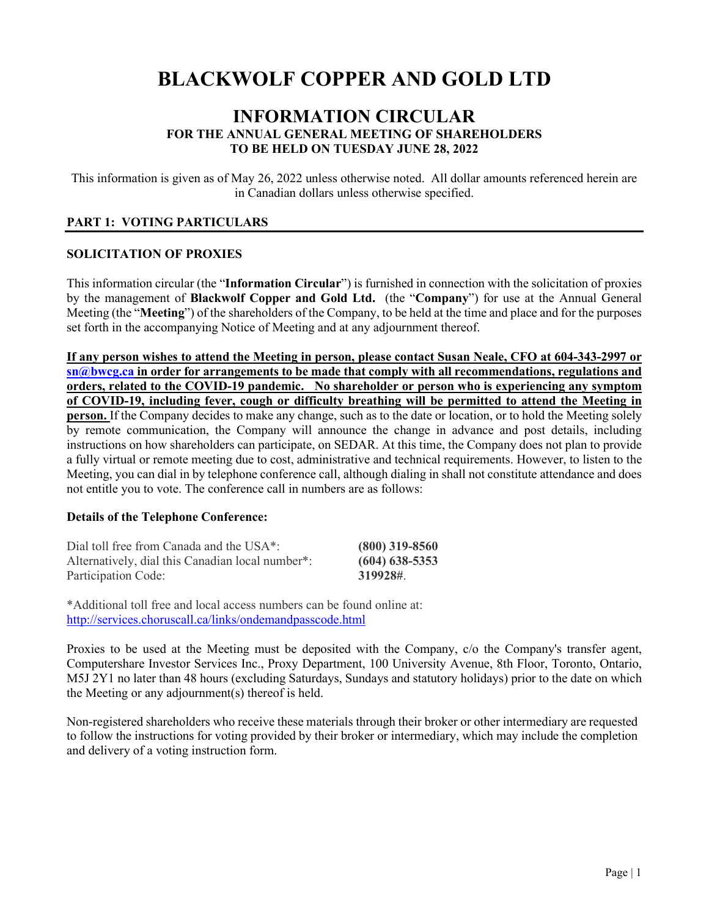# **BLACKWOLF COPPER AND GOLD LTD**

# **INFORMATION CIRCULAR FOR THE ANNUAL GENERAL MEETING OF SHAREHOLDERS TO BE HELD ON TUESDAY JUNE 28, 2022**

This information is given as of May 26, 2022 unless otherwise noted. All dollar amounts referenced herein are in Canadian dollars unless otherwise specified.

# **PART 1: VOTING PARTICULARS**

# **SOLICITATION OF PROXIES**

This information circular (the "**Information Circular**") is furnished in connection with the solicitation of proxies by the management of **Blackwolf Copper and Gold Ltd.** (the "**Company**") for use at the Annual General Meeting (the "**Meeting**") of the shareholders of the Company, to be held at the time and place and for the purposes set forth in the accompanying Notice of Meeting and at any adjournment thereof.

**If any person wishes to attend the Meeting in person, please contact Susan Neale, CFO at 604-343-2997 or [sn@bwcg.ca](mailto:sn@bwcg.ca) in order for arrangements to be made that comply with all recommendations, regulations and orders, related to the COVID-19 pandemic. No shareholder or person who is experiencing any symptom of COVID-19, including fever, cough or difficulty breathing will be permitted to attend the Meeting in person.** If the Company decides to make any change, such as to the date or location, or to hold the Meeting solely by remote communication, the Company will announce the change in advance and post details, including instructions on how shareholders can participate, on SEDAR. At this time, the Company does not plan to provide a fully virtual or remote meeting due to cost, administrative and technical requirements. However, to listen to the Meeting, you can dial in by telephone conference call, although dialing in shall not constitute attendance and does not entitle you to vote. The conference call in numbers are as follows:

# **Details of the Telephone Conference:**

| Dial toll free from Canada and the USA <sup>*</sup> : | $(800)$ 319-8560 |
|-------------------------------------------------------|------------------|
| Alternatively, dial this Canadian local number*:      | $(604)$ 638-5353 |
| Participation Code:                                   | 319928#.         |

\*Additional toll free and local access numbers can be found online at: <http://services.choruscall.ca/links/ondemandpasscode.html>

Proxies to be used at the Meeting must be deposited with the Company, c/o the Company's transfer agent, Computershare Investor Services Inc., Proxy Department, 100 University Avenue, 8th Floor, Toronto, Ontario, M5J 2Y1 no later than 48 hours (excluding Saturdays, Sundays and statutory holidays) prior to the date on which the Meeting or any adjournment(s) thereof is held.

Non-registered shareholders who receive these materials through their broker or other intermediary are requested to follow the instructions for voting provided by their broker or intermediary, which may include the completion and delivery of a voting instruction form.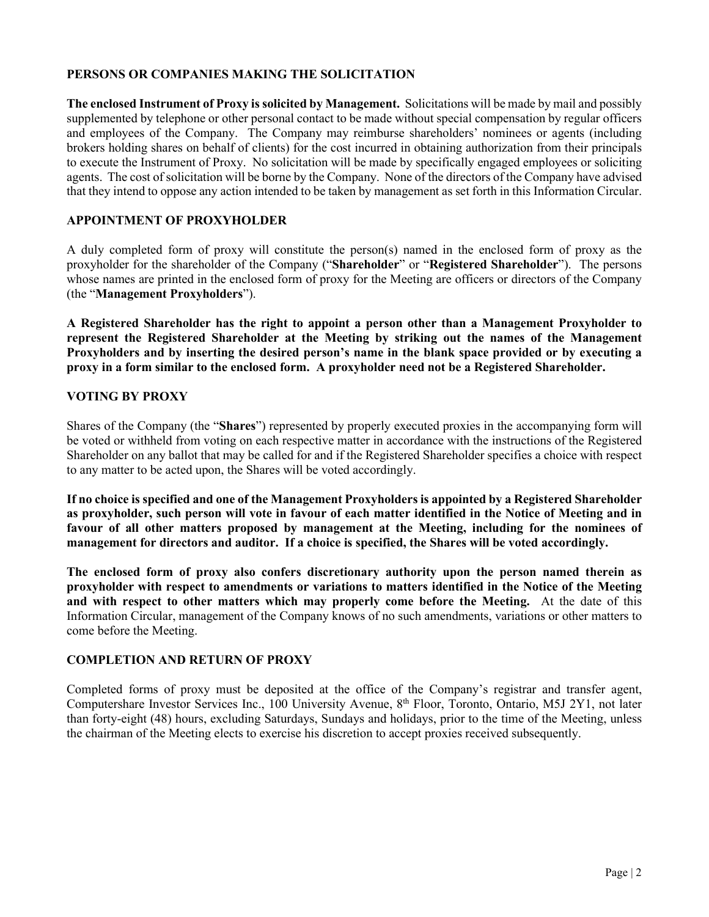# **PERSONS OR COMPANIES MAKING THE SOLICITATION**

**The enclosed Instrument of Proxy is solicited by Management.** Solicitations will be made by mail and possibly supplemented by telephone or other personal contact to be made without special compensation by regular officers and employees of the Company. The Company may reimburse shareholders' nominees or agents (including brokers holding shares on behalf of clients) for the cost incurred in obtaining authorization from their principals to execute the Instrument of Proxy. No solicitation will be made by specifically engaged employees or soliciting agents. The cost of solicitation will be borne by the Company. None of the directors of the Company have advised that they intend to oppose any action intended to be taken by management as set forth in this Information Circular.

# **APPOINTMENT OF PROXYHOLDER**

A duly completed form of proxy will constitute the person(s) named in the enclosed form of proxy as the proxyholder for the shareholder of the Company ("**Shareholder**" or "**Registered Shareholder**"). The persons whose names are printed in the enclosed form of proxy for the Meeting are officers or directors of the Company (the "**Management Proxyholders**").

**A Registered Shareholder has the right to appoint a person other than a Management Proxyholder to represent the Registered Shareholder at the Meeting by striking out the names of the Management Proxyholders and by inserting the desired person's name in the blank space provided or by executing a proxy in a form similar to the enclosed form. A proxyholder need not be a Registered Shareholder.**

# **VOTING BY PROXY**

Shares of the Company (the "**Shares**") represented by properly executed proxies in the accompanying form will be voted or withheld from voting on each respective matter in accordance with the instructions of the Registered Shareholder on any ballot that may be called for and if the Registered Shareholder specifies a choice with respect to any matter to be acted upon, the Shares will be voted accordingly.

**If no choice is specified and one of the Management Proxyholders is appointed by a Registered Shareholder as proxyholder, such person will vote in favour of each matter identified in the Notice of Meeting and in favour of all other matters proposed by management at the Meeting, including for the nominees of management for directors and auditor. If a choice is specified, the Shares will be voted accordingly.**

**The enclosed form of proxy also confers discretionary authority upon the person named therein as proxyholder with respect to amendments or variations to matters identified in the Notice of the Meeting and with respect to other matters which may properly come before the Meeting.** At the date of this Information Circular, management of the Company knows of no such amendments, variations or other matters to come before the Meeting.

# **COMPLETION AND RETURN OF PROXY**

Completed forms of proxy must be deposited at the office of the Company's registrar and transfer agent, Computershare Investor Services Inc., 100 University Avenue, 8<sup>th</sup> Floor, Toronto, Ontario, M5J 2Y1, not later than forty-eight (48) hours, excluding Saturdays, Sundays and holidays, prior to the time of the Meeting, unless the chairman of the Meeting elects to exercise his discretion to accept proxies received subsequently.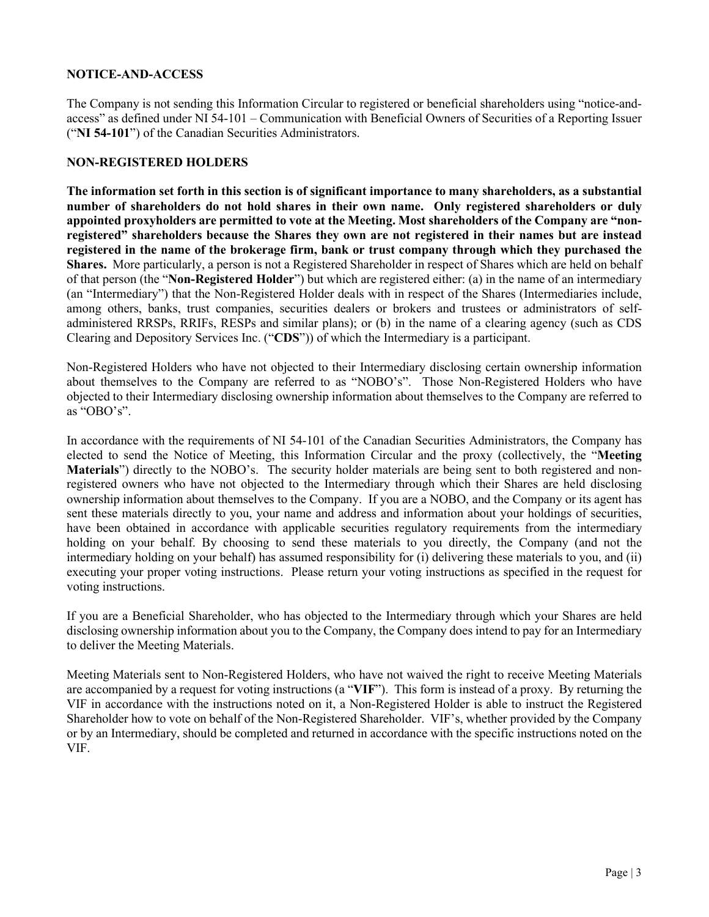# **NOTICE-AND-ACCESS**

The Company is not sending this Information Circular to registered or beneficial shareholders using "notice-andaccess" as defined under NI 54-101 – Communication with Beneficial Owners of Securities of a Reporting Issuer ("**NI 54-101**") of the Canadian Securities Administrators.

# **NON-REGISTERED HOLDERS**

**The information set forth in this section is of significant importance to many shareholders, as a substantial number of shareholders do not hold shares in their own name. Only registered shareholders or duly appointed proxyholders are permitted to vote at the Meeting. Most shareholders of the Company are "nonregistered" shareholders because the Shares they own are not registered in their names but are instead registered in the name of the brokerage firm, bank or trust company through which they purchased the Shares.** More particularly, a person is not a Registered Shareholder in respect of Shares which are held on behalf of that person (the "**Non-Registered Holder**") but which are registered either: (a) in the name of an intermediary (an "Intermediary") that the Non-Registered Holder deals with in respect of the Shares (Intermediaries include, among others, banks, trust companies, securities dealers or brokers and trustees or administrators of selfadministered RRSPs, RRIFs, RESPs and similar plans); or (b) in the name of a clearing agency (such as CDS Clearing and Depository Services Inc. ("**CDS**")) of which the Intermediary is a participant.

Non-Registered Holders who have not objected to their Intermediary disclosing certain ownership information about themselves to the Company are referred to as "NOBO's". Those Non-Registered Holders who have objected to their Intermediary disclosing ownership information about themselves to the Company are referred to as "OBO's".

In accordance with the requirements of NI 54-101 of the Canadian Securities Administrators, the Company has elected to send the Notice of Meeting, this Information Circular and the proxy (collectively, the "**Meeting Materials**") directly to the NOBO's. The security holder materials are being sent to both registered and nonregistered owners who have not objected to the Intermediary through which their Shares are held disclosing ownership information about themselves to the Company. If you are a NOBO, and the Company or its agent has sent these materials directly to you, your name and address and information about your holdings of securities, have been obtained in accordance with applicable securities regulatory requirements from the intermediary holding on your behalf. By choosing to send these materials to you directly, the Company (and not the intermediary holding on your behalf) has assumed responsibility for (i) delivering these materials to you, and (ii) executing your proper voting instructions. Please return your voting instructions as specified in the request for voting instructions.

If you are a Beneficial Shareholder, who has objected to the Intermediary through which your Shares are held disclosing ownership information about you to the Company, the Company does intend to pay for an Intermediary to deliver the Meeting Materials.

Meeting Materials sent to Non-Registered Holders, who have not waived the right to receive Meeting Materials are accompanied by a request for voting instructions (a "**VIF**"). This form is instead of a proxy. By returning the VIF in accordance with the instructions noted on it, a Non-Registered Holder is able to instruct the Registered Shareholder how to vote on behalf of the Non-Registered Shareholder. VIF's, whether provided by the Company or by an Intermediary, should be completed and returned in accordance with the specific instructions noted on the VIF.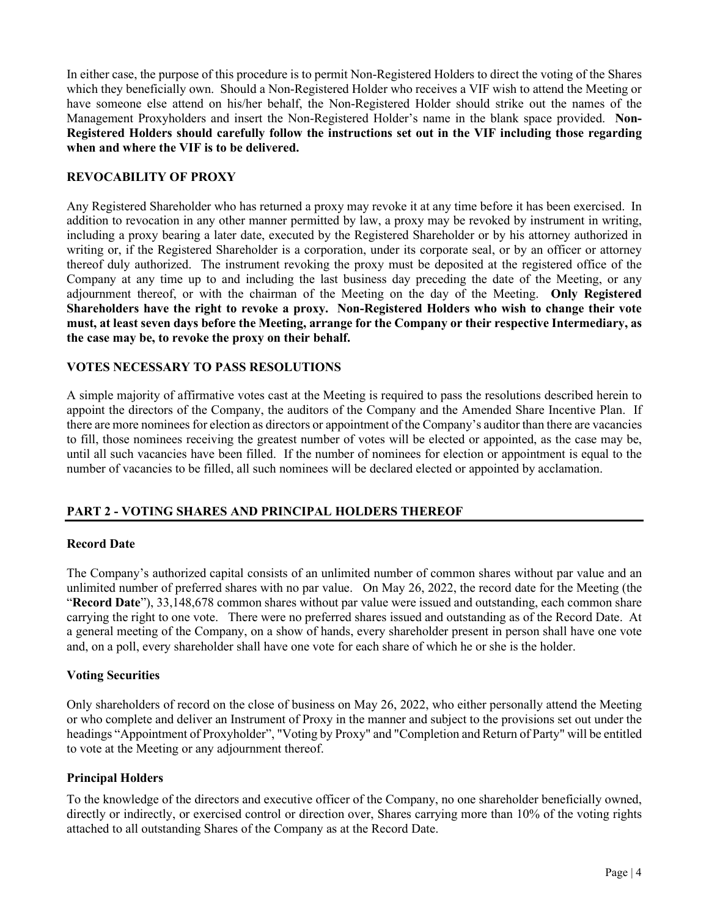In either case, the purpose of this procedure is to permit Non-Registered Holders to direct the voting of the Shares which they beneficially own. Should a Non-Registered Holder who receives a VIF wish to attend the Meeting or have someone else attend on his/her behalf, the Non-Registered Holder should strike out the names of the Management Proxyholders and insert the Non-Registered Holder's name in the blank space provided. **Non-Registered Holders should carefully follow the instructions set out in the VIF including those regarding when and where the VIF is to be delivered.**

# **REVOCABILITY OF PROXY**

Any Registered Shareholder who has returned a proxy may revoke it at any time before it has been exercised. In addition to revocation in any other manner permitted by law, a proxy may be revoked by instrument in writing, including a proxy bearing a later date, executed by the Registered Shareholder or by his attorney authorized in writing or, if the Registered Shareholder is a corporation, under its corporate seal, or by an officer or attorney thereof duly authorized. The instrument revoking the proxy must be deposited at the registered office of the Company at any time up to and including the last business day preceding the date of the Meeting, or any adjournment thereof, or with the chairman of the Meeting on the day of the Meeting. **Only Registered Shareholders have the right to revoke a proxy. Non-Registered Holders who wish to change their vote must, at least seven days before the Meeting, arrange for the Company or their respective Intermediary, as the case may be, to revoke the proxy on their behalf.**

# **VOTES NECESSARY TO PASS RESOLUTIONS**

A simple majority of affirmative votes cast at the Meeting is required to pass the resolutions described herein to appoint the directors of the Company, the auditors of the Company and the Amended Share Incentive Plan. If there are more nominees for election as directors or appointment of the Company's auditor than there are vacancies to fill, those nominees receiving the greatest number of votes will be elected or appointed, as the case may be, until all such vacancies have been filled. If the number of nominees for election or appointment is equal to the number of vacancies to be filled, all such nominees will be declared elected or appointed by acclamation.

# **PART 2 - VOTING SHARES AND PRINCIPAL HOLDERS THEREOF**

# **Record Date**

The Company's authorized capital consists of an unlimited number of common shares without par value and an unlimited number of preferred shares with no par value. On May 26, 2022, the record date for the Meeting (the "**Record Date**"), 33,148,678 common shares without par value were issued and outstanding, each common share carrying the right to one vote. There were no preferred shares issued and outstanding as of the Record Date. At a general meeting of the Company, on a show of hands, every shareholder present in person shall have one vote and, on a poll, every shareholder shall have one vote for each share of which he or she is the holder.

# **Voting Securities**

Only shareholders of record on the close of business on May 26, 2022, who either personally attend the Meeting or who complete and deliver an Instrument of Proxy in the manner and subject to the provisions set out under the headings "Appointment of Proxyholder", "Voting by Proxy" and "Completion and Return of Party" will be entitled to vote at the Meeting or any adjournment thereof.

# **Principal Holders**

To the knowledge of the directors and executive officer of the Company, no one shareholder beneficially owned, directly or indirectly, or exercised control or direction over, Shares carrying more than 10% of the voting rights attached to all outstanding Shares of the Company as at the Record Date.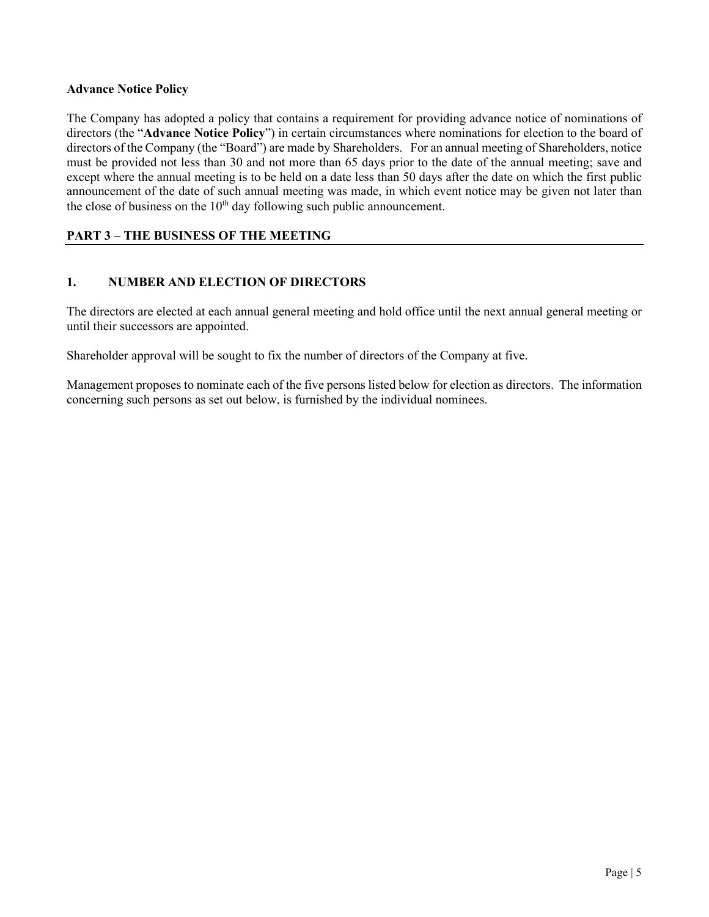# **Advance Notice Policy**

The Company has adopted a policy that contains a requirement for providing advance notice of nominations of directors (the "**Advance Notice Policy**") in certain circumstances where nominations for election to the board of directors of the Company (the "Board") are made by Shareholders. For an annual meeting of Shareholders, notice must be provided not less than 30 and not more than 65 days prior to the date of the annual meeting; save and except where the annual meeting is to be held on a date less than 50 days after the date on which the first public announcement of the date of such annual meeting was made, in which event notice may be given not later than the close of business on the  $10<sup>th</sup>$  day following such public announcement.

# **PART 3 – THE BUSINESS OF THE MEETING**

# **1. NUMBER AND ELECTION OF DIRECTORS**

The directors are elected at each annual general meeting and hold office until the next annual general meeting or until their successors are appointed.

Shareholder approval will be sought to fix the number of directors of the Company at five.

Management proposes to nominate each of the five persons listed below for election as directors. The information concerning such persons as set out below, is furnished by the individual nominees.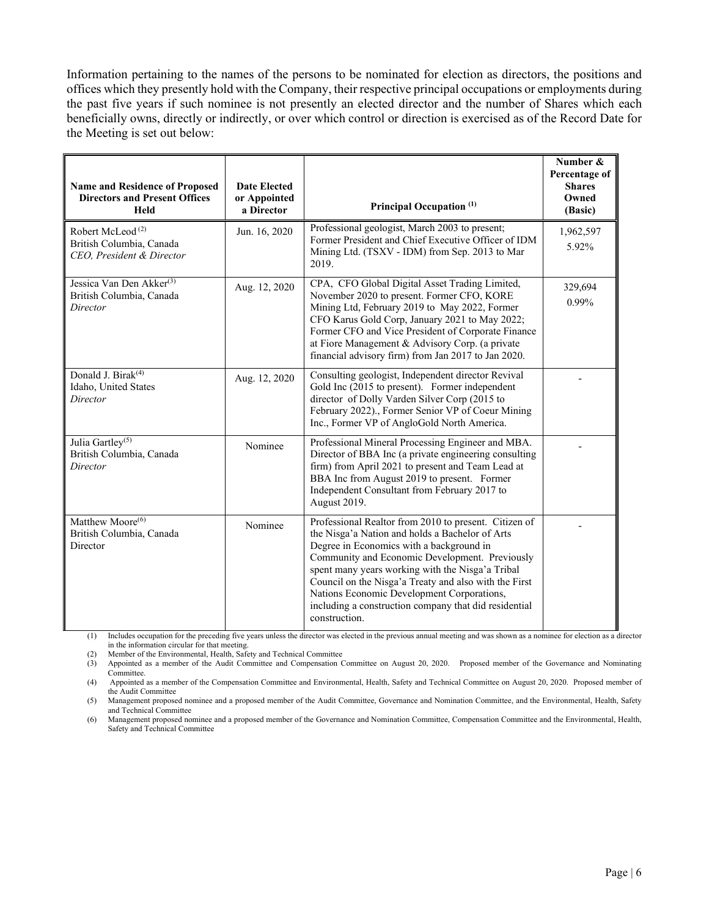Information pertaining to the names of the persons to be nominated for election as directors, the positions and offices which they presently hold with the Company, their respective principal occupations or employments during the past five years if such nominee is not presently an elected director and the number of Shares which each beneficially owns, directly or indirectly, or over which control or direction is exercised as of the Record Date for the Meeting is set out below:

| <b>Name and Residence of Proposed</b><br><b>Directors and Present Offices</b><br>Held | <b>Date Elected</b><br>or Appointed<br>a Director | Principal Occupation <sup>(1)</sup>                                                                                                                                                                                                                                                                                                                                                                                                         | Number &<br>Percentage of<br><b>Shares</b><br>Owned<br>(Basic) |
|---------------------------------------------------------------------------------------|---------------------------------------------------|---------------------------------------------------------------------------------------------------------------------------------------------------------------------------------------------------------------------------------------------------------------------------------------------------------------------------------------------------------------------------------------------------------------------------------------------|----------------------------------------------------------------|
| Robert McLeod <sup>(2)</sup><br>British Columbia, Canada<br>CEO. President & Director | Jun. 16, 2020                                     | Professional geologist, March 2003 to present;<br>Former President and Chief Executive Officer of IDM<br>Mining Ltd. (TSXV - IDM) from Sep. 2013 to Mar<br>2019.                                                                                                                                                                                                                                                                            | 1,962,597<br>5.92%                                             |
| Jessica Van Den Akker <sup>(3)</sup><br>British Columbia, Canada<br>Director          | Aug. 12, 2020                                     | CPA, CFO Global Digital Asset Trading Limited,<br>November 2020 to present. Former CFO, KORE<br>Mining Ltd, February 2019 to May 2022, Former<br>CFO Karus Gold Corp, January 2021 to May 2022;<br>Former CFO and Vice President of Corporate Finance<br>at Fiore Management & Advisory Corp. (a private<br>financial advisory firm) from Jan 2017 to Jan 2020.                                                                             | 329,694<br>0.99%                                               |
| Donald J. Birak <sup>(4)</sup><br>Idaho, United States<br>Director                    | Aug. 12, 2020                                     | Consulting geologist, Independent director Revival<br>Gold Inc (2015 to present). Former independent<br>director of Dolly Varden Silver Corp (2015 to<br>February 2022)., Former Senior VP of Coeur Mining<br>Inc., Former VP of AngloGold North America.                                                                                                                                                                                   |                                                                |
| Julia Gartley <sup>(5)</sup><br>British Columbia, Canada<br>Director                  | Nominee                                           | Professional Mineral Processing Engineer and MBA.<br>Director of BBA Inc (a private engineering consulting<br>firm) from April 2021 to present and Team Lead at<br>BBA Inc from August 2019 to present. Former<br>Independent Consultant from February 2017 to<br>August 2019.                                                                                                                                                              |                                                                |
| Matthew Moore <sup>(6)</sup><br>British Columbia, Canada<br>Director                  | Nominee                                           | Professional Realtor from 2010 to present. Citizen of<br>the Nisga'a Nation and holds a Bachelor of Arts<br>Degree in Economics with a background in<br>Community and Economic Development. Previously<br>spent many years working with the Nisga'a Tribal<br>Council on the Nisga'a Treaty and also with the First<br>Nations Economic Development Corporations,<br>including a construction company that did residential<br>construction. |                                                                |

(1) Includes occupation for the preceding five years unless the director was elected in the previous annual meeting and was shown as a nominee for election as a director in the information circular for that meeting.

(2) Member of the Environmental, Health, Safety and Technical Committee

(3) Appointed as a member of the Audit Committee and Compensation Committee on August 20, 2020. Proposed member of the Governance and Nominating Committee.

(4) Appointed as a member of the Compensation Committee and Environmental, Health, Safety and Technical Committee on August 20, 2020. Proposed member of the Audit Committee

(5) Management proposed nominee and a proposed member of the Audit Committee, Governance and Nomination Committee, and the Environmental, Health, Safety and Technical Committee

(6) Management proposed nominee and a proposed member of the Governance and Nomination Committee, Compensation Committee and the Environmental, Health, Safety and Technical Committee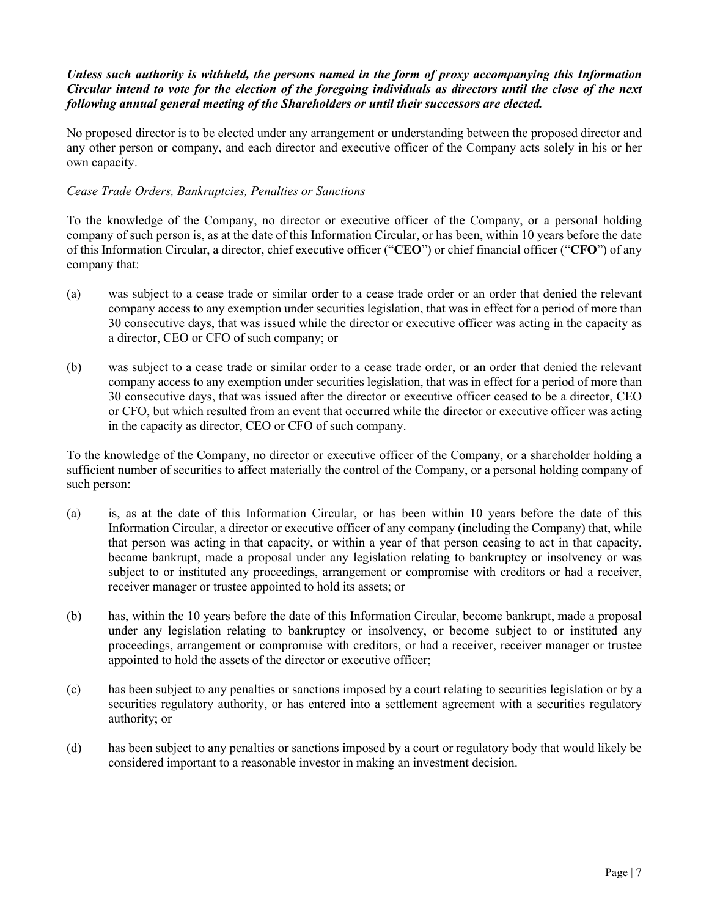# *Unless such authority is withheld, the persons named in the form of proxy accompanying this Information Circular intend to vote for the election of the foregoing individuals as directors until the close of the next following annual general meeting of the Shareholders or until their successors are elected.*

No proposed director is to be elected under any arrangement or understanding between the proposed director and any other person or company, and each director and executive officer of the Company acts solely in his or her own capacity.

# *Cease Trade Orders, Bankruptcies, Penalties or Sanctions*

To the knowledge of the Company, no director or executive officer of the Company, or a personal holding company of such person is, as at the date of this Information Circular, or has been, within 10 years before the date of this Information Circular, a director, chief executive officer ("**CEO**") or chief financial officer ("**CFO**") of any company that:

- (a) was subject to a cease trade or similar order to a cease trade order or an order that denied the relevant company access to any exemption under securities legislation, that was in effect for a period of more than 30 consecutive days, that was issued while the director or executive officer was acting in the capacity as a director, CEO or CFO of such company; or
- (b) was subject to a cease trade or similar order to a cease trade order, or an order that denied the relevant company access to any exemption under securities legislation, that was in effect for a period of more than 30 consecutive days, that was issued after the director or executive officer ceased to be a director, CEO or CFO, but which resulted from an event that occurred while the director or executive officer was acting in the capacity as director, CEO or CFO of such company.

To the knowledge of the Company, no director or executive officer of the Company, or a shareholder holding a sufficient number of securities to affect materially the control of the Company, or a personal holding company of such person:

- (a) is, as at the date of this Information Circular, or has been within 10 years before the date of this Information Circular, a director or executive officer of any company (including the Company) that, while that person was acting in that capacity, or within a year of that person ceasing to act in that capacity, became bankrupt, made a proposal under any legislation relating to bankruptcy or insolvency or was subject to or instituted any proceedings, arrangement or compromise with creditors or had a receiver, receiver manager or trustee appointed to hold its assets; or
- (b) has, within the 10 years before the date of this Information Circular, become bankrupt, made a proposal under any legislation relating to bankruptcy or insolvency, or become subject to or instituted any proceedings, arrangement or compromise with creditors, or had a receiver, receiver manager or trustee appointed to hold the assets of the director or executive officer;
- (c) has been subject to any penalties or sanctions imposed by a court relating to securities legislation or by a securities regulatory authority, or has entered into a settlement agreement with a securities regulatory authority; or
- (d) has been subject to any penalties or sanctions imposed by a court or regulatory body that would likely be considered important to a reasonable investor in making an investment decision.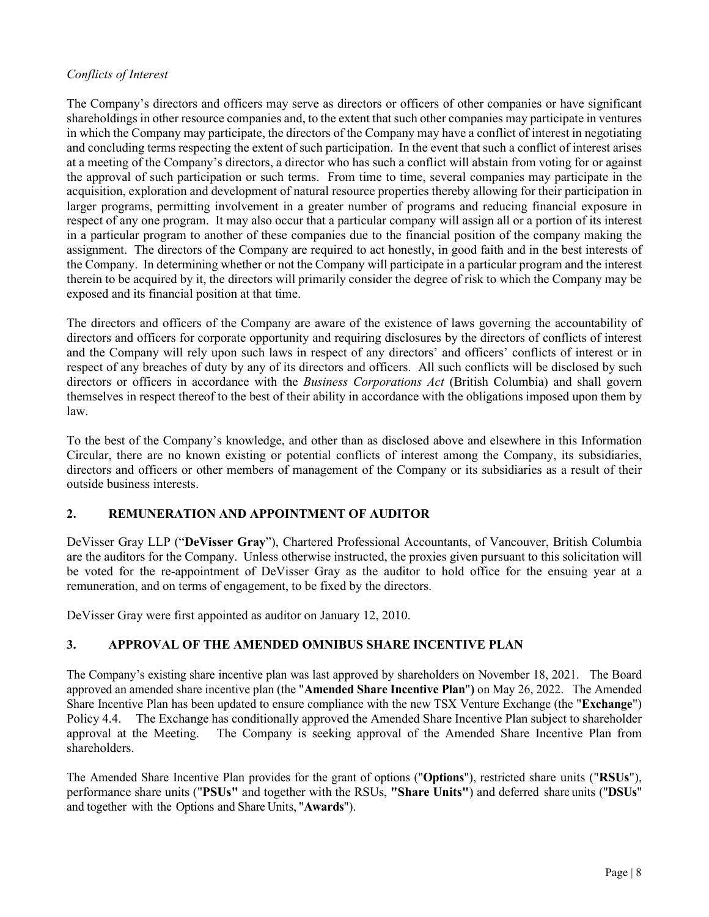# *Conflicts of Interest*

The Company's directors and officers may serve as directors or officers of other companies or have significant shareholdings in other resource companies and, to the extent that such other companies may participate in ventures in which the Company may participate, the directors of the Company may have a conflict of interest in negotiating and concluding terms respecting the extent of such participation. In the event that such a conflict of interest arises at a meeting of the Company's directors, a director who has such a conflict will abstain from voting for or against the approval of such participation or such terms. From time to time, several companies may participate in the acquisition, exploration and development of natural resource properties thereby allowing for their participation in larger programs, permitting involvement in a greater number of programs and reducing financial exposure in respect of any one program. It may also occur that a particular company will assign all or a portion of its interest in a particular program to another of these companies due to the financial position of the company making the assignment. The directors of the Company are required to act honestly, in good faith and in the best interests of the Company. In determining whether or not the Company will participate in a particular program and the interest therein to be acquired by it, the directors will primarily consider the degree of risk to which the Company may be exposed and its financial position at that time.

The directors and officers of the Company are aware of the existence of laws governing the accountability of directors and officers for corporate opportunity and requiring disclosures by the directors of conflicts of interest and the Company will rely upon such laws in respect of any directors' and officers' conflicts of interest or in respect of any breaches of duty by any of its directors and officers. All such conflicts will be disclosed by such directors or officers in accordance with the *Business Corporations Act* (British Columbia) and shall govern themselves in respect thereof to the best of their ability in accordance with the obligations imposed upon them by law.

To the best of the Company's knowledge, and other than as disclosed above and elsewhere in this Information Circular, there are no known existing or potential conflicts of interest among the Company, its subsidiaries, directors and officers or other members of management of the Company or its subsidiaries as a result of their outside business interests.

# **2. REMUNERATION AND APPOINTMENT OF AUDITOR**

DeVisser Gray LLP ("**DeVisser Gray**"), Chartered Professional Accountants, of Vancouver, British Columbia are the auditors for the Company. Unless otherwise instructed, the proxies given pursuant to this solicitation will be voted for the re-appointment of DeVisser Gray as the auditor to hold office for the ensuing year at a remuneration, and on terms of engagement, to be fixed by the directors.

DeVisser Gray were first appointed as auditor on January 12, 2010.

# **3. APPROVAL OF THE AMENDED OMNIBUS SHARE INCENTIVE PLAN**

The Company's existing share incentive plan was last approved by shareholders on November 18, 2021. The Board approved an amended share incentive plan (the "**Amended Share Incentive Plan**"**)** on May 26, 2022. The Amended Share Incentive Plan has been updated to ensure compliance with the new TSX Venture Exchange (the "**Exchange**") Policy 4.4. The Exchange has conditionally approved the Amended Share Incentive Plan subject to shareholder approval at the Meeting. The Company is seeking approval of the Amended Share Incentive Plan from shareholders.

The Amended Share Incentive Plan provides for the grant of options ("**Options**"), restricted share units ("**RSUs**"), performance share units ("**PSUs"** and together with the RSUs, **"Share Units"**) and deferred share units ("**DSUs**" and together with the Options and Share Units, "**Awards**").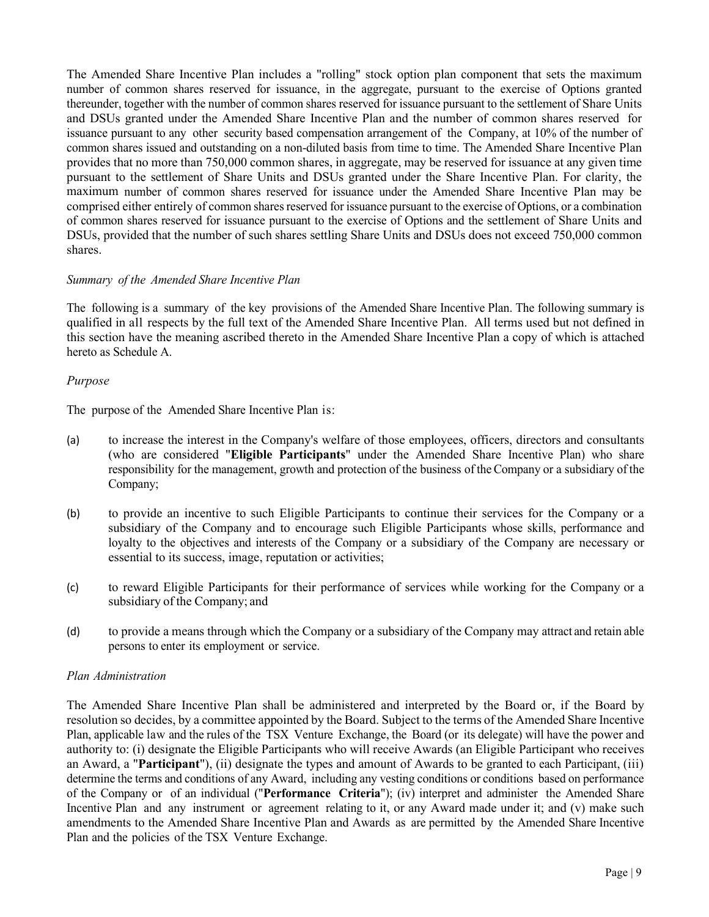The Amended Share Incentive Plan includes a "rolling" stock option plan component that sets the maximum number of common shares reserved for issuance, in the aggregate, pursuant to the exercise of Options granted thereunder, together with the number of common shares reserved for issuance pursuant to the settlement of Share Units and DSUs granted under the Amended Share Incentive Plan and the number of common shares reserved for issuance pursuant to any other security based compensation arrangement of the Company, at 10% of the number of common shares issued and outstanding on a non-diluted basis from time to time. The Amended Share Incentive Plan provides that no more than 750,000 common shares, in aggregate, may be reserved for issuance at any given time pursuant to the settlement of Share Units and DSUs granted under the Share Incentive Plan. For clarity, the maximum number of common shares reserved for issuance under the Amended Share Incentive Plan may be comprised either entirely of common shares reserved for issuance pursuant to the exercise of Options, or a combination of common shares reserved for issuance pursuant to the exercise of Options and the settlement of Share Units and DSUs, provided that the number of such shares settling Share Units and DSUs does not exceed 750,000 common shares.

# *Summary of the Amended Share Incentive Plan*

The following is a summary of the key provisions of the Amended Share Incentive Plan. The following summary is qualified in all respects by the full text of the Amended Share Incentive Plan. All terms used but not defined in this section have the meaning ascribed thereto in the Amended Share Incentive Plan a copy of which is attached hereto as Schedule A.

# *Purpose*

The purpose of the Amended Share Incentive Plan is:

- (a) to increase the interest in the Company's welfare of those employees, officers, directors and consultants (who are considered "**Eligible Participants**" under the Amended Share Incentive Plan) who share responsibility for the management, growth and protection of the business of theCompany or a subsidiary of the Company;
- (b) to provide an incentive to such Eligible Participants to continue their services for the Company or a subsidiary of the Company and to encourage such Eligible Participants whose skills, performance and loyalty to the objectives and interests of the Company or a subsidiary of the Company are necessary or essential to its success, image, reputation or activities;
- (c) to reward Eligible Participants for their performance of services while working for the Company or a subsidiary of the Company; and
- (d) to provide a means through which the Company or a subsidiary of the Company may attract and retain able persons to enter its employment or service.

# *Plan Administration*

The Amended Share Incentive Plan shall be administered and interpreted by the Board or, if the Board by resolution so decides, by a committee appointed by the Board. Subject to the terms of the Amended Share Incentive Plan, applicable law and the rules of the TSX Venture Exchange, the Board (or its delegate) will have the power and authority to: (i) designate the Eligible Participants who will receive Awards (an Eligible Participant who receives an Award, a "**Participant**"), (ii) designate the types and amount of Awards to be granted to each Participant, (iii) determine the terms and conditions of any Award, including any vesting conditions or conditions based on performance of the Company or of an individual ("**Performance Criteria**"); (iv) interpret and administer the Amended Share Incentive Plan and any instrument or agreement relating to it, or any Award made under it; and (v) make such amendments to the Amended Share Incentive Plan and Awards as are permitted by the Amended Share Incentive Plan and the policies of the TSX Venture Exchange.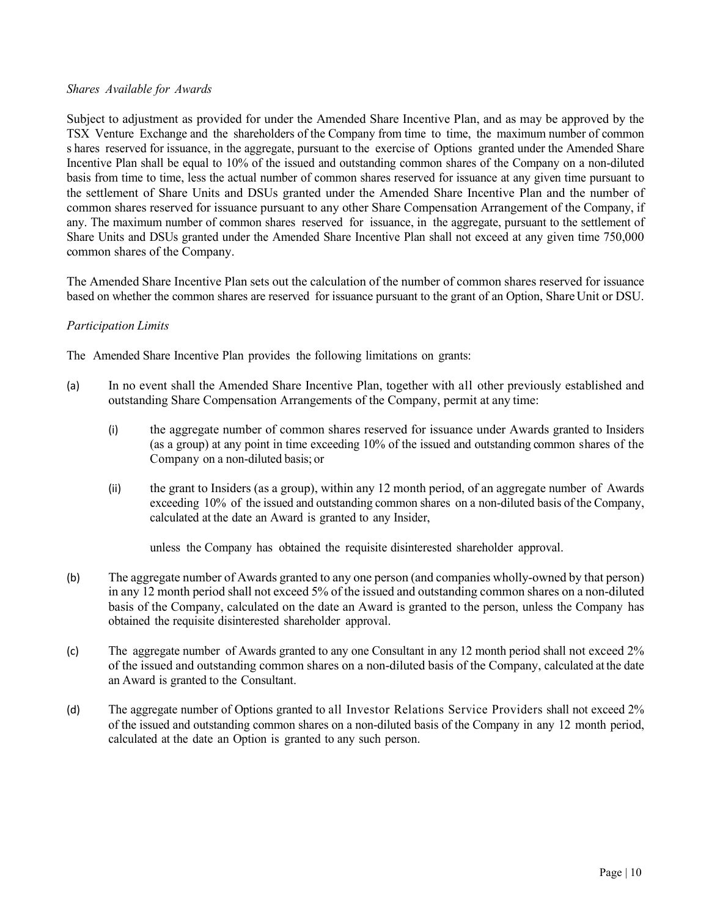# *Shares Available for Awards*

Subject to adjustment as provided for under the Amended Share Incentive Plan, and as may be approved by the TSX Venture Exchange and the shareholders of the Company from time to time, the maximum number of common s hares reserved for issuance, in the aggregate, pursuant to the exercise of Options granted under the Amended Share Incentive Plan shall be equal to 10% of the issued and outstanding common shares of the Company on a non-diluted basis from time to time, less the actual number of common shares reserved for issuance at any given time pursuant to the settlement of Share Units and DSUs granted under the Amended Share Incentive Plan and the number of common shares reserved for issuance pursuant to any other Share Compensation Arrangement of the Company, if any. The maximum number of common shares reserved for issuance, in the aggregate, pursuant to the settlement of Share Units and DSUs granted under the Amended Share Incentive Plan shall not exceed at any given time 750,000 common shares of the Company.

The Amended Share Incentive Plan sets out the calculation of the number of common shares reserved for issuance based on whether the common shares are reserved for issuance pursuant to the grant of an Option, ShareUnit or DSU.

# *Participation Limits*

The Amended Share Incentive Plan provides the following limitations on grants:

- (a) In no event shall the Amended Share Incentive Plan, together with all other previously established and outstanding Share Compensation Arrangements of the Company, permit at any time:
	- (i) the aggregate number of common shares reserved for issuance under Awards granted to Insiders (as a group) at any point in time exceeding 10% of the issued and outstanding common shares of the Company on a non-diluted basis; or
	- (ii) the grant to Insiders (as a group), within any 12 month period, of an aggregate number of Awards exceeding 10% of the issued and outstanding common shares on a non-diluted basis of the Company, calculated at the date an Award is granted to any Insider,

unless the Company has obtained the requisite disinterested shareholder approval.

- (b) The aggregate number of Awards granted to any one person (and companies wholly-owned by that person) in any 12 month period shall not exceed 5% of the issued and outstanding common shares on a non-diluted basis of the Company, calculated on the date an Award is granted to the person, unless the Company has obtained the requisite disinterested shareholder approval.
- (c) The aggregate number of Awards granted to any one Consultant in any 12 month period shall not exceed 2% of the issued and outstanding common shares on a non-diluted basis of the Company, calculated at the date an Award is granted to the Consultant.
- (d) The aggregate number of Options granted to all Investor Relations Service Providers shall not exceed 2% of the issued and outstanding common shares on a non-diluted basis of the Company in any 12 month period, calculated at the date an Option is granted to any such person.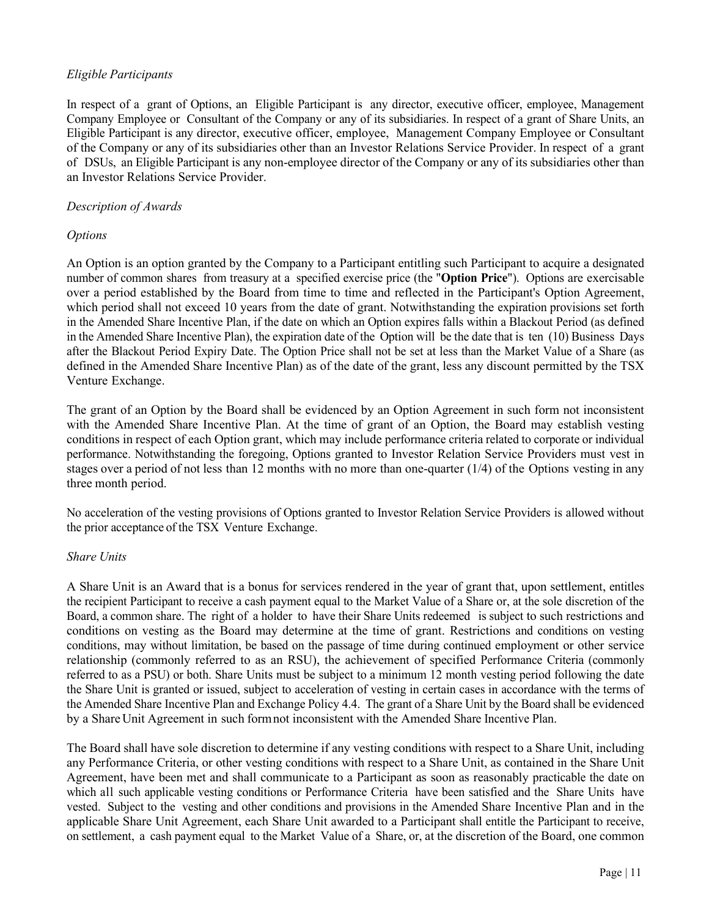# *Eligible Participants*

In respect of a grant of Options, an Eligible Participant is any director, executive officer, employee, Management Company Employee or Consultant of the Company or any of its subsidiaries. In respect of a grant of Share Units, an Eligible Participant is any director, executive officer, employee, Management Company Employee or Consultant of the Company or any of its subsidiaries other than an Investor Relations Service Provider. In respect of a grant of DSUs, an Eligible Participant is any non-employee director of the Company or any of its subsidiaries other than an Investor Relations Service Provider.

# *Description of Awards*

# *Options*

An Option is an option granted by the Company to a Participant entitling such Participant to acquire a designated number of common shares from treasury at a specified exercise price (the "**Option Price**"). Options are exercisable over a period established by the Board from time to time and reflected in the Participant's Option Agreement, which period shall not exceed 10 years from the date of grant. Notwithstanding the expiration provisions set forth in the Amended Share Incentive Plan, if the date on which an Option expires falls within a Blackout Period (as defined in the Amended Share Incentive Plan), the expiration date of the Option will be the date that is ten (10) Business Days after the Blackout Period Expiry Date. The Option Price shall not be set at less than the Market Value of a Share (as defined in the Amended Share Incentive Plan) as of the date of the grant, less any discount permitted by the TSX Venture Exchange.

The grant of an Option by the Board shall be evidenced by an Option Agreement in such form not inconsistent with the Amended Share Incentive Plan. At the time of grant of an Option, the Board may establish vesting conditions in respect of each Option grant, which may include performance criteria related to corporate or individual performance. Notwithstanding the foregoing, Options granted to Investor Relation Service Providers must vest in stages over a period of not less than 12 months with no more than one-quarter  $(1/4)$  of the Options vesting in any three month period.

No acceleration of the vesting provisions of Options granted to Investor Relation Service Providers is allowed without the prior acceptance of the TSX Venture Exchange.

# *Share Units*

A Share Unit is an Award that is a bonus for services rendered in the year of grant that, upon settlement, entitles the recipient Participant to receive a cash payment equal to the Market Value of a Share or, at the sole discretion of the Board, a common share. The right of a holder to have their Share Units redeemed is subject to such restrictions and conditions on vesting as the Board may determine at the time of grant. Restrictions and conditions on vesting conditions, may without limitation, be based on the passage of time during continued employment or other service relationship (commonly referred to as an RSU), the achievement of specified Performance Criteria (commonly referred to as a PSU) or both. Share Units must be subject to a minimum 12 month vesting period following the date the Share Unit is granted or issued, subject to acceleration of vesting in certain cases in accordance with the terms of the Amended Share Incentive Plan and Exchange Policy 4.4. The grant of a Share Unit by the Board shall be evidenced by a ShareUnit Agreement in such form not inconsistent with the Amended Share Incentive Plan.

The Board shall have sole discretion to determine if any vesting conditions with respect to a Share Unit, including any Performance Criteria, or other vesting conditions with respect to a Share Unit, as contained in the Share Unit Agreement, have been met and shall communicate to a Participant as soon as reasonably practicable the date on which all such applicable vesting conditions or Performance Criteria have been satisfied and the Share Units have vested. Subject to the vesting and other conditions and provisions in the Amended Share Incentive Plan and in the applicable Share Unit Agreement, each Share Unit awarded to a Participant shall entitle the Participant to receive, on settlement, a cash payment equal to the Market Value of a Share, or, at the discretion of the Board, one common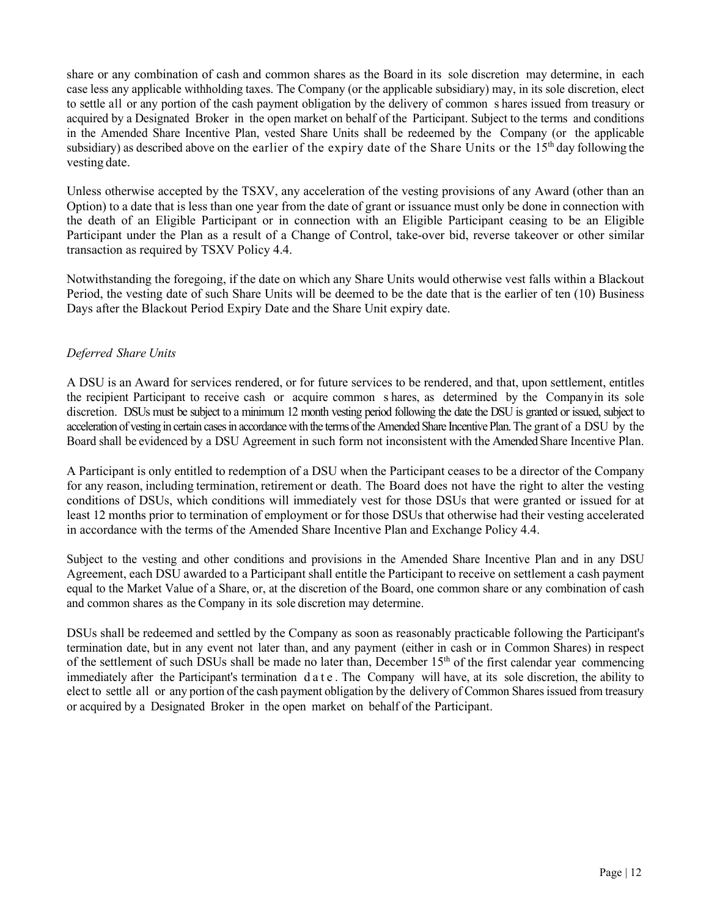share or any combination of cash and common shares as the Board in its sole discretion may determine, in each case less any applicable withholding taxes. The Company (or the applicable subsidiary) may, in its sole discretion, elect to settle all or any portion of the cash payment obligation by the delivery of common s hares issued from treasury or acquired by a Designated Broker in the open market on behalf of the Participant. Subject to the terms and conditions in the Amended Share Incentive Plan, vested Share Units shall be redeemed by the Company (or the applicable subsidiary) as described above on the earlier of the expiry date of the Share Units or the 15<sup>th</sup> day following the vesting date.

Unless otherwise accepted by the TSXV, any acceleration of the vesting provisions of any Award (other than an Option) to a date that is less than one year from the date of grant or issuance must only be done in connection with the death of an Eligible Participant or in connection with an Eligible Participant ceasing to be an Eligible Participant under the Plan as a result of a Change of Control, take-over bid, reverse takeover or other similar transaction as required by TSXV Policy 4.4.

Notwithstanding the foregoing, if the date on which any Share Units would otherwise vest falls within a Blackout Period, the vesting date of such Share Units will be deemed to be the date that is the earlier of ten (10) Business Days after the Blackout Period Expiry Date and the Share Unit expiry date.

# *Deferred Share Units*

A DSU is an Award for services rendered, or for future services to be rendered, and that, upon settlement, entitles the recipient Participant to receive cash or acquire common s hares, as determined by the Companyin its sole discretion. DSUs must be subject to a minimum 12 month vesting period following the date the DSU is granted or issued, subject to acceleration of vesting in certain cases in accordance with the terms of the Amended Share Incentive Plan. The grant of a DSU by the Board shall be evidenced by a DSU Agreement in such form not inconsistent with the Amended Share Incentive Plan.

A Participant is only entitled to redemption of a DSU when the Participant ceases to be a director of the Company for any reason, including termination, retirement or death. The Board does not have the right to alter the vesting conditions of DSUs, which conditions will immediately vest for those DSUs that were granted or issued for at least 12 months prior to termination of employment or for those DSUs that otherwise had their vesting accelerated in accordance with the terms of the Amended Share Incentive Plan and Exchange Policy 4.4.

Subject to the vesting and other conditions and provisions in the Amended Share Incentive Plan and in any DSU Agreement, each DSU awarded to a Participant shall entitle the Participant to receive on settlement a cash payment equal to the Market Value of a Share, or, at the discretion of the Board, one common share or any combination of cash and common shares as the Company in its sole discretion may determine.

DSUs shall be redeemed and settled by the Company as soon as reasonably practicable following the Participant's termination date, but in any event not later than, and any payment (either in cash or in Common Shares) in respect of the settlement of such DSUs shall be made no later than, December  $15<sup>th</sup>$  of the first calendar year commencing immediately after the Participant's termination date . The Company will have, at its sole discretion, the ability to elect to settle all or any portion of the cash payment obligation by the delivery of Common Shares issued from treasury or acquired by a Designated Broker in the open market on behalf of the Participant.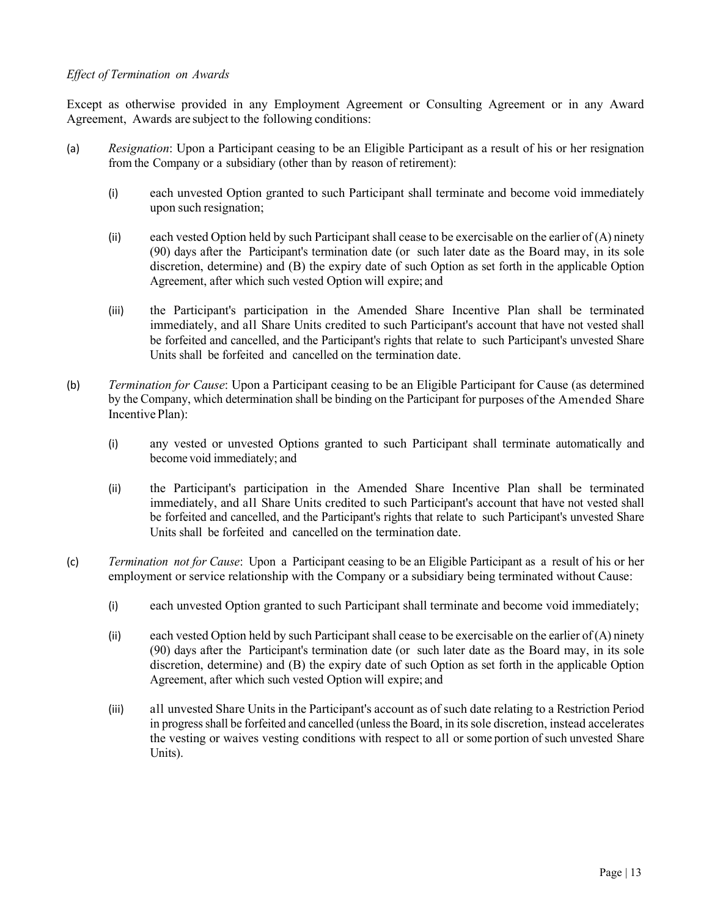# *Effect of Termination on Awards*

Except as otherwise provided in any Employment Agreement or Consulting Agreement or in any Award Agreement, Awards are subject to the following conditions:

- (a) *Resignation*: Upon a Participant ceasing to be an Eligible Participant as a result of his or her resignation from the Company or a subsidiary (other than by reason of retirement):
	- (i) each unvested Option granted to such Participant shall terminate and become void immediately upon such resignation;
	- (ii) each vested Option held by such Participant shall cease to be exercisable on the earlier of  $(A)$  ninety (90) days after the Participant's termination date (or such later date as the Board may, in its sole discretion, determine) and (B) the expiry date of such Option as set forth in the applicable Option Agreement, after which such vested Option will expire; and
	- (iii) the Participant's participation in the Amended Share Incentive Plan shall be terminated immediately, and all Share Units credited to such Participant's account that have not vested shall be forfeited and cancelled, and the Participant's rights that relate to such Participant's unvested Share Units shall be forfeited and cancelled on the termination date.
- (b) *Termination for Cause*: Upon a Participant ceasing to be an Eligible Participant for Cause (as determined by the Company, which determination shall be binding on the Participant for purposes of the Amended Share Incentive Plan):
	- (i) any vested or unvested Options granted to such Participant shall terminate automatically and become void immediately; and
	- (ii) the Participant's participation in the Amended Share Incentive Plan shall be terminated immediately, and all Share Units credited to such Participant's account that have not vested shall be forfeited and cancelled, and the Participant's rights that relate to such Participant's unvested Share Units shall be forfeited and cancelled on the termination date.
- (c) *Termination not for Cause*: Upon a Participant ceasing to be an Eligible Participant as a result of his or her employment or service relationship with the Company or a subsidiary being terminated without Cause:
	- (i) each unvested Option granted to such Participant shall terminate and become void immediately;
	- (ii) each vested Option held by such Participant shall cease to be exercisable on the earlier of  $(A)$  ninety (90) days after the Participant's termination date (or such later date as the Board may, in its sole discretion, determine) and (B) the expiry date of such Option as set forth in the applicable Option Agreement, after which such vested Option will expire; and
	- (iii) all unvested Share Units in the Participant's account as of such date relating to a Restriction Period in progress shall be forfeited and cancelled (unless the Board, in itssole discretion, instead accelerates the vesting or waives vesting conditions with respect to all or some portion of such unvested Share Units).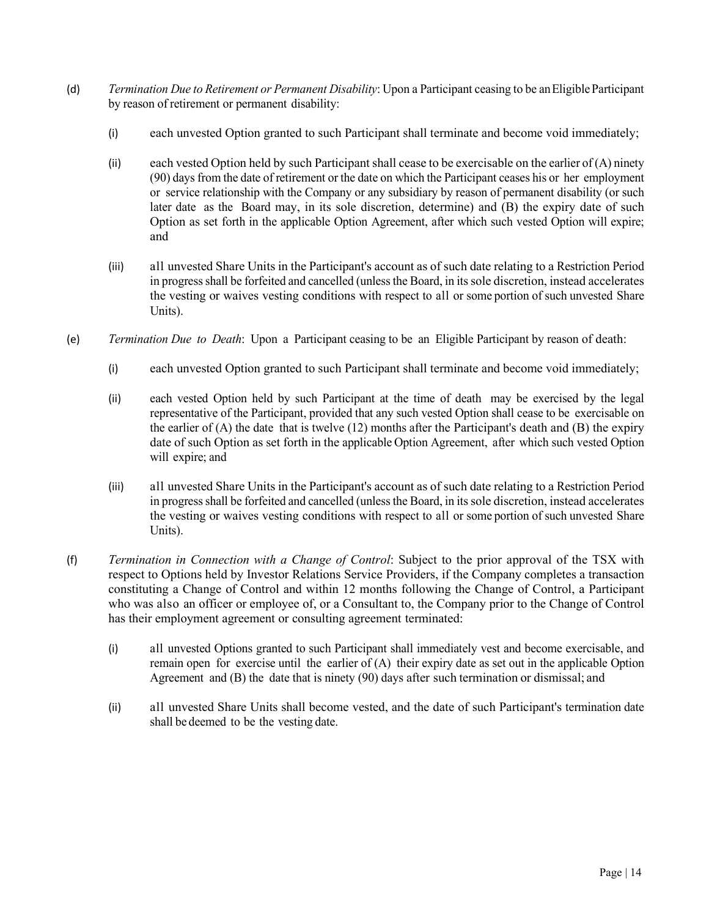- (d) *Termination Due to Retirement or Permanent Disability*: Upon a Participant ceasing to be an EligibleParticipant by reason of retirement or permanent disability:
	- (i) each unvested Option granted to such Participant shall terminate and become void immediately;
	- (ii) each vested Option held by such Participant shall cease to be exercisable on the earlier of  $(A)$  ninety (90) days from the date of retirement or the date on which the Participant ceases his or her employment or service relationship with the Company or any subsidiary by reason of permanent disability (or such later date as the Board may, in its sole discretion, determine) and (B) the expiry date of such Option as set forth in the applicable Option Agreement, after which such vested Option will expire; and
	- (iii) all unvested Share Units in the Participant's account as of such date relating to a Restriction Period in progress shall be forfeited and cancelled (unless the Board, in itssole discretion, instead accelerates the vesting or waives vesting conditions with respect to all or some portion of such unvested Share Units).
- (e) *Termination Due to Death*: Upon a Participant ceasing to be an Eligible Participant by reason of death:
	- (i) each unvested Option granted to such Participant shall terminate and become void immediately;
	- (ii) each vested Option held by such Participant at the time of death may be exercised by the legal representative of the Participant, provided that any such vested Option shall cease to be exercisable on the earlier of (A) the date that is twelve (12) months after the Participant's death and (B) the expiry date of such Option as set forth in the applicable Option Agreement, after which such vested Option will expire; and
	- (iii) all unvested Share Units in the Participant's account as of such date relating to a Restriction Period in progress shall be forfeited and cancelled (unless the Board, in itssole discretion, instead accelerates the vesting or waives vesting conditions with respect to all or some portion of such unvested Share Units).
- (f) *Termination in Connection with a Change of Control*: Subject to the prior approval of the TSX with respect to Options held by Investor Relations Service Providers, if the Company completes a transaction constituting a Change of Control and within 12 months following the Change of Control, a Participant who was also an officer or employee of, or a Consultant to, the Company prior to the Change of Control has their employment agreement or consulting agreement terminated:
	- (i) all unvested Options granted to such Participant shall immediately vest and become exercisable, and remain open for exercise until the earlier of (A) their expiry date as set out in the applicable Option Agreement and (B) the date that is ninety (90) days after such termination or dismissal; and
	- (ii) all unvested Share Units shall become vested, and the date of such Participant's termination date shall be deemed to be the vesting date.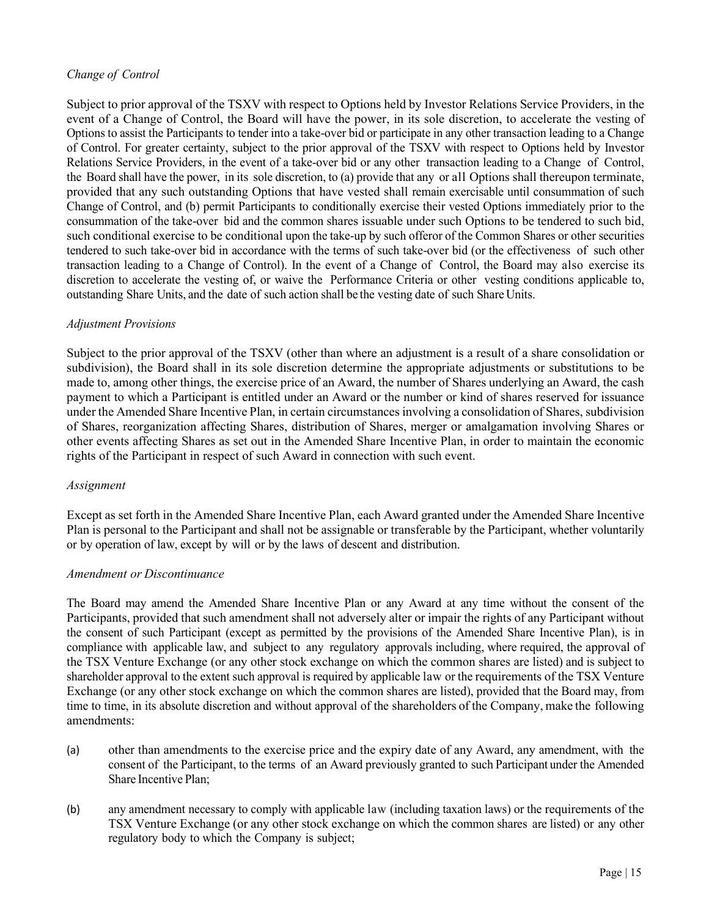# *Change of Control*

Subject to prior approval of the TSXV with respect to Options held by Investor Relations Service Providers, in the event of a Change of Control, the Board will have the power, in its sole discretion, to accelerate the vesting of Options to assist the Participants to tender into a take-over bid or participate in any other transaction leading to a Change of Control. For greater certainty, subject to the prior approval of the TSXV with respect to Options held by Investor Relations Service Providers, in the event of a take-over bid or any other transaction leading to a Change of Control, the Board shall have the power, in its sole discretion, to (a) provide that any or all Options shall thereupon terminate, provided that any such outstanding Options that have vested shall remain exercisable until consummation of such Change of Control, and (b) permit Participants to conditionally exercise their vested Options immediately prior to the consummation of the take-over bid and the common shares issuable under such Options to be tendered to such bid, such conditional exercise to be conditional upon the take-up by such offeror of the Common Shares or other securities tendered to such take-over bid in accordance with the terms of such take-over bid (or the effectiveness of such other transaction leading to a Change of Control). In the event of a Change of Control, the Board may also exercise its discretion to accelerate the vesting of, or waive the Performance Criteria or other vesting conditions applicable to, outstanding Share Units, and the date of such action shall be the vesting date of such Share Units.

# *Adjustment Provisions*

Subject to the prior approval of the TSXV (other than where an adjustment is a result of a share consolidation or subdivision), the Board shall in its sole discretion determine the appropriate adjustments or substitutions to be made to, among other things, the exercise price of an Award, the number of Shares underlying an Award, the cash payment to which a Participant is entitled under an Award or the number or kind of shares reserved for issuance under the Amended Share Incentive Plan, in certain circumstances involving a consolidation of Shares, subdivision of Shares, reorganization affecting Shares, distribution of Shares, merger or amalgamation involving Shares or other events affecting Shares as set out in the Amended Share Incentive Plan, in order to maintain the economic rights of the Participant in respect of such Award in connection with such event.

# *Assignment*

Except as set forth in the Amended Share Incentive Plan, each Award granted under the Amended Share Incentive Plan is personal to the Participant and shall not be assignable or transferable by the Participant, whether voluntarily or by operation of law, except by will or by the laws of descent and distribution.

# *Amendment or Discontinuance*

The Board may amend the Amended Share Incentive Plan or any Award at any time without the consent of the Participants, provided that such amendment shall not adversely alter or impair the rights of any Participant without the consent of such Participant (except as permitted by the provisions of the Amended Share Incentive Plan), is in compliance with applicable law, and subject to any regulatory approvals including, where required, the approval of the TSX Venture Exchange (or any other stock exchange on which the common shares are listed) and is subject to shareholder approval to the extent such approval is required by applicable law or the requirements of the TSX Venture Exchange (or any other stock exchange on which the common shares are listed), provided that the Board may, from time to time, in its absolute discretion and without approval of the shareholders of the Company, make the following amendments:

- (a) other than amendments to the exercise price and the expiry date of any Award, any amendment, with the consent of the Participant, to the terms of an Award previously granted to such Participant under the Amended Share Incentive Plan;
- (b) any amendment necessary to comply with applicable law (including taxation laws) or the requirements of the TSX Venture Exchange (or any other stock exchange on which the common shares are listed) or any other regulatory body to which the Company is subject;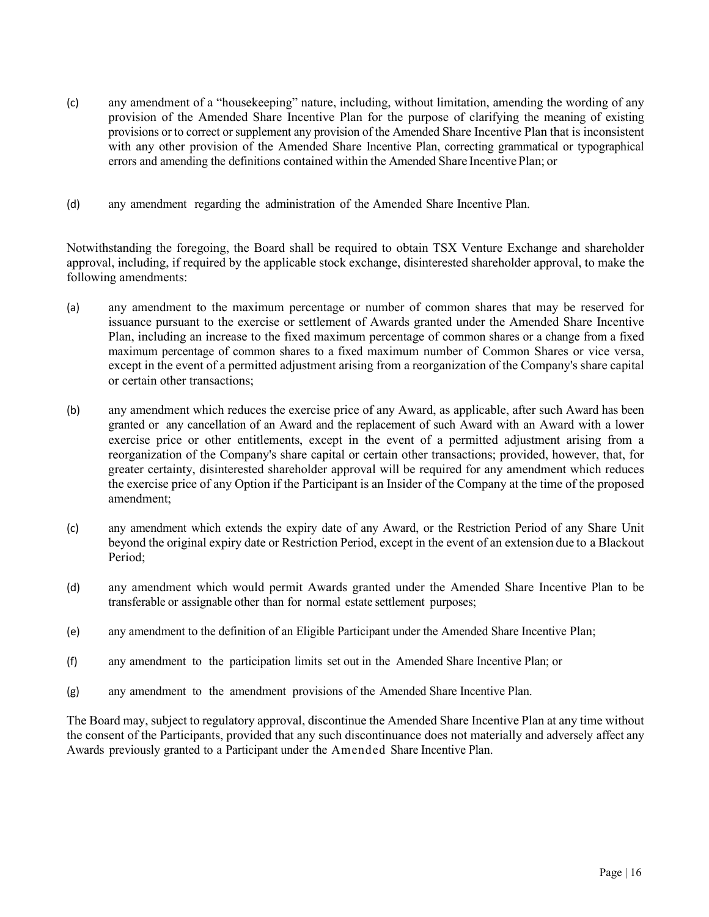- (c) any amendment of a "housekeeping" nature, including, without limitation, amending the wording of any provision of the Amended Share Incentive Plan for the purpose of clarifying the meaning of existing provisions or to correct or supplement any provision of the Amended Share Incentive Plan that is inconsistent with any other provision of the Amended Share Incentive Plan, correcting grammatical or typographical errors and amending the definitions contained within the Amended Share Incentive Plan; or
- (d) any amendment regarding the administration of the Amended Share Incentive Plan.

Notwithstanding the foregoing, the Board shall be required to obtain TSX Venture Exchange and shareholder approval, including, if required by the applicable stock exchange, disinterested shareholder approval, to make the following amendments:

- (a) any amendment to the maximum percentage or number of common shares that may be reserved for issuance pursuant to the exercise or settlement of Awards granted under the Amended Share Incentive Plan, including an increase to the fixed maximum percentage of common shares or a change from a fixed maximum percentage of common shares to a fixed maximum number of Common Shares or vice versa, except in the event of a permitted adjustment arising from a reorganization of the Company's share capital or certain other transactions;
- (b) any amendment which reduces the exercise price of any Award, as applicable, after such Award has been granted or any cancellation of an Award and the replacement of such Award with an Award with a lower exercise price or other entitlements, except in the event of a permitted adjustment arising from a reorganization of the Company's share capital or certain other transactions; provided, however, that, for greater certainty, disinterested shareholder approval will be required for any amendment which reduces the exercise price of any Option if the Participant is an Insider of the Company at the time of the proposed amendment;
- (c) any amendment which extends the expiry date of any Award, or the Restriction Period of any Share Unit beyond the original expiry date or Restriction Period, except in the event of an extension due to a Blackout Period;
- (d) any amendment which would permit Awards granted under the Amended Share Incentive Plan to be transferable or assignable other than for normal estate settlement purposes;
- (e) any amendment to the definition of an Eligible Participant under the Amended Share Incentive Plan;
- (f) any amendment to the participation limits set out in the Amended Share Incentive Plan; or
- (g) any amendment to the amendment provisions of the Amended Share Incentive Plan.

The Board may, subject to regulatory approval, discontinue the Amended Share Incentive Plan at any time without the consent of the Participants, provided that any such discontinuance does not materially and adversely affect any Awards previously granted to a Participant under the Amended Share Incentive Plan.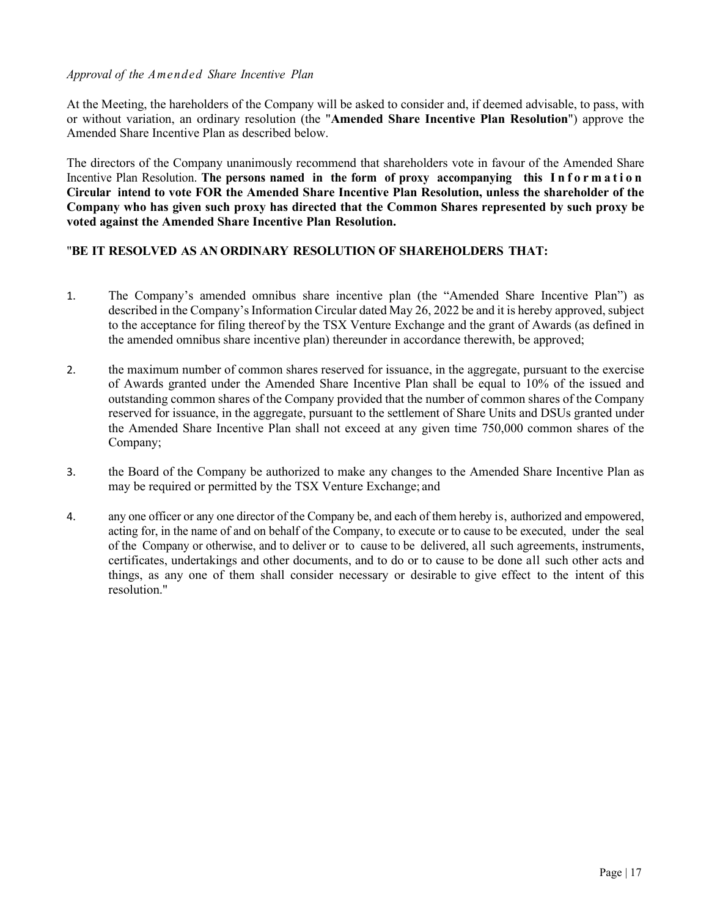#### *Approval of the Amended Share Incentive Plan*

At the Meeting, the hareholders of the Company will be asked to consider and, if deemed advisable, to pass, with or without variation, an ordinary resolution (the "**Amended Share Incentive Plan Resolution**") approve the Amended Share Incentive Plan as described below.

The directors of the Company unanimously recommend that shareholders vote in favour of the Amended Share Incentive Plan Resolution. **The persons named in the form of proxy accompanying this Information Circular intend to vote FOR the Amended Share Incentive Plan Resolution, unless the shareholder of the Company who has given such proxy has directed that the Common Shares represented by such proxy be voted against the Amended Share Incentive Plan Resolution.**

# "**BE IT RESOLVED AS AN ORDINARY RESOLUTION OF SHAREHOLDERS THAT:**

- 1. The Company's amended omnibus share incentive plan (the "Amended Share Incentive Plan") as described in the Company's Information Circular dated May 26, 2022 be and it is hereby approved, subject to the acceptance for filing thereof by the TSX Venture Exchange and the grant of Awards (as defined in the amended omnibus share incentive plan) thereunder in accordance therewith, be approved;
- 2. the maximum number of common shares reserved for issuance, in the aggregate, pursuant to the exercise of Awards granted under the Amended Share Incentive Plan shall be equal to 10% of the issued and outstanding common shares of the Company provided that the number of common shares of the Company reserved for issuance, in the aggregate, pursuant to the settlement of Share Units and DSUs granted under the Amended Share Incentive Plan shall not exceed at any given time 750,000 common shares of the Company;
- 3. the Board of the Company be authorized to make any changes to the Amended Share Incentive Plan as may be required or permitted by the TSX Venture Exchange; and
- 4. any one officer or any one director of the Company be, and each of them hereby is, authorized and empowered, acting for, in the name of and on behalf of the Company, to execute or to cause to be executed, under the seal of the Company or otherwise, and to deliver or to cause to be delivered, all such agreements, instruments, certificates, undertakings and other documents, and to do or to cause to be done all such other acts and things, as any one of them shall consider necessary or desirable to give effect to the intent of this resolution."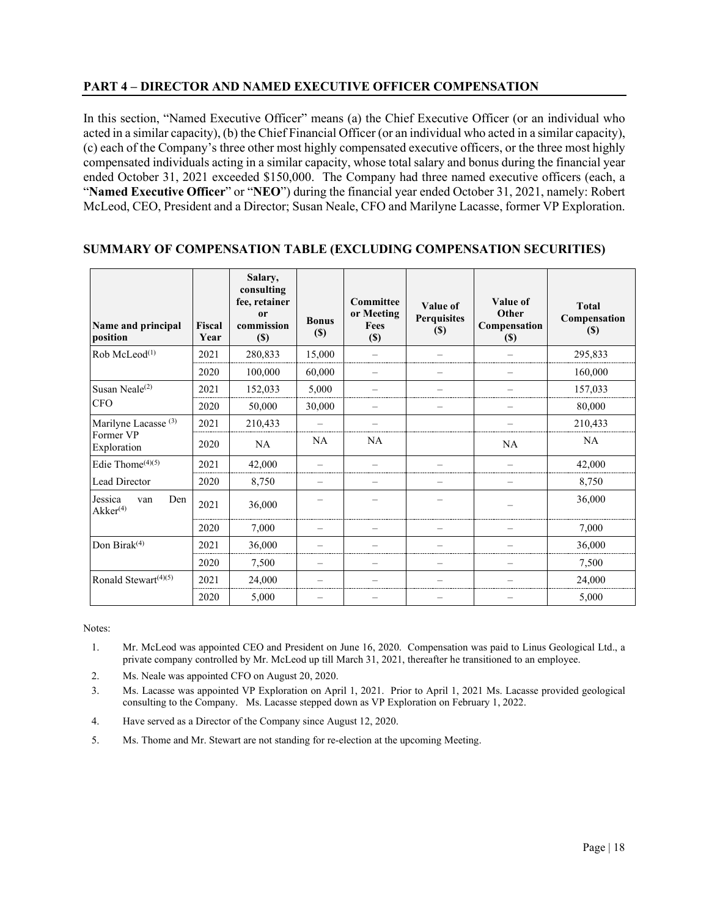# **PART 4 – DIRECTOR AND NAMED EXECUTIVE OFFICER COMPENSATION**

In this section, "Named Executive Officer" means (a) the Chief Executive Officer (or an individual who acted in a similar capacity), (b) the Chief Financial Officer (or an individual who acted in a similar capacity), (c) each of the Company's three other most highly compensated executive officers, or the three most highly compensated individuals acting in a similar capacity, whose total salary and bonus during the financial year ended October 31, 2021 exceeded \$150,000. The Company had three named executive officers (each, a "**Named Executive Officer**" or "**NEO**") during the financial year ended October 31, 2021, namely: Robert McLeod, CEO, President and a Director; Susan Neale, CFO and Marilyne Lacasse, former VP Exploration.

| Name and principal<br>position                              | <b>Fiscal</b><br>Year | Salary,<br>consulting<br>fee, retainer<br><sub>or</sub><br>commission<br>$(\$)$ | <b>Bonus</b><br>$(\$)$ | Committee<br>or Meeting<br>Fees<br>$(\$)$ | Value of<br><b>Perquisites</b><br>$(\$)$ | Value of<br>Other<br>Compensation<br>$\left( \mathbb{S}\right)$ | <b>Total</b><br>Compensation<br>(S) |
|-------------------------------------------------------------|-----------------------|---------------------------------------------------------------------------------|------------------------|-------------------------------------------|------------------------------------------|-----------------------------------------------------------------|-------------------------------------|
| Rob McLeod <sup>(1)</sup>                                   | 2021                  | 280,833                                                                         | 15,000                 |                                           |                                          |                                                                 | 295,833                             |
|                                                             | 2020                  | 100,000                                                                         | 60,000                 |                                           |                                          |                                                                 | 160,000                             |
| Susan Neale $(2)$                                           | 2021                  | 152,033                                                                         | 5,000                  |                                           |                                          |                                                                 | 157,033                             |
| <b>CFO</b>                                                  | 2020                  | 50,000                                                                          | 30,000                 |                                           |                                          |                                                                 | 80,000                              |
| Marilyne Lacasse <sup>(3)</sup><br>Former VP<br>Exploration | 2021                  | 210,433                                                                         |                        |                                           |                                          |                                                                 | 210,433                             |
|                                                             | 2020                  | <b>NA</b>                                                                       | <b>NA</b>              | <b>NA</b>                                 |                                          | <b>NA</b>                                                       | <b>NA</b>                           |
| Edie Thome <sup>(4)(5)</sup>                                | 2021                  | 42,000                                                                          |                        |                                           |                                          |                                                                 | 42,000                              |
| Lead Director                                               | 2020                  | 8,750                                                                           |                        |                                           |                                          |                                                                 | 8,750                               |
| Jessica<br>Den<br>van<br>$A$ k $ker$ <sup>(4)</sup>         | 2021                  | 36,000                                                                          |                        |                                           |                                          |                                                                 | 36,000                              |
|                                                             | 2020                  | 7,000                                                                           |                        |                                           |                                          |                                                                 | 7,000                               |
| Don Birak <sup>(4)</sup>                                    | 2021                  | 36,000                                                                          |                        |                                           |                                          |                                                                 | 36,000                              |
|                                                             | 2020                  | 7,500                                                                           |                        |                                           |                                          |                                                                 | 7,500                               |
| Ronald Stewart $(4)(5)$                                     | 2021                  | 24,000                                                                          |                        |                                           |                                          |                                                                 | 24,000                              |
|                                                             | 2020                  | 5,000                                                                           |                        |                                           |                                          |                                                                 | 5,000                               |

# **SUMMARY OF COMPENSATION TABLE (EXCLUDING COMPENSATION SECURITIES)**

Notes:

- 1. Mr. McLeod was appointed CEO and President on June 16, 2020. Compensation was paid to Linus Geological Ltd., a private company controlled by Mr. McLeod up till March 31, 2021, thereafter he transitioned to an employee.
- 2. Ms. Neale was appointed CFO on August 20, 2020.
- 3. Ms. Lacasse was appointed VP Exploration on April 1, 2021. Prior to April 1, 2021 Ms. Lacasse provided geological consulting to the Company. Ms. Lacasse stepped down as VP Exploration on February 1, 2022.
- 4. Have served as a Director of the Company since August 12, 2020.
- 5. Ms. Thome and Mr. Stewart are not standing for re-election at the upcoming Meeting.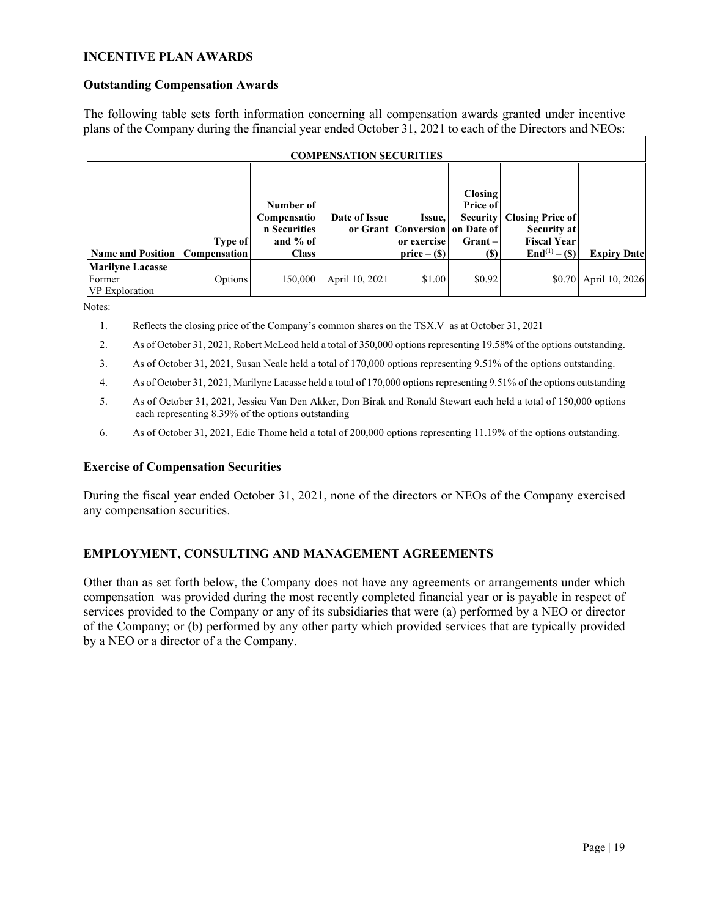# **INCENTIVE PLAN AWARDS**

### **Outstanding Compensation Awards**

The following table sets forth information concerning all compensation awards granted under incentive plans of the Company during the financial year ended October 31, 2021 to each of the Directors and NEOs:

| <b>COMPENSATION SECURITIES</b>                             |                                       |                                                                               |                |                                                                           |                                                            |                                                                                           |                       |
|------------------------------------------------------------|---------------------------------------|-------------------------------------------------------------------------------|----------------|---------------------------------------------------------------------------|------------------------------------------------------------|-------------------------------------------------------------------------------------------|-----------------------|
| Name and Position                                          | <b>Type of</b><br><b>Compensation</b> | Number of<br><b>Compensatio</b><br>n Securities<br>and $%$ of<br><b>Class</b> | Date of Issue  | Issue,<br>or Grant Conversion on Date of<br>or exercise<br>$price - (\$)$ | Closing<br>Price of<br><b>Security</b><br>$Grant -$<br>(S) | <b>Closing Price of</b><br>Security at<br><b>Fiscal Year</b><br>$\text{End}^{(1)} - (\$)$ | <b>Expiry Date</b>    |
| <b>Marilyne Lacasse</b><br>Former<br><b>VP</b> Exploration | Options                               | 150,000                                                                       | April 10, 2021 | \$1.00                                                                    | \$0.92                                                     |                                                                                           | \$0.70 April 10, 2026 |

Notes:

- 1. Reflects the closing price of the Company's common shares on the TSX.V as at October 31, 2021
- 2. As of October 31, 2021, Robert McLeod held a total of 350,000 options representing 19.58% of the options outstanding.
- 3. As of October 31, 2021, Susan Neale held a total of 170,000 options representing 9.51% of the options outstanding.
- 4. As of October 31, 2021, Marilyne Lacasse held a total of 170,000 options representing 9.51% of the options outstanding
- 5. As of October 31, 2021, Jessica Van Den Akker, Don Birak and Ronald Stewart each held a total of 150,000 options each representing 8.39% of the options outstanding
- 6. As of October 31, 2021, Edie Thome held a total of 200,000 options representing 11.19% of the options outstanding.

#### **Exercise of Compensation Securities**

During the fiscal year ended October 31, 2021, none of the directors or NEOs of the Company exercised any compensation securities.

# **EMPLOYMENT, CONSULTING AND MANAGEMENT AGREEMENTS**

Other than as set forth below, the Company does not have any agreements or arrangements under which compensation was provided during the most recently completed financial year or is payable in respect of services provided to the Company or any of its subsidiaries that were (a) performed by a NEO or director of the Company; or (b) performed by any other party which provided services that are typically provided by a NEO or a director of a the Company.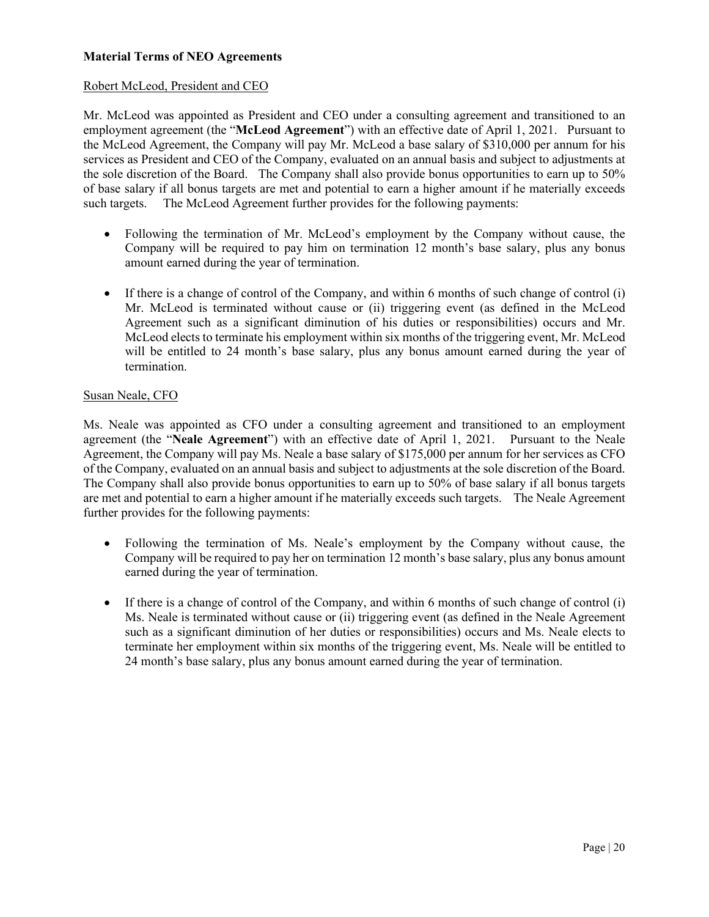# **Material Terms of NEO Agreements**

# Robert McLeod, President and CEO

Mr. McLeod was appointed as President and CEO under a consulting agreement and transitioned to an employment agreement (the "**McLeod Agreement**") with an effective date of April 1, 2021. Pursuant to the McLeod Agreement, the Company will pay Mr. McLeod a base salary of \$310,000 per annum for his services as President and CEO of the Company, evaluated on an annual basis and subject to adjustments at the sole discretion of the Board. The Company shall also provide bonus opportunities to earn up to 50% of base salary if all bonus targets are met and potential to earn a higher amount if he materially exceeds such targets. The McLeod Agreement further provides for the following payments:

- Following the termination of Mr. McLeod's employment by the Company without cause, the Company will be required to pay him on termination 12 month's base salary, plus any bonus amount earned during the year of termination.
- If there is a change of control of the Company, and within 6 months of such change of control (i) Mr. McLeod is terminated without cause or (ii) triggering event (as defined in the McLeod Agreement such as a significant diminution of his duties or responsibilities) occurs and Mr. McLeod elects to terminate his employment within six months of the triggering event, Mr. McLeod will be entitled to 24 month's base salary, plus any bonus amount earned during the year of termination.

# Susan Neale, CFO

Ms. Neale was appointed as CFO under a consulting agreement and transitioned to an employment agreement (the "**Neale Agreement**") with an effective date of April 1, 2021. Pursuant to the Neale Agreement, the Company will pay Ms. Neale a base salary of \$175,000 per annum for her services as CFO of the Company, evaluated on an annual basis and subject to adjustments at the sole discretion of the Board. The Company shall also provide bonus opportunities to earn up to 50% of base salary if all bonus targets are met and potential to earn a higher amount if he materially exceeds such targets. The Neale Agreement further provides for the following payments:

- Following the termination of Ms. Neale's employment by the Company without cause, the Company will be required to pay her on termination 12 month's base salary, plus any bonus amount earned during the year of termination.
- If there is a change of control of the Company, and within 6 months of such change of control (i) Ms. Neale is terminated without cause or (ii) triggering event (as defined in the Neale Agreement such as a significant diminution of her duties or responsibilities) occurs and Ms. Neale elects to terminate her employment within six months of the triggering event, Ms. Neale will be entitled to 24 month's base salary, plus any bonus amount earned during the year of termination.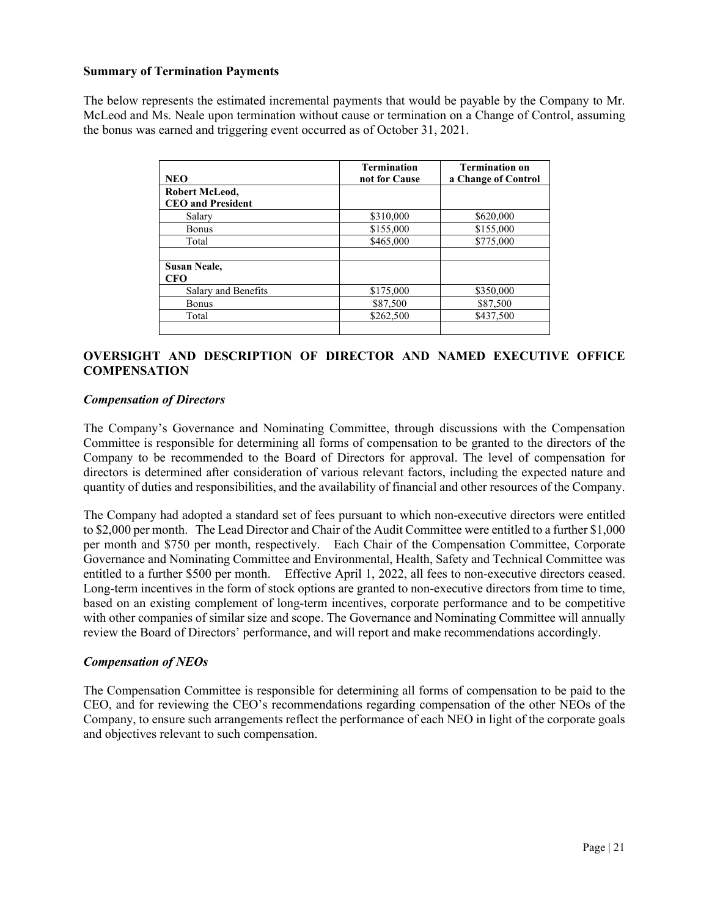#### **Summary of Termination Payments**

The below represents the estimated incremental payments that would be payable by the Company to Mr. McLeod and Ms. Neale upon termination without cause or termination on a Change of Control, assuming the bonus was earned and triggering event occurred as of October 31, 2021.

| <b>NEO</b>               | <b>Termination</b><br>not for Cause | <b>Termination on</b><br>a Change of Control |
|--------------------------|-------------------------------------|----------------------------------------------|
| Robert McLeod,           |                                     |                                              |
| <b>CEO</b> and President |                                     |                                              |
| Salary                   | \$310,000                           | \$620,000                                    |
| <b>Bonus</b>             | \$155,000                           | \$155,000                                    |
| Total                    | \$465,000                           | \$775,000                                    |
| <b>Susan Neale,</b>      |                                     |                                              |
| CFO                      |                                     |                                              |
| Salary and Benefits      | \$175,000                           | \$350,000                                    |
| <b>Bonus</b>             | \$87,500                            | \$87,500                                     |
| Total                    | \$262,500                           | \$437,500                                    |
|                          |                                     |                                              |

# **OVERSIGHT AND DESCRIPTION OF DIRECTOR AND NAMED EXECUTIVE OFFICE COMPENSATION**

#### *Compensation of Directors*

The Company's Governance and Nominating Committee, through discussions with the Compensation Committee is responsible for determining all forms of compensation to be granted to the directors of the Company to be recommended to the Board of Directors for approval. The level of compensation for directors is determined after consideration of various relevant factors, including the expected nature and quantity of duties and responsibilities, and the availability of financial and other resources of the Company.

The Company had adopted a standard set of fees pursuant to which non-executive directors were entitled to \$2,000 per month. The Lead Director and Chair of the Audit Committee were entitled to a further \$1,000 per month and \$750 per month, respectively. Each Chair of the Compensation Committee, Corporate Governance and Nominating Committee and Environmental, Health, Safety and Technical Committee was entitled to a further \$500 per month. Effective April 1, 2022, all fees to non-executive directors ceased. Long-term incentives in the form of stock options are granted to non-executive directors from time to time, based on an existing complement of long-term incentives, corporate performance and to be competitive with other companies of similar size and scope. The Governance and Nominating Committee will annually review the Board of Directors' performance, and will report and make recommendations accordingly.

# *Compensation of NEOs*

The Compensation Committee is responsible for determining all forms of compensation to be paid to the CEO, and for reviewing the CEO's recommendations regarding compensation of the other NEOs of the Company, to ensure such arrangements reflect the performance of each NEO in light of the corporate goals and objectives relevant to such compensation.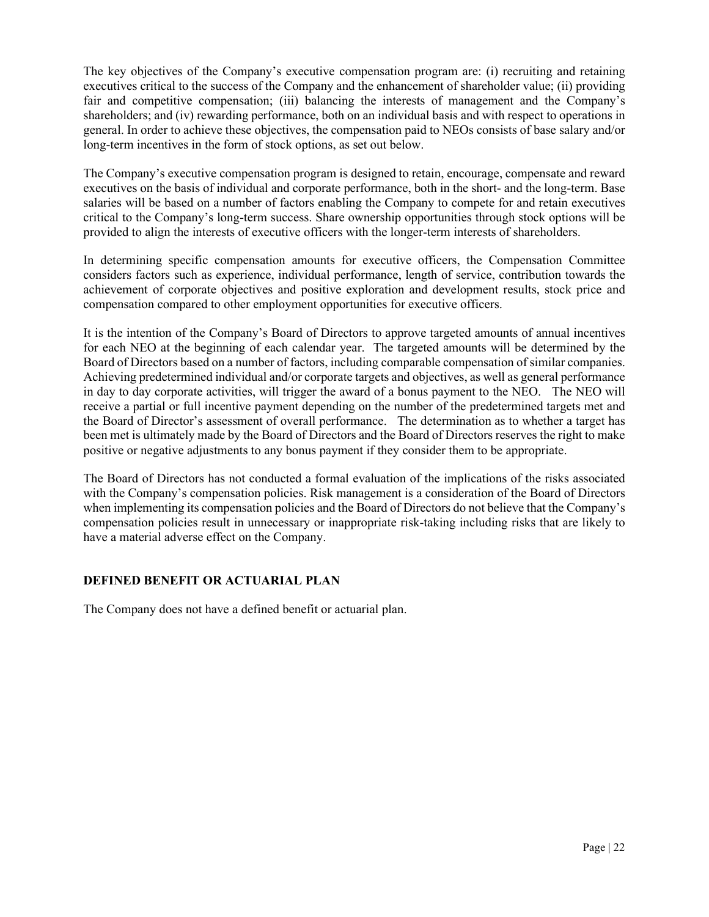The key objectives of the Company's executive compensation program are: (i) recruiting and retaining executives critical to the success of the Company and the enhancement of shareholder value; (ii) providing fair and competitive compensation; (iii) balancing the interests of management and the Company's shareholders; and (iv) rewarding performance, both on an individual basis and with respect to operations in general. In order to achieve these objectives, the compensation paid to NEOs consists of base salary and/or long-term incentives in the form of stock options, as set out below.

The Company's executive compensation program is designed to retain, encourage, compensate and reward executives on the basis of individual and corporate performance, both in the short- and the long-term. Base salaries will be based on a number of factors enabling the Company to compete for and retain executives critical to the Company's long-term success. Share ownership opportunities through stock options will be provided to align the interests of executive officers with the longer-term interests of shareholders.

In determining specific compensation amounts for executive officers, the Compensation Committee considers factors such as experience, individual performance, length of service, contribution towards the achievement of corporate objectives and positive exploration and development results, stock price and compensation compared to other employment opportunities for executive officers.

It is the intention of the Company's Board of Directors to approve targeted amounts of annual incentives for each NEO at the beginning of each calendar year. The targeted amounts will be determined by the Board of Directors based on a number of factors, including comparable compensation of similar companies. Achieving predetermined individual and/or corporate targets and objectives, as well as general performance in day to day corporate activities, will trigger the award of a bonus payment to the NEO. The NEO will receive a partial or full incentive payment depending on the number of the predetermined targets met and the Board of Director's assessment of overall performance. The determination as to whether a target has been met is ultimately made by the Board of Directors and the Board of Directors reserves the right to make positive or negative adjustments to any bonus payment if they consider them to be appropriate.

The Board of Directors has not conducted a formal evaluation of the implications of the risks associated with the Company's compensation policies. Risk management is a consideration of the Board of Directors when implementing its compensation policies and the Board of Directors do not believe that the Company's compensation policies result in unnecessary or inappropriate risk-taking including risks that are likely to have a material adverse effect on the Company.

# **DEFINED BENEFIT OR ACTUARIAL PLAN**

The Company does not have a defined benefit or actuarial plan.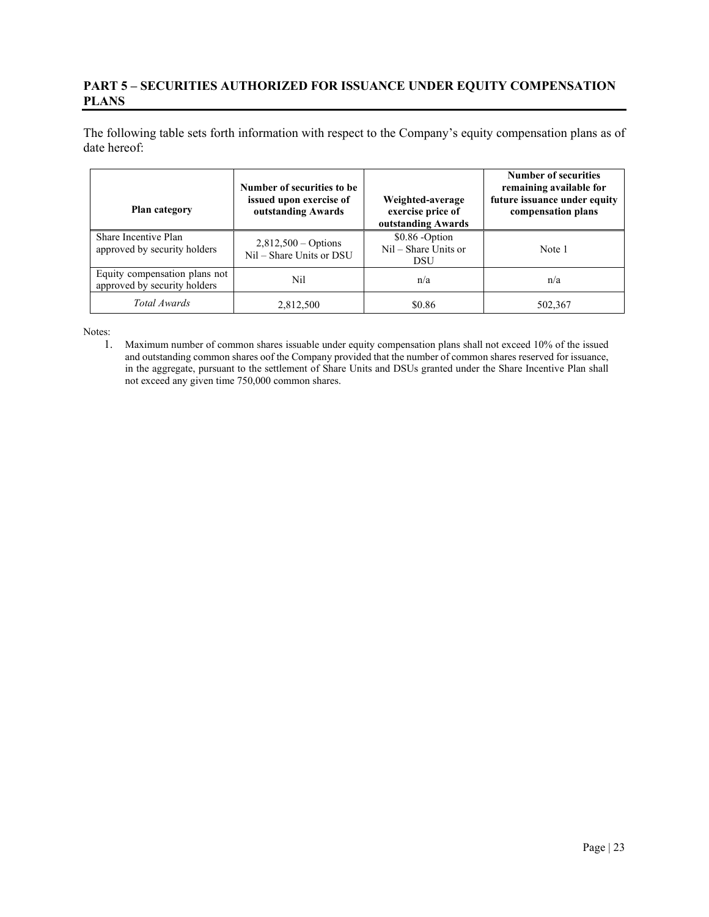# **PART 5 – SECURITIES AUTHORIZED FOR ISSUANCE UNDER EQUITY COMPENSATION PLANS**

The following table sets forth information with respect to the Company's equity compensation plans as of date hereof:

| Plan category                                                 | Number of securities to be<br>issued upon exercise of<br>outstanding Awards | Weighted-average<br>exercise price of<br>outstanding Awards | <b>Number of securities</b><br>remaining available for<br>future issuance under equity<br>compensation plans |
|---------------------------------------------------------------|-----------------------------------------------------------------------------|-------------------------------------------------------------|--------------------------------------------------------------------------------------------------------------|
| Share Incentive Plan<br>approved by security holders          | $2,812,500 - Options$<br>Nil - Share Units or DSU                           | \$0.86 -Option<br>$Nil - Share Units$ or<br>DSU             | Note 1                                                                                                       |
| Equity compensation plans not<br>approved by security holders | Nil                                                                         | n/a                                                         | n/a                                                                                                          |
| Total Awards                                                  | 2,812,500                                                                   | \$0.86                                                      | 502,367                                                                                                      |

Notes:

1. Maximum number of common shares issuable under equity compensation plans shall not exceed 10% of the issued and outstanding common shares oof the Company provided that the number of common shares reserved for issuance, in the aggregate, pursuant to the settlement of Share Units and DSUs granted under the Share Incentive Plan shall not exceed any given time 750,000 common shares.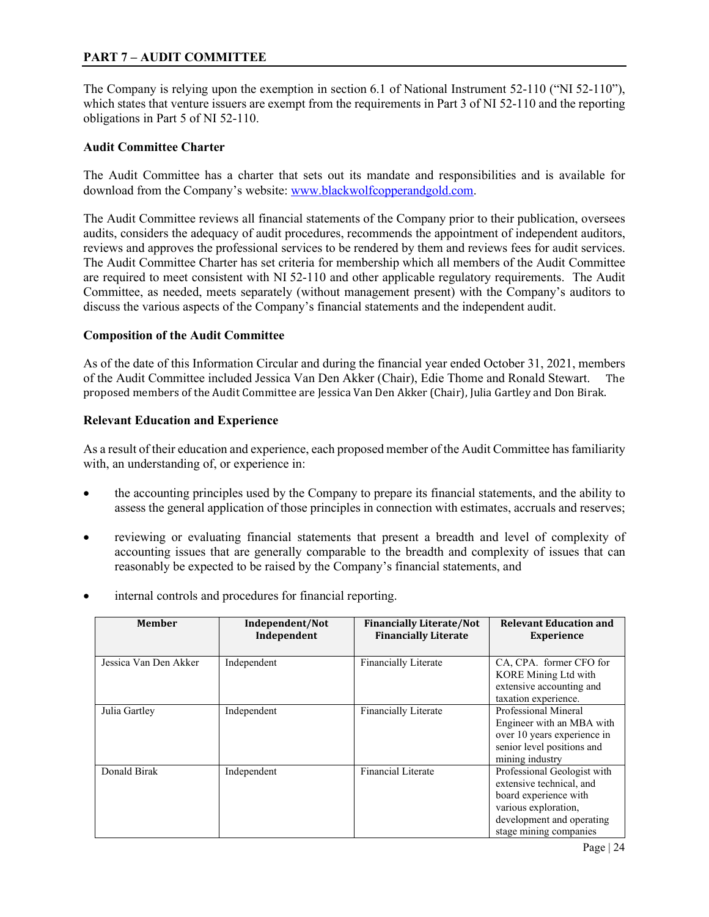# **PART 7 – AUDIT COMMITTEE**

The Company is relying upon the exemption in section 6.1 of National Instrument 52-110 ("NI 52-110"), which states that venture issuers are exempt from the requirements in Part 3 of NI 52-110 and the reporting obligations in Part 5 of NI 52-110.

### **Audit Committee Charter**

The Audit Committee has a charter that sets out its mandate and responsibilities and is available for download from the Company's website: [www.blackwolfcopperandgold.com.](http://www.blackwolfcopperandgold.com/)

The Audit Committee reviews all financial statements of the Company prior to their publication, oversees audits, considers the adequacy of audit procedures, recommends the appointment of independent auditors, reviews and approves the professional services to be rendered by them and reviews fees for audit services. The Audit Committee Charter has set criteria for membership which all members of the Audit Committee are required to meet consistent with NI 52-110 and other applicable regulatory requirements. The Audit Committee, as needed, meets separately (without management present) with the Company's auditors to discuss the various aspects of the Company's financial statements and the independent audit.

#### **Composition of the Audit Committee**

As of the date of this Information Circular and during the financial year ended October 31, 2021, members of the Audit Committee included Jessica Van Den Akker (Chair), Edie Thome and Ronald Stewart. The proposed members of the Audit Committee are Jessica Van Den Akker (Chair), Julia Gartley and Don Birak.

#### **Relevant Education and Experience**

As a result of their education and experience, each proposed member of the Audit Committee has familiarity with, an understanding of, or experience in:

- the accounting principles used by the Company to prepare its financial statements, and the ability to assess the general application of those principles in connection with estimates, accruals and reserves;
- reviewing or evaluating financial statements that present a breadth and level of complexity of accounting issues that are generally comparable to the breadth and complexity of issues that can reasonably be expected to be raised by the Company's financial statements, and
- internal controls and procedures for financial reporting.

| <b>Member</b>         | Independent/Not<br>Independent | <b>Financially Literate/Not</b><br><b>Financially Literate</b> | <b>Relevant Education and</b><br><b>Experience</b>                                                                                                              |
|-----------------------|--------------------------------|----------------------------------------------------------------|-----------------------------------------------------------------------------------------------------------------------------------------------------------------|
| Jessica Van Den Akker | Independent                    | <b>Financially Literate</b>                                    | CA, CPA. former CFO for<br>KORE Mining Ltd with<br>extensive accounting and<br>taxation experience.                                                             |
| Julia Gartley         | Independent                    | Financially Literate                                           | Professional Mineral<br>Engineer with an MBA with<br>over 10 years experience in<br>senior level positions and<br>mining industry                               |
| Donald Birak          | Independent                    | Financial Literate                                             | Professional Geologist with<br>extensive technical, and<br>board experience with<br>various exploration,<br>development and operating<br>stage mining companies |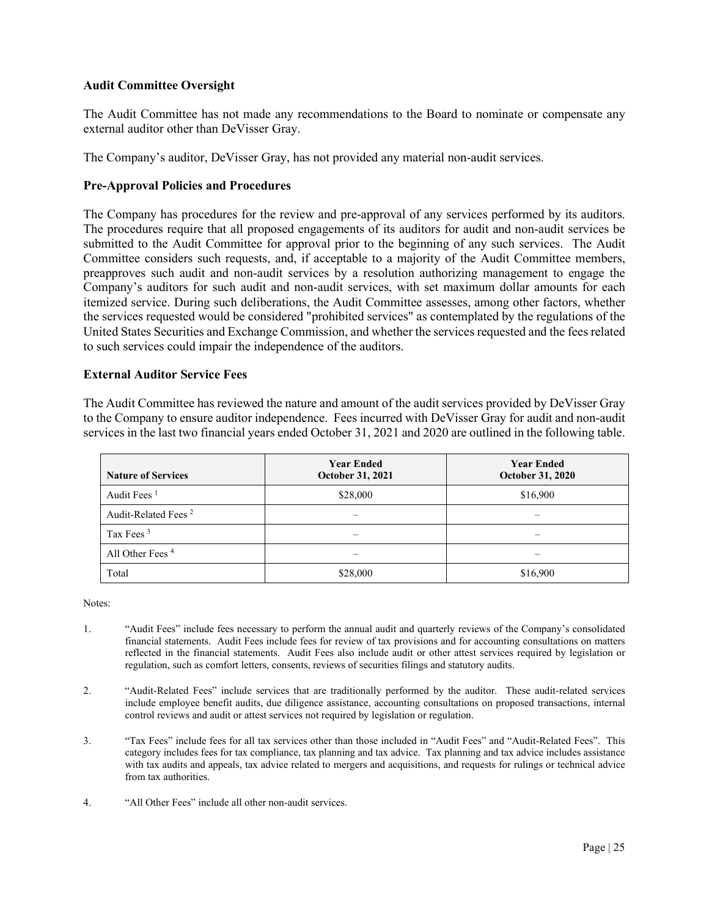# **Audit Committee Oversight**

The Audit Committee has not made any recommendations to the Board to nominate or compensate any external auditor other than DeVisser Gray.

The Company's auditor, DeVisser Gray, has not provided any material non-audit services.

#### **Pre‐Approval Policies and Procedures**

The Company has procedures for the review and pre-approval of any services performed by its auditors. The procedures require that all proposed engagements of its auditors for audit and non-audit services be submitted to the Audit Committee for approval prior to the beginning of any such services. The Audit Committee considers such requests, and, if acceptable to a majority of the Audit Committee members, preapproves such audit and non-audit services by a resolution authorizing management to engage the Company's auditors for such audit and non-audit services, with set maximum dollar amounts for each itemized service. During such deliberations, the Audit Committee assesses, among other factors, whether the services requested would be considered "prohibited services" as contemplated by the regulations of the United States Securities and Exchange Commission, and whether the services requested and the fees related to such services could impair the independence of the auditors.

#### **External Auditor Service Fees**

The Audit Committee has reviewed the nature and amount of the audit services provided by DeVisser Gray to the Company to ensure auditor independence. Fees incurred with DeVisser Gray for audit and non-audit services in the last two financial years ended October 31, 2021 and 2020 are outlined in the following table.

| <b>Nature of Services</b>       | <b>Year Ended</b><br>October 31, 2021 | <b>Year Ended</b><br><b>October 31, 2020</b> |
|---------------------------------|---------------------------------------|----------------------------------------------|
| Audit Fees $1$                  | \$28,000                              | \$16,900                                     |
| Audit-Related Fees <sup>2</sup> | –                                     |                                              |
| Tax Fees <sup>3</sup>           |                                       |                                              |
| All Other Fees <sup>4</sup>     |                                       |                                              |
| Total                           | \$28,000                              | \$16,900                                     |

Notes:

- 1. "Audit Fees" include fees necessary to perform the annual audit and quarterly reviews of the Company's consolidated financial statements. Audit Fees include fees for review of tax provisions and for accounting consultations on matters reflected in the financial statements. Audit Fees also include audit or other attest services required by legislation or regulation, such as comfort letters, consents, reviews of securities filings and statutory audits.
- 2. "Audit-Related Fees" include services that are traditionally performed by the auditor. These audit-related services include employee benefit audits, due diligence assistance, accounting consultations on proposed transactions, internal control reviews and audit or attest services not required by legislation or regulation.
- 3. "Tax Fees" include fees for all tax services other than those included in "Audit Fees" and "Audit-Related Fees". This category includes fees for tax compliance, tax planning and tax advice. Tax planning and tax advice includes assistance with tax audits and appeals, tax advice related to mergers and acquisitions, and requests for rulings or technical advice from tax authorities.
- 4. "All Other Fees" include all other non-audit services.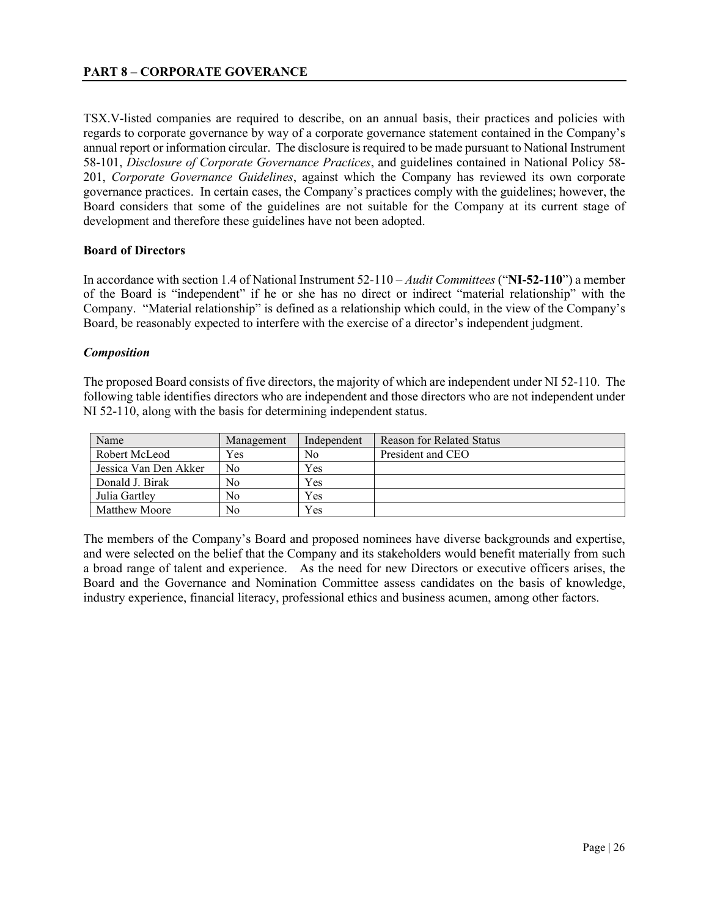TSX.V-listed companies are required to describe, on an annual basis, their practices and policies with regards to corporate governance by way of a corporate governance statement contained in the Company's annual report or information circular. The disclosure is required to be made pursuant to National Instrument 58-101, *Disclosure of Corporate Governance Practices*, and guidelines contained in National Policy 58- 201, *Corporate Governance Guidelines*, against which the Company has reviewed its own corporate governance practices. In certain cases, the Company's practices comply with the guidelines; however, the Board considers that some of the guidelines are not suitable for the Company at its current stage of development and therefore these guidelines have not been adopted.

#### **Board of Directors**

In accordance with section 1.4 of National Instrument 52-110 – *Audit Committees* ("**NI-52-110**") a member of the Board is "independent" if he or she has no direct or indirect "material relationship" with the Company. "Material relationship" is defined as a relationship which could, in the view of the Company's Board, be reasonably expected to interfere with the exercise of a director's independent judgment.

#### *Composition*

The proposed Board consists of five directors, the majority of which are independent under NI 52-110. The following table identifies directors who are independent and those directors who are not independent under NI 52-110, along with the basis for determining independent status.

| Name                  | Management | Independent | Reason for Related Status |
|-----------------------|------------|-------------|---------------------------|
| Robert McLeod         | Yes        | No          | President and CEO         |
| Jessica Van Den Akker | No         | Yes         |                           |
| Donald J. Birak       | No         | Yes         |                           |
| Julia Gartley         | No         | Yes         |                           |
| Matthew Moore         | No         | Yes         |                           |

The members of the Company's Board and proposed nominees have diverse backgrounds and expertise, and were selected on the belief that the Company and its stakeholders would benefit materially from such a broad range of talent and experience. As the need for new Directors or executive officers arises, the Board and the Governance and Nomination Committee assess candidates on the basis of knowledge, industry experience, financial literacy, professional ethics and business acumen, among other factors.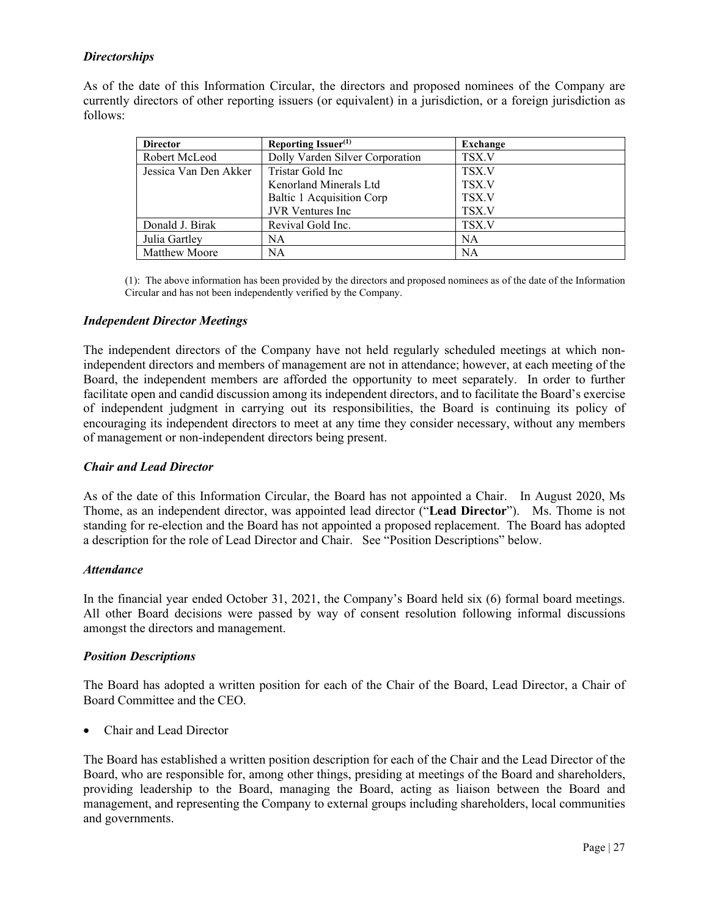# *Directorships*

As of the date of this Information Circular, the directors and proposed nominees of the Company are currently directors of other reporting issuers (or equivalent) in a jurisdiction, or a foreign jurisdiction as follows:

| <b>Director</b>       | Reporting Issuer <sup>(1)</sup> | Exchange  |
|-----------------------|---------------------------------|-----------|
| Robert McLeod         | Dolly Varden Silver Corporation | TSX.V     |
| Jessica Van Den Akker | Tristar Gold Inc                | TSX.V     |
|                       | Kenorland Minerals Ltd          | TSX.V     |
|                       | Baltic 1 Acquisition Corp       | TSX.V     |
|                       | <b>JVR</b> Ventures Inc.        | TSX.V     |
| Donald J. Birak       | Revival Gold Inc.               | TSX.V     |
| Julia Gartley         | NA                              | NA        |
| Matthew Moore         | NA                              | <b>NA</b> |

(1): The above information has been provided by the directors and proposed nominees as of the date of the Information Circular and has not been independently verified by the Company.

#### *Independent Director Meetings*

The independent directors of the Company have not held regularly scheduled meetings at which nonindependent directors and members of management are not in attendance; however, at each meeting of the Board, the independent members are afforded the opportunity to meet separately. In order to further facilitate open and candid discussion among its independent directors, and to facilitate the Board's exercise of independent judgment in carrying out its responsibilities, the Board is continuing its policy of encouraging its independent directors to meet at any time they consider necessary, without any members of management or non-independent directors being present.

#### *Chair and Lead Director*

As of the date of this Information Circular, the Board has not appointed a Chair. In August 2020, Ms Thome, as an independent director, was appointed lead director ("**Lead Director**"). Ms. Thome is not standing for re-election and the Board has not appointed a proposed replacement. The Board has adopted a description for the role of Lead Director and Chair. See "Position Descriptions" below.

#### *Attendance*

In the financial year ended October 31, 2021, the Company's Board held six (6) formal board meetings. All other Board decisions were passed by way of consent resolution following informal discussions amongst the directors and management.

# *Position Descriptions*

The Board has adopted a written position for each of the Chair of the Board, Lead Director, a Chair of Board Committee and the CEO.

• Chair and Lead Director

The Board has established a written position description for each of the Chair and the Lead Director of the Board, who are responsible for, among other things, presiding at meetings of the Board and shareholders, providing leadership to the Board, managing the Board, acting as liaison between the Board and management, and representing the Company to external groups including shareholders, local communities and governments.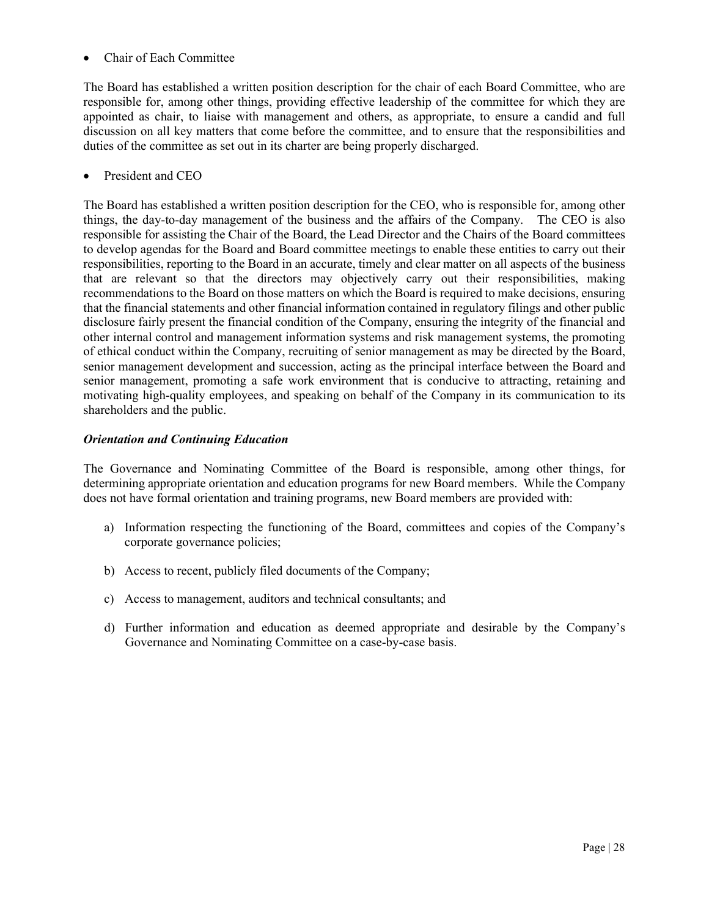• Chair of Each Committee

The Board has established a written position description for the chair of each Board Committee, who are responsible for, among other things, providing effective leadership of the committee for which they are appointed as chair, to liaise with management and others, as appropriate, to ensure a candid and full discussion on all key matters that come before the committee, and to ensure that the responsibilities and duties of the committee as set out in its charter are being properly discharged.

# President and CEO

The Board has established a written position description for the CEO, who is responsible for, among other things, the day-to-day management of the business and the affairs of the Company. The CEO is also responsible for assisting the Chair of the Board, the Lead Director and the Chairs of the Board committees to develop agendas for the Board and Board committee meetings to enable these entities to carry out their responsibilities, reporting to the Board in an accurate, timely and clear matter on all aspects of the business that are relevant so that the directors may objectively carry out their responsibilities, making recommendations to the Board on those matters on which the Board is required to make decisions, ensuring that the financial statements and other financial information contained in regulatory filings and other public disclosure fairly present the financial condition of the Company, ensuring the integrity of the financial and other internal control and management information systems and risk management systems, the promoting of ethical conduct within the Company, recruiting of senior management as may be directed by the Board, senior management development and succession, acting as the principal interface between the Board and senior management, promoting a safe work environment that is conducive to attracting, retaining and motivating high-quality employees, and speaking on behalf of the Company in its communication to its shareholders and the public.

# *Orientation and Continuing Education*

The Governance and Nominating Committee of the Board is responsible, among other things, for determining appropriate orientation and education programs for new Board members. While the Company does not have formal orientation and training programs, new Board members are provided with:

- a) Information respecting the functioning of the Board, committees and copies of the Company's corporate governance policies;
- b) Access to recent, publicly filed documents of the Company;
- c) Access to management, auditors and technical consultants; and
- d) Further information and education as deemed appropriate and desirable by the Company's Governance and Nominating Committee on a case-by-case basis.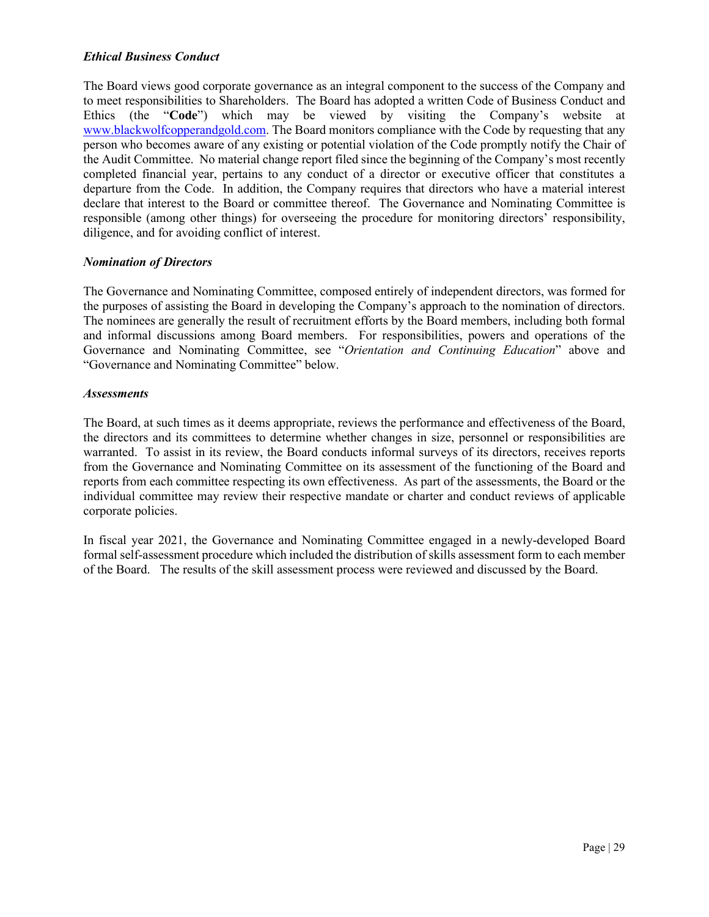# *Ethical Business Conduct*

The Board views good corporate governance as an integral component to the success of the Company and to meet responsibilities to Shareholders. The Board has adopted a written Code of Business Conduct and Ethics (the "**Code**") which may be viewed by visiting the Company's website at [www.blackwolfcopperandgold.com.](http://www.blackwolfcopperandgold.com/) The Board monitors compliance with the Code by requesting that any person who becomes aware of any existing or potential violation of the Code promptly notify the Chair of the Audit Committee. No material change report filed since the beginning of the Company's most recently completed financial year, pertains to any conduct of a director or executive officer that constitutes a departure from the Code. In addition, the Company requires that directors who have a material interest declare that interest to the Board or committee thereof. The Governance and Nominating Committee is responsible (among other things) for overseeing the procedure for monitoring directors' responsibility, diligence, and for avoiding conflict of interest.

# *Nomination of Directors*

The Governance and Nominating Committee, composed entirely of independent directors, was formed for the purposes of assisting the Board in developing the Company's approach to the nomination of directors. The nominees are generally the result of recruitment efforts by the Board members, including both formal and informal discussions among Board members. For responsibilities, powers and operations of the Governance and Nominating Committee, see "*Orientation and Continuing Education*" above and "Governance and Nominating Committee" below.

# *Assessments*

The Board, at such times as it deems appropriate, reviews the performance and effectiveness of the Board, the directors and its committees to determine whether changes in size, personnel or responsibilities are warranted. To assist in its review, the Board conducts informal surveys of its directors, receives reports from the Governance and Nominating Committee on its assessment of the functioning of the Board and reports from each committee respecting its own effectiveness. As part of the assessments, the Board or the individual committee may review their respective mandate or charter and conduct reviews of applicable corporate policies.

In fiscal year 2021, the Governance and Nominating Committee engaged in a newly-developed Board formal self-assessment procedure which included the distribution of skills assessment form to each member of the Board. The results of the skill assessment process were reviewed and discussed by the Board.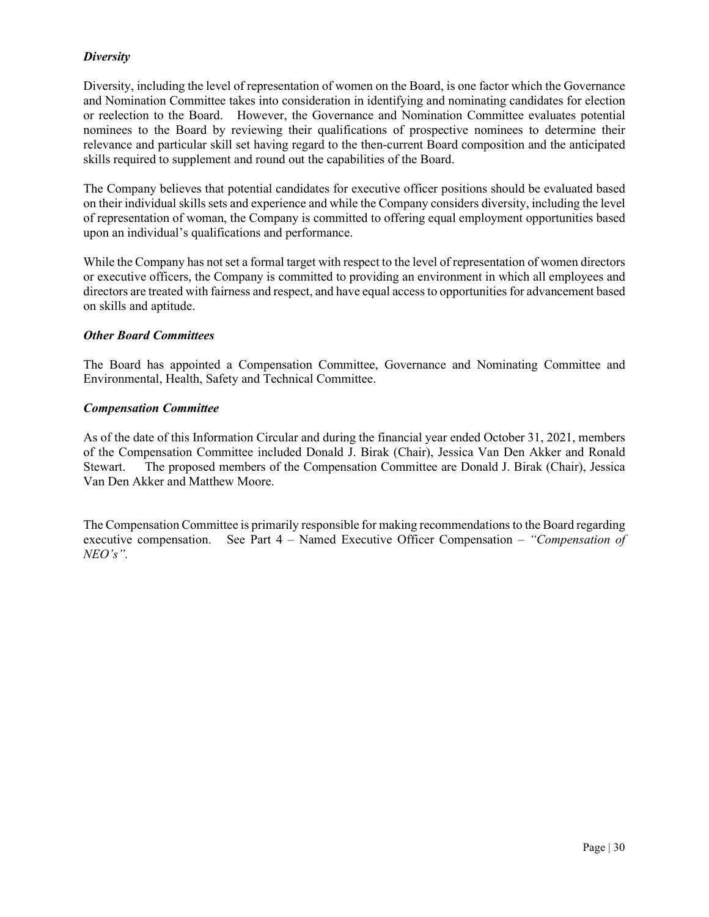# *Diversity*

Diversity, including the level of representation of women on the Board, is one factor which the Governance and Nomination Committee takes into consideration in identifying and nominating candidates for election or reelection to the Board. However, the Governance and Nomination Committee evaluates potential nominees to the Board by reviewing their qualifications of prospective nominees to determine their relevance and particular skill set having regard to the then-current Board composition and the anticipated skills required to supplement and round out the capabilities of the Board.

The Company believes that potential candidates for executive officer positions should be evaluated based on their individual skills sets and experience and while the Company considers diversity, including the level of representation of woman, the Company is committed to offering equal employment opportunities based upon an individual's qualifications and performance.

While the Company has not set a formal target with respect to the level of representation of women directors or executive officers, the Company is committed to providing an environment in which all employees and directors are treated with fairness and respect, and have equal access to opportunities for advancement based on skills and aptitude.

# *Other Board Committees*

The Board has appointed a Compensation Committee, Governance and Nominating Committee and Environmental, Health, Safety and Technical Committee.

#### *Compensation Committee*

As of the date of this Information Circular and during the financial year ended October 31, 2021, members of the Compensation Committee included Donald J. Birak (Chair), Jessica Van Den Akker and Ronald Stewart. The proposed members of the Compensation Committee are Donald J. Birak (Chair), Jessica Van Den Akker and Matthew Moore.

The Compensation Committee is primarily responsible for making recommendations to the Board regarding executive compensation. See Part 4 – Named Executive Officer Compensation *– "Compensation of NEO's".*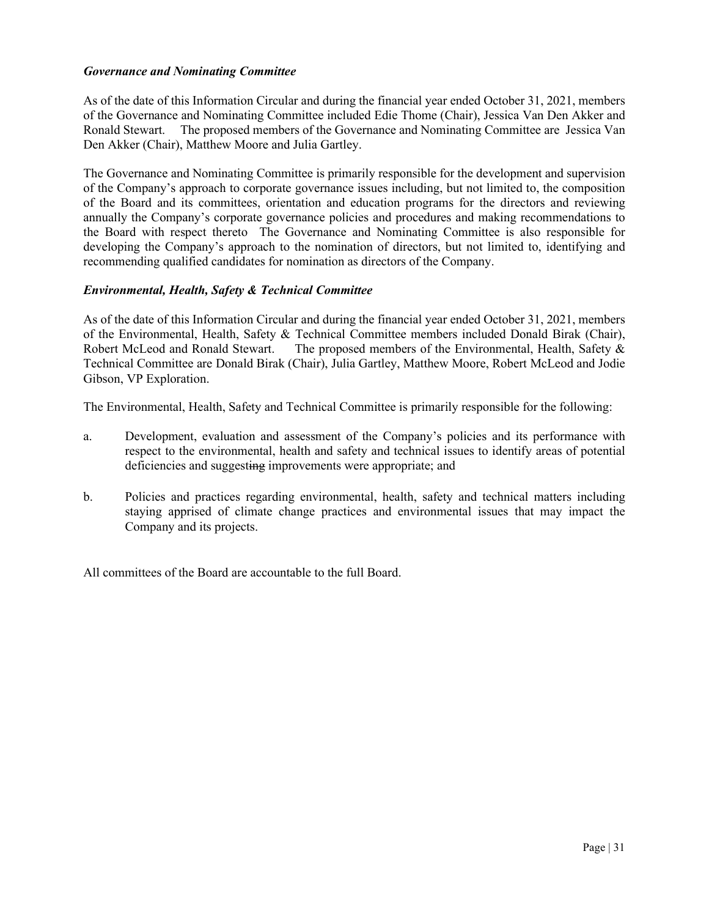# *Governance and Nominating Committee*

As of the date of this Information Circular and during the financial year ended October 31, 2021, members of the Governance and Nominating Committee included Edie Thome (Chair), Jessica Van Den Akker and Ronald Stewart. The proposed members of the Governance and Nominating Committee are Jessica Van Den Akker (Chair), Matthew Moore and Julia Gartley.

The Governance and Nominating Committee is primarily responsible for the development and supervision of the Company's approach to corporate governance issues including, but not limited to, the composition of the Board and its committees, orientation and education programs for the directors and reviewing annually the Company's corporate governance policies and procedures and making recommendations to the Board with respect thereto The Governance and Nominating Committee is also responsible for developing the Company's approach to the nomination of directors, but not limited to, identifying and recommending qualified candidates for nomination as directors of the Company.

# *Environmental, Health, Safety & Technical Committee*

As of the date of this Information Circular and during the financial year ended October 31, 2021, members of the Environmental, Health, Safety & Technical Committee members included Donald Birak (Chair), Robert McLeod and Ronald Stewart. The proposed members of the Environmental, Health, Safety & Technical Committee are Donald Birak (Chair), Julia Gartley, Matthew Moore, Robert McLeod and Jodie Gibson, VP Exploration.

The Environmental, Health, Safety and Technical Committee is primarily responsible for the following:

- a. Development, evaluation and assessment of the Company's policies and its performance with respect to the environmental, health and safety and technical issues to identify areas of potential deficiencies and suggesting improvements were appropriate; and
- b. Policies and practices regarding environmental, health, safety and technical matters including staying apprised of climate change practices and environmental issues that may impact the Company and its projects.

All committees of the Board are accountable to the full Board.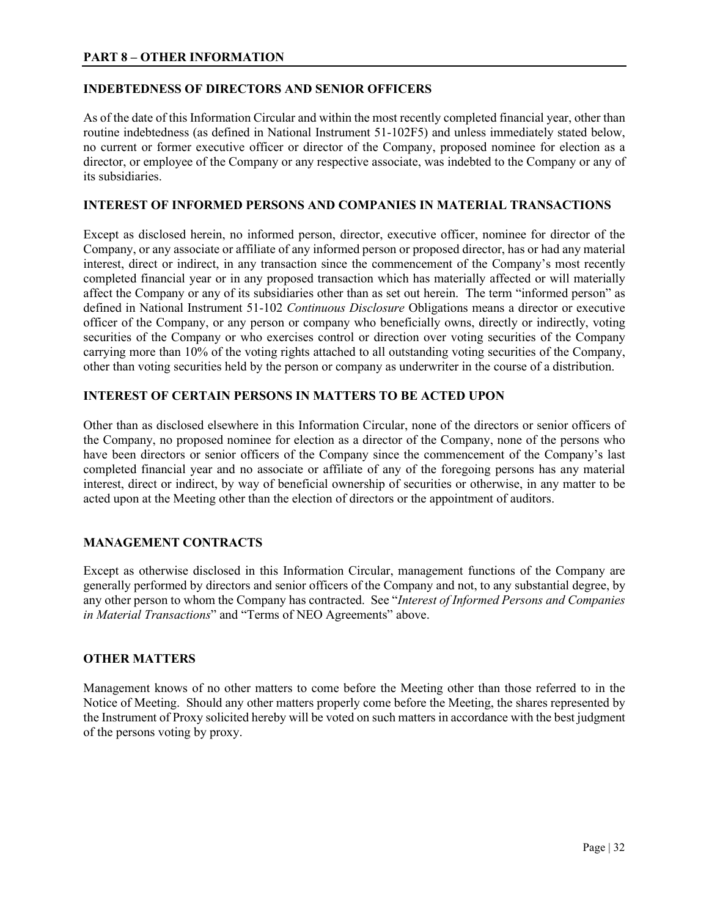# **PART 8 – OTHER INFORMATION**

# **INDEBTEDNESS OF DIRECTORS AND SENIOR OFFICERS**

As of the date of this Information Circular and within the most recently completed financial year, other than routine indebtedness (as defined in National Instrument 51-102F5) and unless immediately stated below, no current or former executive officer or director of the Company, proposed nominee for election as a director, or employee of the Company or any respective associate, was indebted to the Company or any of its subsidiaries.

# **INTEREST OF INFORMED PERSONS AND COMPANIES IN MATERIAL TRANSACTIONS**

Except as disclosed herein, no informed person, director, executive officer, nominee for director of the Company, or any associate or affiliate of any informed person or proposed director, has or had any material interest, direct or indirect, in any transaction since the commencement of the Company's most recently completed financial year or in any proposed transaction which has materially affected or will materially affect the Company or any of its subsidiaries other than as set out herein. The term "informed person" as defined in National Instrument 51-102 *Continuous Disclosure* Obligations means a director or executive officer of the Company, or any person or company who beneficially owns, directly or indirectly, voting securities of the Company or who exercises control or direction over voting securities of the Company carrying more than 10% of the voting rights attached to all outstanding voting securities of the Company, other than voting securities held by the person or company as underwriter in the course of a distribution.

# **INTEREST OF CERTAIN PERSONS IN MATTERS TO BE ACTED UPON**

Other than as disclosed elsewhere in this Information Circular, none of the directors or senior officers of the Company, no proposed nominee for election as a director of the Company, none of the persons who have been directors or senior officers of the Company since the commencement of the Company's last completed financial year and no associate or affiliate of any of the foregoing persons has any material interest, direct or indirect, by way of beneficial ownership of securities or otherwise, in any matter to be acted upon at the Meeting other than the election of directors or the appointment of auditors.

# **MANAGEMENT CONTRACTS**

Except as otherwise disclosed in this Information Circular, management functions of the Company are generally performed by directors and senior officers of the Company and not, to any substantial degree, by any other person to whom the Company has contracted. See "*Interest of Informed Persons and Companies in Material Transactions*" and "Terms of NEO Agreements" above.

# **OTHER MATTERS**

Management knows of no other matters to come before the Meeting other than those referred to in the Notice of Meeting. Should any other matters properly come before the Meeting, the shares represented by the Instrument of Proxy solicited hereby will be voted on such matters in accordance with the best judgment of the persons voting by proxy.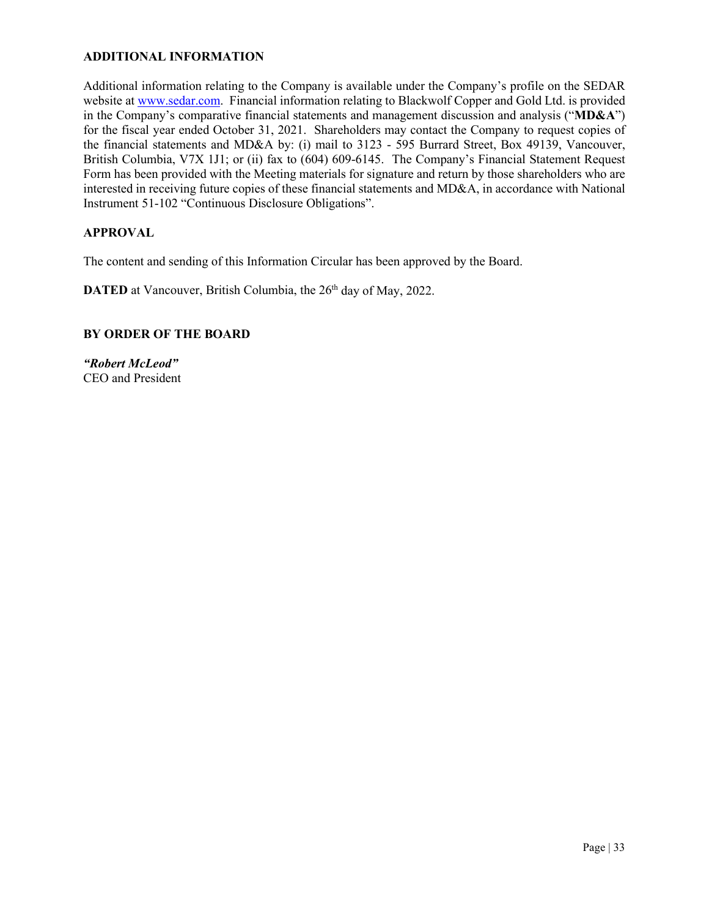# **ADDITIONAL INFORMATION**

Additional information relating to the Company is available under the Company's profile on the SEDAR website at [www.sedar.com.](http://www.sedar.com/) Financial information relating to Blackwolf Copper and Gold Ltd. is provided in the Company's comparative financial statements and management discussion and analysis ("**MD&A**") for the fiscal year ended October 31, 2021. Shareholders may contact the Company to request copies of the financial statements and MD&A by: (i) mail to 3123 - 595 Burrard Street, Box 49139, Vancouver, British Columbia, V7X 1J1; or (ii) fax to (604) 609-6145. The Company's Financial Statement Request Form has been provided with the Meeting materials for signature and return by those shareholders who are interested in receiving future copies of these financial statements and MD&A, in accordance with National Instrument 51-102 "Continuous Disclosure Obligations".

# **APPROVAL**

The content and sending of this Information Circular has been approved by the Board.

**DATED** at Vancouver, British Columbia, the 26<sup>th</sup> day of May, 2022.

# **BY ORDER OF THE BOARD**

*"Robert McLeod"* CEO and President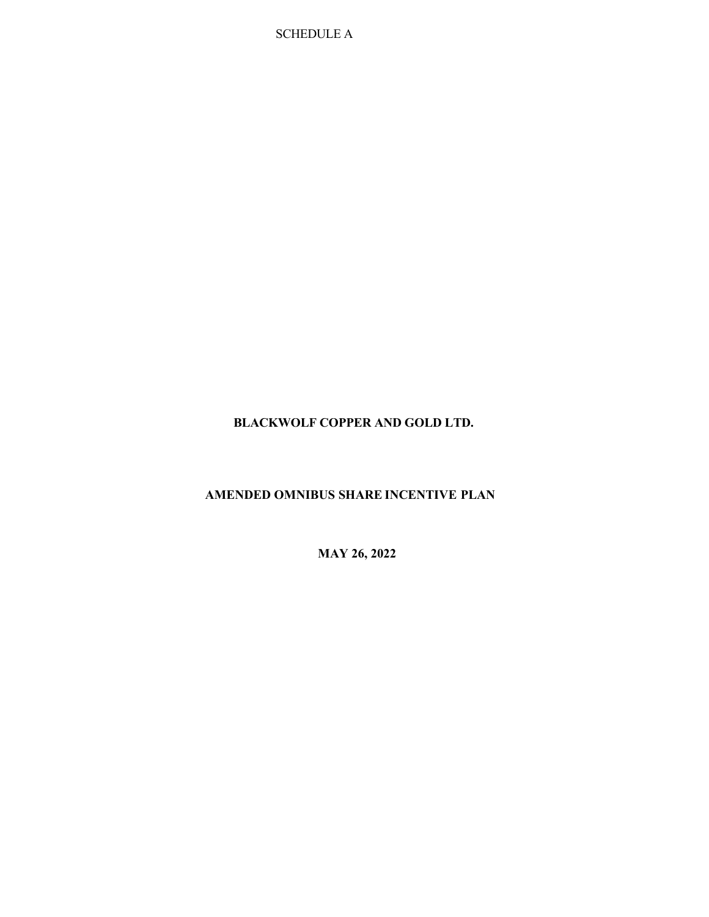SCHEDULE A

# **BLACKWOLF COPPER AND GOLD LTD.**

# **AMENDED OMNIBUS SHARE INCENTIVE PLAN**

**MAY 26, 2022**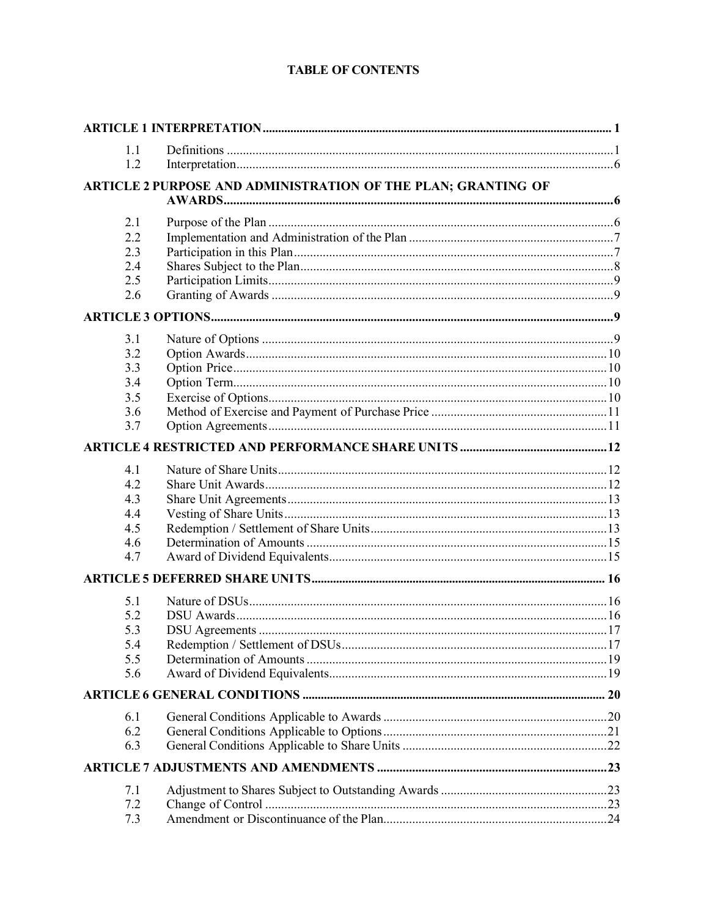# **TABLE OF CONTENTS**

| 1.1 |                                                               |  |
|-----|---------------------------------------------------------------|--|
| 1.2 |                                                               |  |
|     | ARTICLE 2 PURPOSE AND ADMINISTRATION OF THE PLAN; GRANTING OF |  |
|     |                                                               |  |
| 2.1 |                                                               |  |
| 2.2 |                                                               |  |
| 2.3 |                                                               |  |
| 2.4 |                                                               |  |
| 2.5 |                                                               |  |
| 2.6 |                                                               |  |
|     |                                                               |  |
| 3.1 |                                                               |  |
| 3.2 |                                                               |  |
| 3.3 |                                                               |  |
| 3.4 |                                                               |  |
| 3.5 |                                                               |  |
| 3.6 |                                                               |  |
| 3.7 |                                                               |  |
|     |                                                               |  |
| 4.1 |                                                               |  |
| 4.2 |                                                               |  |
| 4.3 |                                                               |  |
| 4.4 |                                                               |  |
| 4.5 |                                                               |  |
| 4.6 |                                                               |  |
| 4.7 |                                                               |  |
|     |                                                               |  |
| 5.1 |                                                               |  |
| 5.2 |                                                               |  |
| 5.3 |                                                               |  |
| 5.4 |                                                               |  |
| 5.5 |                                                               |  |
| 5.6 |                                                               |  |
|     |                                                               |  |
| 6.1 |                                                               |  |
| 6.2 |                                                               |  |
| 6.3 |                                                               |  |
|     |                                                               |  |
| 7.1 |                                                               |  |
| 7.2 |                                                               |  |
| 7.3 |                                                               |  |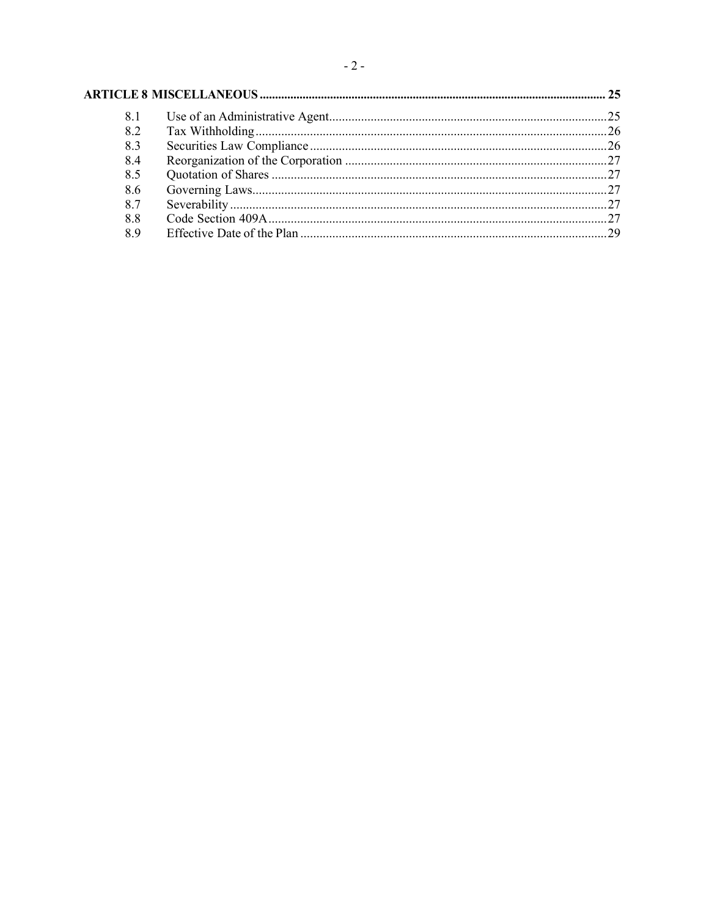# 

| 8.1 |  |
|-----|--|
| 8.2 |  |
| 8.3 |  |
| 8.4 |  |
| 8.5 |  |
| 8.6 |  |
| 8.7 |  |
| 8.8 |  |
| 8.9 |  |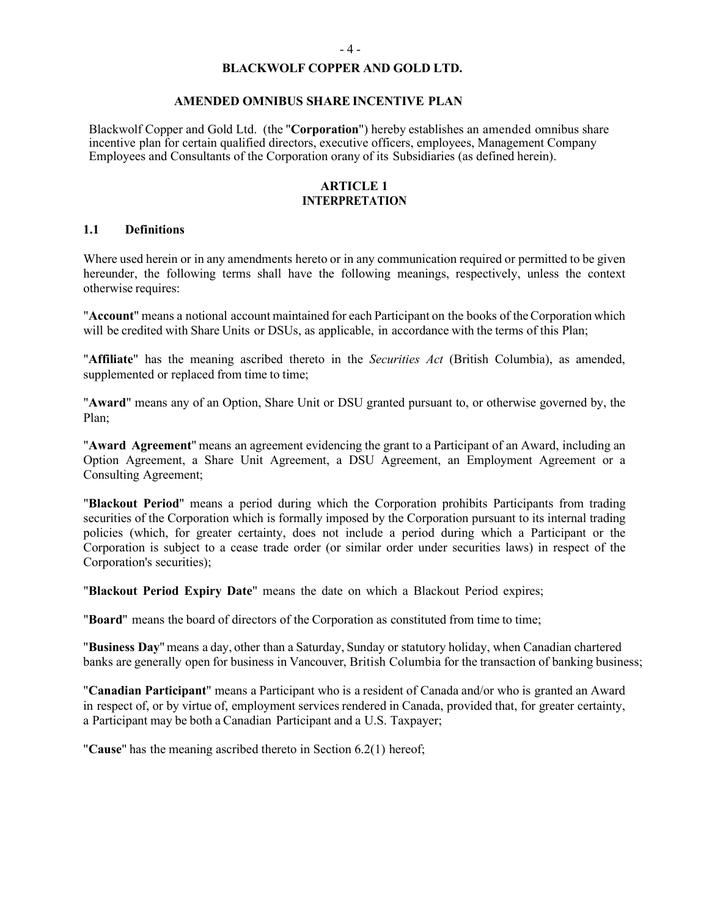#### **BLACKWOLF COPPER AND GOLD LTD.**

#### **AMENDED OMNIBUS SHARE INCENTIVE PLAN**

Blackwolf Copper and Gold Ltd. (the "**Corporation**") hereby establishes an amended omnibus share incentive plan for certain qualified directors, executive officers, employees, Management Company Employees and Consultants of the Corporation orany of its Subsidiaries (as defined herein).

#### **ARTICLE 1 INTERPRETATION**

### **1.1 Definitions**

Where used herein or in any amendments hereto or in any communication required or permitted to be given hereunder, the following terms shall have the following meanings, respectively, unless the context otherwise requires:

"Account" means a notional account maintained for each Participant on the books of the Corporation which will be credited with Share Units or DSUs, as applicable, in accordance with the terms of this Plan;

"**Affiliate**" has the meaning ascribed thereto in the *Securities Act* (British Columbia), as amended, supplemented or replaced from time to time;

"**Award**" means any of an Option, Share Unit or DSU granted pursuant to, or otherwise governed by, the Plan;

"**Award Agreement**" means an agreement evidencing the grant to a Participant of an Award, including an Option Agreement, a Share Unit Agreement, a DSU Agreement, an Employment Agreement or a Consulting Agreement;

"**Blackout Period**" means a period during which the Corporation prohibits Participants from trading securities of the Corporation which is formally imposed by the Corporation pursuant to its internal trading policies (which, for greater certainty, does not include a period during which a Participant or the Corporation is subject to a cease trade order (or similar order under securities laws) in respect of the Corporation's securities);

"**Blackout Period Expiry Date**" means the date on which a Blackout Period expires;

"**Board**" means the board of directors of the Corporation as constituted from time to time;

"**Business Day**" means a day, other than a Saturday, Sunday or statutory holiday, when Canadian chartered banks are generally open for business in Vancouver, British Columbia for the transaction of banking business;

"**Canadian Participant**" means a Participant who is a resident of Canada and/or who is granted an Award in respect of, or by virtue of, employment services rendered in Canada, provided that, for greater certainty, a Participant may be both a Canadian Participant and a U.S. Taxpayer;

"**Cause**" has the meaning ascribed thereto in Section [6.2\(1\)](#page-57-0) hereof;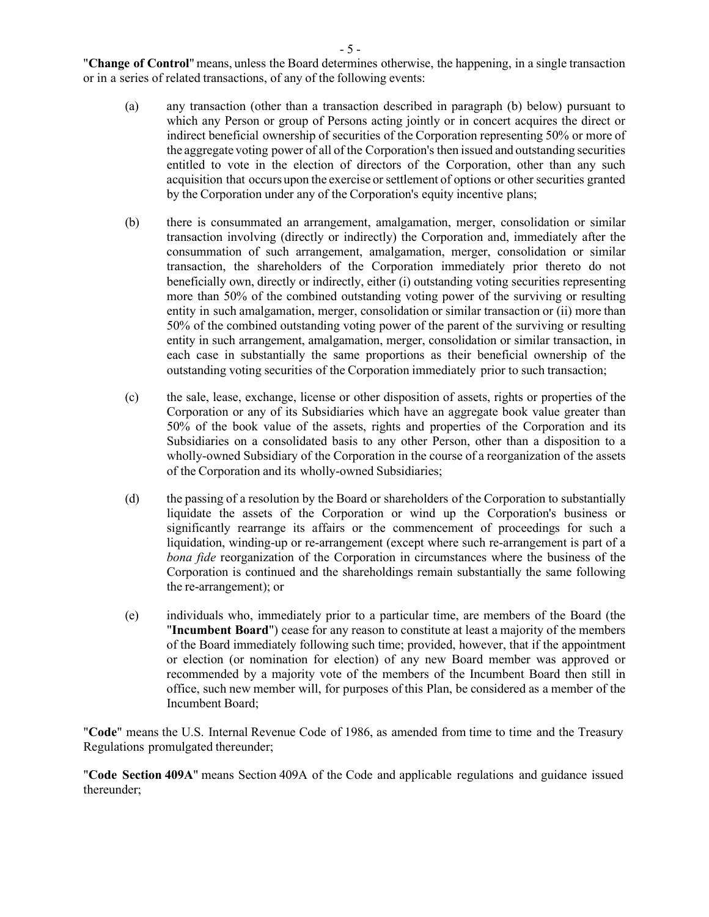- 5 -

"**Change of Control**" means, unless the Board determines otherwise, the happening, in a single transaction or in a series of related transactions, of any of the following events:

- (a) any transaction (other than a transaction described in paragraph [\(b\)](#page-37-0) below) pursuant to which any Person or group of Persons acting jointly or in concert acquires the direct or indirect beneficial ownership of securities of the Corporation representing 50% or more of the aggregate voting power of all of the Corporation's then issued and outstanding securities entitled to vote in the election of directors of the Corporation, other than any such acquisition that occurs upon the exercise or settlement of options or other securities granted by the Corporation under any of the Corporation's equity incentive plans;
- <span id="page-37-0"></span>(b) there is consummated an arrangement, amalgamation, merger, consolidation or similar transaction involving (directly or indirectly) the Corporation and, immediately after the consummation of such arrangement, amalgamation, merger, consolidation or similar transaction, the shareholders of the Corporation immediately prior thereto do not beneficially own, directly or indirectly, either (i) outstanding voting securities representing more than 50% of the combined outstanding voting power of the surviving or resulting entity in such amalgamation, merger, consolidation or similar transaction or (ii) more than 50% of the combined outstanding voting power of the parent of the surviving or resulting entity in such arrangement, amalgamation, merger, consolidation or similar transaction, in each case in substantially the same proportions as their beneficial ownership of the outstanding voting securities of the Corporation immediately prior to such transaction;
- (c) the sale, lease, exchange, license or other disposition of assets, rights or properties of the Corporation or any of its Subsidiaries which have an aggregate book value greater than 50% of the book value of the assets, rights and properties of the Corporation and its Subsidiaries on a consolidated basis to any other Person, other than a disposition to a wholly-owned Subsidiary of the Corporation in the course of a reorganization of the assets of the Corporation and its wholly-owned Subsidiaries;
- (d) the passing of a resolution by the Board or shareholders of the Corporation to substantially liquidate the assets of the Corporation or wind up the Corporation's business or significantly rearrange its affairs or the commencement of proceedings for such a liquidation, winding-up or re-arrangement (except where such re-arrangement is part of a *bona fide* reorganization of the Corporation in circumstances where the business of the Corporation is continued and the shareholdings remain substantially the same following the re-arrangement); or
- (e) individuals who, immediately prior to a particular time, are members of the Board (the "**Incumbent Board**") cease for any reason to constitute at least a majority of the members of the Board immediately following such time; provided, however, that if the appointment or election (or nomination for election) of any new Board member was approved or recommended by a majority vote of the members of the Incumbent Board then still in office, such new member will, for purposes of this Plan, be considered as a member of the Incumbent Board;

"**Code**" means the U.S. Internal Revenue Code of 1986, as amended from time to time and the Treasury Regulations promulgated thereunder;

"**Code Section 409A**" means Section 409A of the Code and applicable regulations and guidance issued thereunder;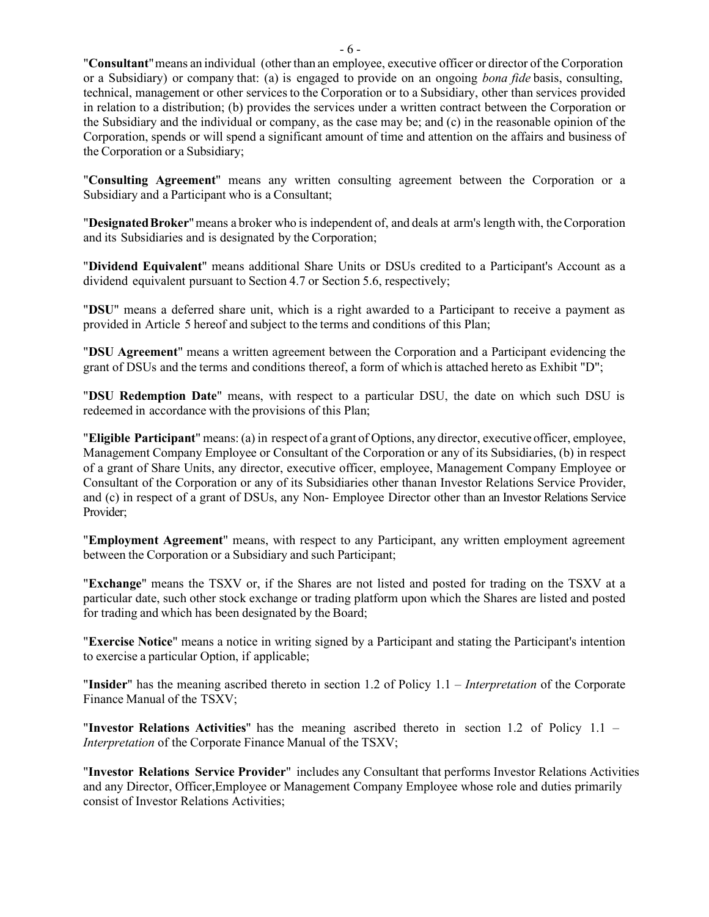"**Consultant**"means an individual (other than an employee, executive officer or director of the Corporation or a Subsidiary) or company that: (a) is engaged to provide on an ongoing *bona fide* basis, consulting, technical, management or other services to the Corporation or to a Subsidiary, other than services provided in relation to a distribution; (b) provides the services under a written contract between the Corporation or the Subsidiary and the individual or company, as the case may be; and (c) in the reasonable opinion of the Corporation, spends or will spend a significant amount of time and attention on the affairs and business of the Corporation or a Subsidiary;

"**Consulting Agreement**" means any written consulting agreement between the Corporation or a Subsidiary and a Participant who is a Consultant;

"**DesignatedBroker**"means a broker who is independent of, and deals at arm's length with, theCorporation and its Subsidiaries and is designated by the Corporation;

"**Dividend Equivalent**" means additional Share Units or DSUs credited to a Participant's Account as a dividend equivalent pursuant to Section [4.7](#page-51-0) or Section [5.6,](#page-55-0) respectively;

"**DSU**" means a deferred share unit, which is a right awarded to a Participant to receive a payment as provided in [Article](#page-51-1) 5 hereof and subject to the terms and conditions of this Plan;

"**DSU Agreement**" means a written agreement between the Corporation and a Participant evidencing the grant of DSUs and the terms and conditions thereof, a form of which is attached hereto as [Exhibit](#page-74-0) "D";

"**DSU Redemption Date**" means, with respect to a particular DSU, the date on which such DSU is redeemed in accordance with the provisions of this Plan;

"**Eligible Participant**" means: (a) in respect of a grant of Options, any director, executive officer, employee, Management Company Employee or Consultant of the Corporation or any of its Subsidiaries, (b) in respect of a grant of Share Units, any director, executive officer, employee, Management Company Employee or Consultant of the Corporation or any of its Subsidiaries other thanan Investor Relations Service Provider, and (c) in respect of a grant of DSUs, any Non- Employee Director other than an Investor Relations Service Provider;

"**Employment Agreement**" means, with respect to any Participant, any written employment agreement between the Corporation or a Subsidiary and such Participant;

"**Exchange**" means the TSXV or, if the Shares are not listed and posted for trading on the TSXV at a particular date, such other stock exchange or trading platform upon which the Shares are listed and posted for trading and which has been designated by the Board;

"**Exercise Notice**" means a notice in writing signed by a Participant and stating the Participant's intention to exercise a particular Option, if applicable;

"**Insider**" has the meaning ascribed thereto in section 1.2 of Policy 1.1 – *Interpretation* of the Corporate Finance Manual of the TSXV;

"**Investor Relations Activities**" has the meaning ascribed thereto in section 1.2 of Policy 1.1 – *Interpretation* of the Corporate Finance Manual of the TSXV;

"**Investor Relations Service Provider**" includes any Consultant that performs Investor Relations Activities and any Director, Officer,Employee or Management Company Employee whose role and duties primarily consist of Investor Relations Activities;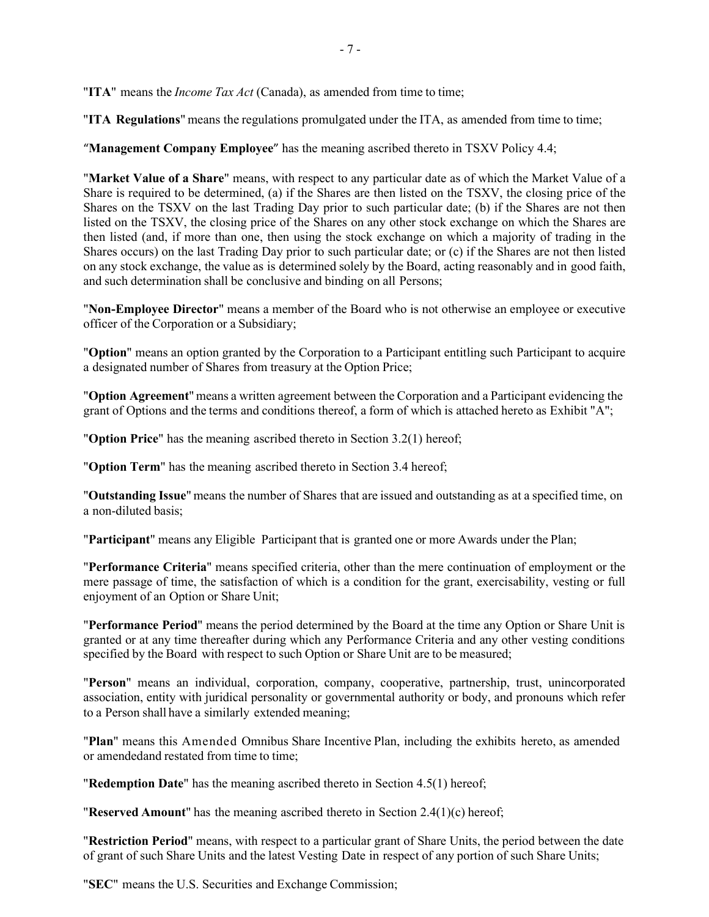"**ITA**" means the *Income Tax Act* (Canada), as amended from time to time;

"**ITA Regulations**" means the regulations promulgated under the ITA, as amended from time to time;

"**Management Company Employee**" has the meaning ascribed thereto in TSXV Policy 4.4;

"**Market Value of a Share**" means, with respect to any particular date as of which the Market Value of a Share is required to be determined, (a) if the Shares are then listed on the TSXV, the closing price of the Shares on the TSXV on the last Trading Day prior to such particular date; (b) if the Shares are not then listed on the TSXV, the closing price of the Shares on any other stock exchange on which the Shares are then listed (and, if more than one, then using the stock exchange on which a majority of trading in the Shares occurs) on the last Trading Day prior to such particular date; or (c) if the Shares are not then listed on any stock exchange, the value as is determined solely by the Board, acting reasonably and in good faith, and such determination shall be conclusive and binding on all Persons;

"**Non-Employee Director**" means a member of the Board who is not otherwise an employee or executive officer of the Corporation or a Subsidiary;

"**Option**" means an option granted by the Corporation to a Participant entitling such Participant to acquire a designated number of Shares from treasury at the Option Price;

"**Option Agreement**" means a written agreement between the Corporation and a Participant evidencing the grant of Options and the terms and conditions thereof, a form of which is attached hereto as [Exhibit](#page-66-0) "A";

"**Option Price**" has the meaning ascribed thereto in Section [3.2\(1\)](#page-45-0) hereof;

"**Option Term**" has the meaning ascribed thereto in Section [3.4](#page-45-1) hereof;

"**Outstanding Issue**" means the number of Shares that are issued and outstanding as at a specified time, on a non-diluted basis;

"**Participant**" means any Eligible Participant that is granted one or more Awards under the Plan;

"**Performance Criteria**" means specified criteria, other than the mere continuation of employment or the mere passage of time, the satisfaction of which is a condition for the grant, exercisability, vesting or full enjoyment of an Option or Share Unit;

"**Performance Period**" means the period determined by the Board at the time any Option or Share Unit is granted or at any time thereafter during which any Performance Criteria and any other vesting conditions specified by the Board with respect to such Option or Share Unit are to be measured;

"**Person**" means an individual, corporation, company, cooperative, partnership, trust, unincorporated association, entity with juridical personality or governmental authority or body, and pronouns which refer to a Person shall have a similarly extended meaning;

"**Plan**" means this Amended Omnibus Share Incentive Plan, including the exhibits hereto, as amended or amendedand restated from time to time;

"**Redemption Date**" has the meaning ascribed thereto in Section [4.5\(1\) h](#page-49-0)ereof;

"**Reserved Amount**" has the meaning ascribed thereto in Section [2.4\(1\)\(c\)](#page-43-0) hereof;

"**Restriction Period**" means, with respect to a particular grant of Share Units, the period between the date of grant of such Share Units and the latest Vesting Date in respect of any portion of such Share Units;

"**SEC**" means the U.S. Securities and Exchange Commission;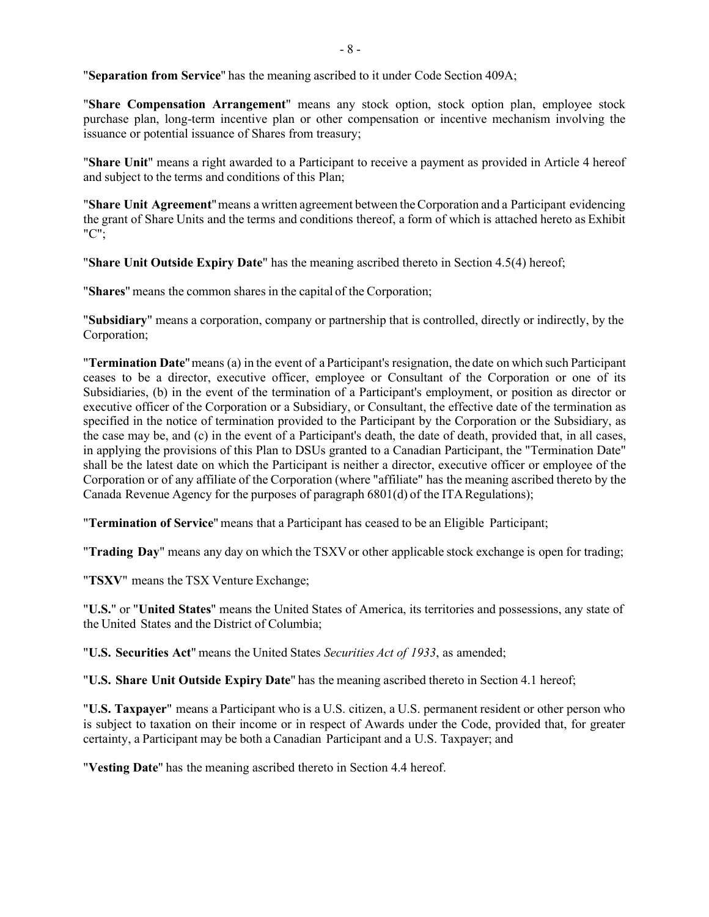"**Separation from Service**" has the meaning ascribed to it under Code Section 409A;

"**Share Compensation Arrangement**" means any stock option, stock option plan, employee stock purchase plan, long-term incentive plan or other compensation or incentive mechanism involving the issuance or potential issuance of Shares from treasury;

"**Share Unit**" means a right awarded to a Participant to receive a payment as provided i[n Article 4 h](#page-47-0)ereof and subject to the terms and conditions of this Plan;

"**Share Unit Agreement**"means a written agreement between theCorporation and a Participant evidencing the grant of Share Units and the terms and conditions thereof, a form of which is attached hereto as [Exhibit](#page-71-0) ["C";](#page-71-0)

"**Share Unit Outside Expiry Date**" has the meaning ascribed thereto in Section [4.5\(4\) h](#page-50-0)ereof;

"**Shares**" means the common sharesin the capital of the Corporation;

"**Subsidiary**" means a corporation, company or partnership that is controlled, directly or indirectly, by the Corporation;

"**Termination Date**"means (a) in the event of a Participant's resignation, the date on which such Participant ceases to be a director, executive officer, employee or Consultant of the Corporation or one of its Subsidiaries, (b) in the event of the termination of a Participant's employment, or position as director or executive officer of the Corporation or a Subsidiary, or Consultant, the effective date of the termination as specified in the notice of termination provided to the Participant by the Corporation or the Subsidiary, as the case may be, and (c) in the event of a Participant's death, the date of death, provided that, in all cases, in applying the provisions of this Plan to DSUs granted to a Canadian Participant, the "Termination Date" shall be the latest date on which the Participant is neither a director, executive officer or employee of the Corporation or of any affiliate of the Corporation (where "affiliate" has the meaning ascribed thereto by the Canada Revenue Agency for the purposes of paragraph  $6801(d)$  of the ITA Regulations);

"**Termination of Service**" means that a Participant has ceased to be an Eligible Participant;

"Trading Day" means any day on which the TSXV or other applicable stock exchange is open for trading;

"**TSXV**" means the TSX Venture Exchange;

"**U.S.**" or "**United States**" means the United States of America, its territories and possessions, any state of the United States and the District of Columbia;

"**U.S. Securities Act**" means the United States *Securities Act of 1933*, as amended;

"**U.S. Share Unit Outside Expiry Date**" has the meaning ascribed thereto in Section [4.1](#page-47-1) hereof;

"**U.S. Taxpayer**" means a Participant who is a U.S. citizen, a U.S. permanent resident or other person who is subject to taxation on their income or in respect of Awards under the Code, provided that, for greater certainty, a Participant may be both a Canadian Participant and a U.S. Taxpayer; and

"**Vesting Date**" has the meaning ascribed thereto in Section [4.4](#page-48-0) hereof.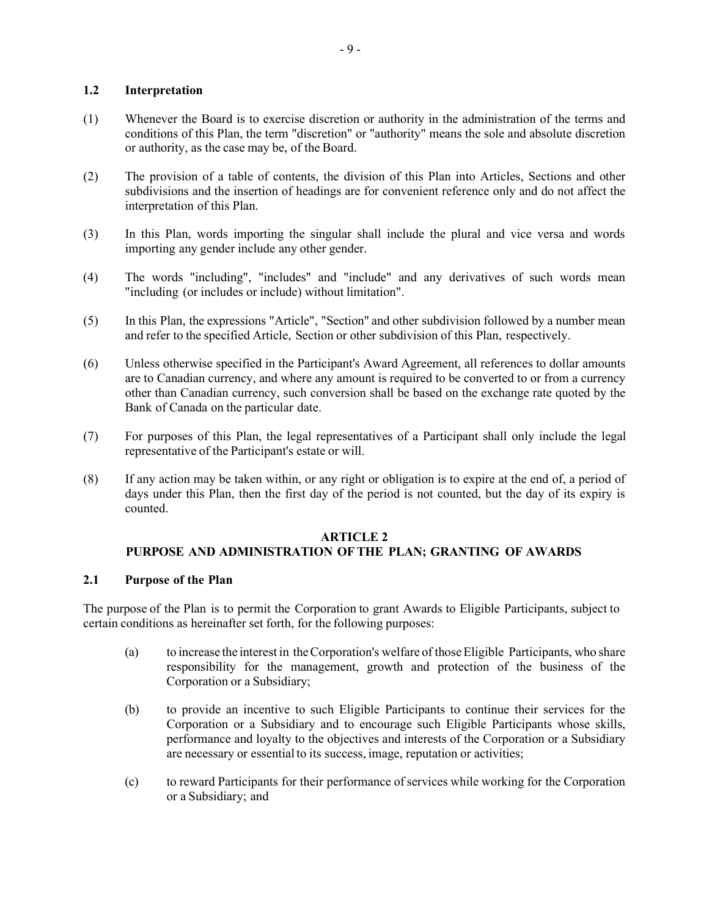# **1.2 Interpretation**

- (1) Whenever the Board is to exercise discretion or authority in the administration of the terms and conditions of this Plan, the term "discretion" or "authority" means the sole and absolute discretion or authority, as the case may be, of the Board.
- (2) The provision of a table of contents, the division of this Plan into Articles, Sections and other subdivisions and the insertion of headings are for convenient reference only and do not affect the interpretation of this Plan.
- (3) In this Plan, words importing the singular shall include the plural and vice versa and words importing any gender include any other gender.
- (4) The words "including", "includes" and "include" and any derivatives of such words mean "including (or includes or include) without limitation".
- (5) In this Plan, the expressions "Article", "Section" and other subdivision followed by a number mean and refer to the specified Article, Section or other subdivision of this Plan, respectively.
- (6) Unless otherwise specified in the Participant's Award Agreement, all references to dollar amounts are to Canadian currency, and where any amount is required to be converted to or from a currency other than Canadian currency, such conversion shall be based on the exchange rate quoted by the Bank of Canada on the particular date.
- (7) For purposes of this Plan, the legal representatives of a Participant shall only include the legal representative of the Participant's estate or will.
- (8) If any action may be taken within, or any right or obligation is to expire at the end of, a period of days under this Plan, then the first day of the period is not counted, but the day of its expiry is counted.

#### **ARTICLE 2**

# **PURPOSE AND ADMINISTRATION OFTHE PLAN; GRANTING OF AWARDS**

### **2.1 Purpose of the Plan**

The purpose of the Plan is to permit the Corporation to grant Awards to Eligible Participants, subject to certain conditions as hereinafter set forth, for the following purposes:

- (a) to increase the interest in theCorporation's welfare of thoseEligible Participants, who share responsibility for the management, growth and protection of the business of the Corporation or a Subsidiary;
- (b) to provide an incentive to such Eligible Participants to continue their services for the Corporation or a Subsidiary and to encourage such Eligible Participants whose skills, performance and loyalty to the objectives and interests of the Corporation or a Subsidiary are necessary or essential to its success, image, reputation or activities;
- (c) to reward Participants for their performance ofservices while working for the Corporation or a Subsidiary; and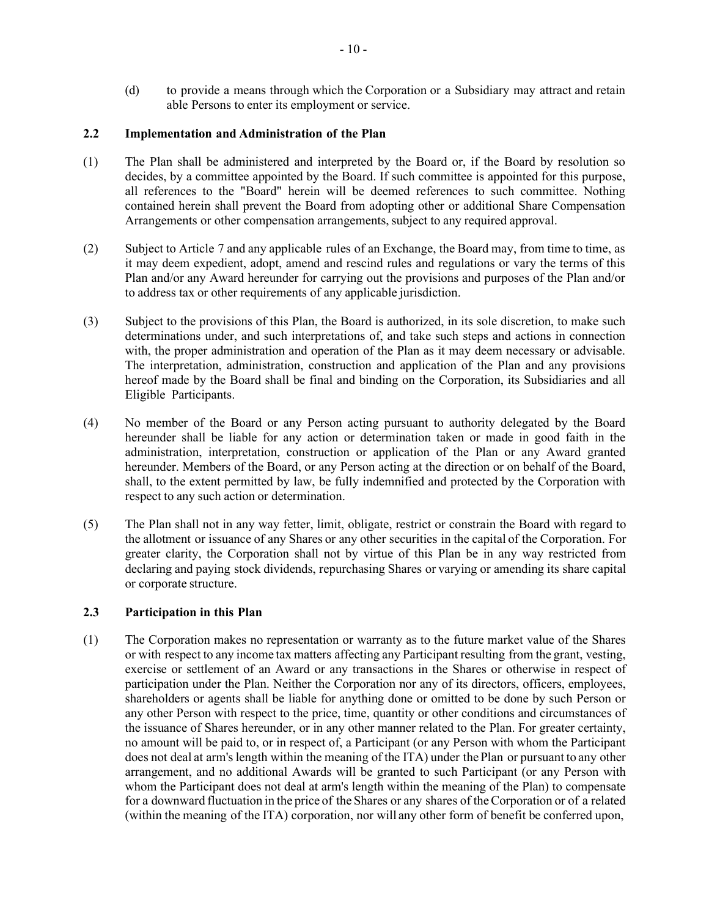(d) to provide a means through which the Corporation or a Subsidiary may attract and retain able Persons to enter its employment or service.

# **2.2 Implementation and Administration of the Plan**

- (1) The Plan shall be administered and interpreted by the Board or, if the Board by resolution so decides, by a committee appointed by the Board. If such committee is appointed for this purpose, all references to the "Board" herein will be deemed references to such committee. Nothing contained herein shall prevent the Board from adopting other or additional Share Compensation Arrangements or other compensation arrangements, subject to any required approval.
- (2) Subject to [Article](#page-59-0) 7 and any applicable rules of an Exchange, the Board may, from time to time, as it may deem expedient, adopt, amend and rescind rules and regulations or vary the terms of this Plan and/or any Award hereunder for carrying out the provisions and purposes of the Plan and/or to address tax or other requirements of any applicable jurisdiction.
- (3) Subject to the provisions of this Plan, the Board is authorized, in its sole discretion, to make such determinations under, and such interpretations of, and take such steps and actions in connection with, the proper administration and operation of the Plan as it may deem necessary or advisable. The interpretation, administration, construction and application of the Plan and any provisions hereof made by the Board shall be final and binding on the Corporation, its Subsidiaries and all Eligible Participants.
- (4) No member of the Board or any Person acting pursuant to authority delegated by the Board hereunder shall be liable for any action or determination taken or made in good faith in the administration, interpretation, construction or application of the Plan or any Award granted hereunder. Members of the Board, or any Person acting at the direction or on behalf of the Board, shall, to the extent permitted by law, be fully indemnified and protected by the Corporation with respect to any such action or determination.
- (5) The Plan shall not in any way fetter, limit, obligate, restrict or constrain the Board with regard to the allotment or issuance of any Shares or any other securities in the capital of the Corporation. For greater clarity, the Corporation shall not by virtue of this Plan be in any way restricted from declaring and paying stock dividends, repurchasing Shares or varying or amending its share capital or corporate structure.

# **2.3 Participation in this Plan**

(1) The Corporation makes no representation or warranty as to the future market value of the Shares or with respect to any income tax matters affecting any Participant resulting from the grant, vesting, exercise or settlement of an Award or any transactions in the Shares or otherwise in respect of participation under the Plan. Neither the Corporation nor any of its directors, officers, employees, shareholders or agents shall be liable for anything done or omitted to be done by such Person or any other Person with respect to the price, time, quantity or other conditions and circumstances of the issuance of Shares hereunder, or in any other manner related to the Plan. For greater certainty, no amount will be paid to, or in respect of, a Participant (or any Person with whom the Participant does not deal at arm's length within the meaning of the ITA) under the Plan or pursuant to any other arrangement, and no additional Awards will be granted to such Participant (or any Person with whom the Participant does not deal at arm's length within the meaning of the Plan) to compensate for a downward fluctuation in the price of the Shares or any shares of theCorporation or of a related (within the meaning of the ITA) corporation, nor will any other form of benefit be conferred upon,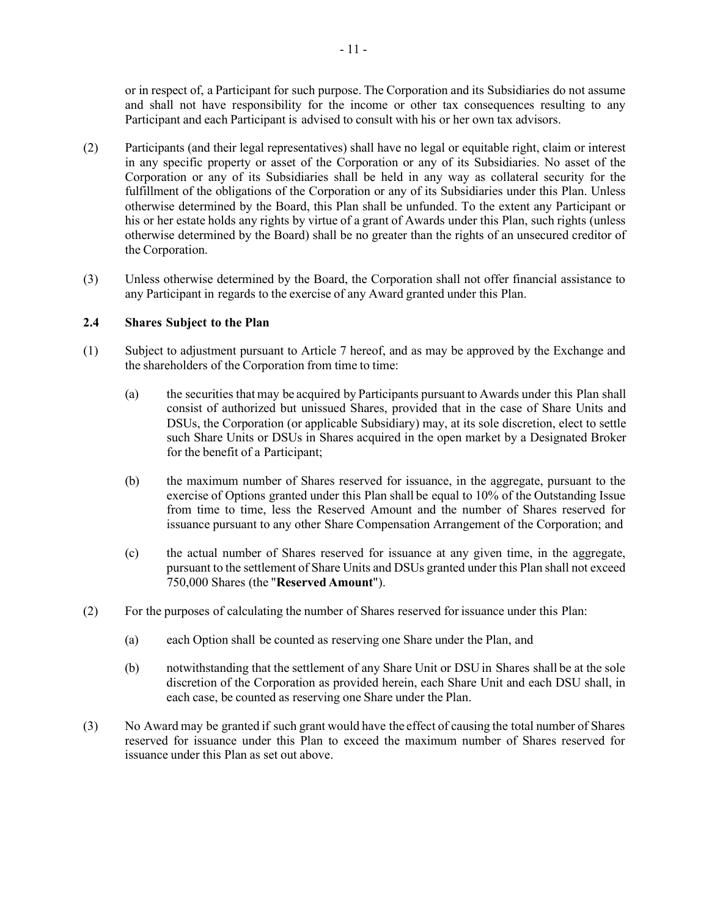or in respect of, a Participant for such purpose. The Corporation and its Subsidiaries do not assume and shall not have responsibility for the income or other tax consequences resulting to any Participant and each Participant is advised to consult with his or her own tax advisors.

- (2) Participants (and their legal representatives) shall have no legal or equitable right, claim or interest in any specific property or asset of the Corporation or any of its Subsidiaries. No asset of the Corporation or any of its Subsidiaries shall be held in any way as collateral security for the fulfillment of the obligations of the Corporation or any of its Subsidiaries under this Plan. Unless otherwise determined by the Board, this Plan shall be unfunded. To the extent any Participant or his or her estate holds any rights by virtue of a grant of Awards under this Plan, such rights (unless otherwise determined by the Board) shall be no greater than the rights of an unsecured creditor of the Corporation.
- (3) Unless otherwise determined by the Board, the Corporation shall not offer financial assistance to any Participant in regards to the exercise of any Award granted under this Plan.

# **2.4 Shares Subject to the Plan**

- (1) Subject to adjustment pursuant to [Article 7 h](#page-59-0)ereof, and as may be approved by the Exchange and the shareholders of the Corporation from time to time:
	- (a) the securities that may be acquired by Participants pursuant to Awards under this Plan shall consist of authorized but unissued Shares, provided that in the case of Share Units and DSUs, the Corporation (or applicable Subsidiary) may, at its sole discretion, elect to settle such Share Units or DSUs in Shares acquired in the open market by a Designated Broker for the benefit of a Participant;
	- (b) the maximum number of Shares reserved for issuance, in the aggregate, pursuant to the exercise of Options granted under this Plan shall be equal to 10% of the Outstanding Issue from time to time, less the Reserved Amount and the number of Shares reserved for issuance pursuant to any other Share Compensation Arrangement of the Corporation; and
	- (c) the actual number of Shares reserved for issuance at any given time, in the aggregate, pursuant to the settlement of Share Units and DSUs granted under this Plan shall not exceed 750,000 Shares (the "**Reserved Amount**").
- <span id="page-43-0"></span>(2) For the purposes of calculating the number of Shares reserved for issuance under this Plan:
	- (a) each Option shall be counted as reserving one Share under the Plan, and
	- (b) notwithstanding that the settlement of any Share Unit or DSU in Shares shall be at the sole discretion of the Corporation as provided herein, each Share Unit and each DSU shall, in each case, be counted as reserving one Share under the Plan.
- (3) No Award may be granted if such grant would have the effect of causing the total number of Shares reserved for issuance under this Plan to exceed the maximum number of Shares reserved for issuance under this Plan as set out above.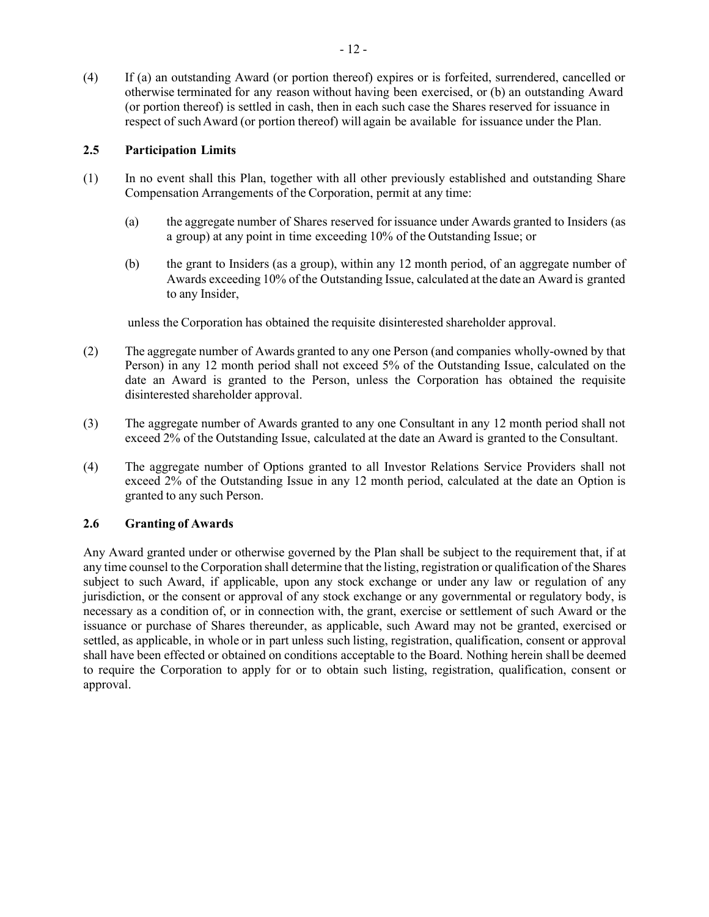(4) If (a) an outstanding Award (or portion thereof) expires or is forfeited, surrendered, cancelled or otherwise terminated for any reason without having been exercised, or (b) an outstanding Award (or portion thereof) is settled in cash, then in each such case the Shares reserved for issuance in respect of suchAward (or portion thereof) will again be available for issuance under the Plan.

# <span id="page-44-0"></span>**2.5 Participation Limits**

- (1) In no event shall this Plan, together with all other previously established and outstanding Share Compensation Arrangements of the Corporation, permit at any time:
	- (a) the aggregate number of Shares reserved for issuance under Awards granted to Insiders (as a group) at any point in time exceeding 10% of the Outstanding Issue; or
	- (b) the grant to Insiders (as a group), within any 12 month period, of an aggregate number of Awards exceeding 10% of the Outstanding Issue, calculated at the date an Award is granted to any Insider,

unless the Corporation has obtained the requisite disinterested shareholder approval.

- (2) The aggregate number of Awards granted to any one Person (and companies wholly-owned by that Person) in any 12 month period shall not exceed 5% of the Outstanding Issue, calculated on the date an Award is granted to the Person, unless the Corporation has obtained the requisite disinterested shareholder approval.
- (3) The aggregate number of Awards granted to any one Consultant in any 12 month period shall not exceed 2% of the Outstanding Issue, calculated at the date an Award is granted to the Consultant.
- (4) The aggregate number of Options granted to all Investor Relations Service Providers shall not exceed 2% of the Outstanding Issue in any 12 month period, calculated at the date an Option is granted to any such Person.

# **2.6 Granting of Awards**

Any Award granted under or otherwise governed by the Plan shall be subject to the requirement that, if at any time counsel to the Corporation shall determine that the listing, registration or qualification of the Shares subject to such Award, if applicable, upon any stock exchange or under any law or regulation of any jurisdiction, or the consent or approval of any stock exchange or any governmental or regulatory body, is necessary as a condition of, or in connection with, the grant, exercise or settlement of such Award or the issuance or purchase of Shares thereunder, as applicable, such Award may not be granted, exercised or settled, as applicable, in whole or in part unless such listing, registration, qualification, consent or approval shall have been effected or obtained on conditions acceptable to the Board. Nothing herein shall be deemed to require the Corporation to apply for or to obtain such listing, registration, qualification, consent or approval.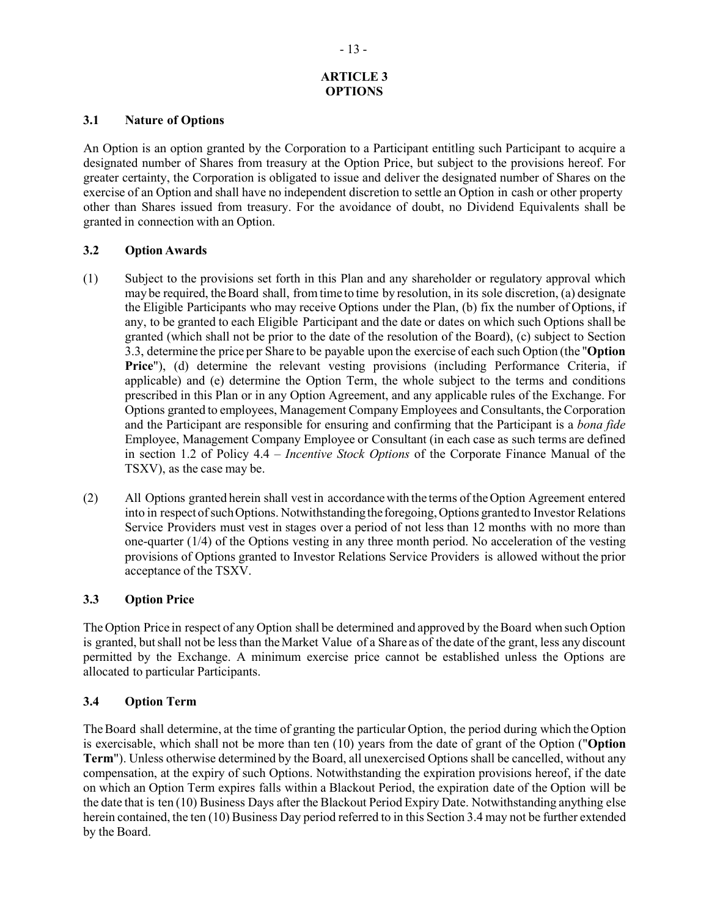# **ARTICLE 3 OPTIONS**

### **3.1 Nature of Options**

An Option is an option granted by the Corporation to a Participant entitling such Participant to acquire a designated number of Shares from treasury at the Option Price, but subject to the provisions hereof. For greater certainty, the Corporation is obligated to issue and deliver the designated number of Shares on the exercise of an Option and shall have no independent discretion to settle an Option in cash or other property other than Shares issued from treasury. For the avoidance of doubt, no Dividend Equivalents shall be granted in connection with an Option.

# **3.2 Option Awards**

- <span id="page-45-0"></span>(1) Subject to the provisions set forth in this Plan and any shareholder or regulatory approval which may be required, theBoard shall, from time to time by resolution, in its sole discretion, (a) designate the Eligible Participants who may receive Options under the Plan, (b) fix the number of Options, if any, to be granted to each Eligible Participant and the date or dates on which such Options shall be granted (which shall not be prior to the date of the resolution of the Board), (c) subject to Section [3.3,](#page-45-2) determine the price per Share to be payable upon the exercise of each such Option (the "**Option Price**"), (d) determine the relevant vesting provisions (including Performance Criteria, if applicable) and (e) determine the Option Term, the whole subject to the terms and conditions prescribed in this Plan or in any Option Agreement, and any applicable rules of the Exchange. For Options granted to employees, Management Company Employees and Consultants, the Corporation and the Participant are responsible for ensuring and confirming that the Participant is a *bona fide* Employee, Management Company Employee or Consultant (in each case as such terms are defined in section 1.2 of Policy 4.4 – *Incentive Stock Options* of the Corporate Finance Manual of the TSXV), as the case may be.
- (2) All Options granted herein shall vest in accordancewith the terms of theOption Agreement entered into in respect of such Options. Notwithstanding the foregoing, Options granted to Investor Relations Service Providers must vest in stages over a period of not less than 12 months with no more than one-quarter (1/4) of the Options vesting in any three month period. No acceleration of the vesting provisions of Options granted to Investor Relations Service Providers is allowed without the prior acceptance of the TSXV.

# <span id="page-45-2"></span>**3.3 Option Price**

The Option Price in respect of any Option shall be determined and approved by the Board when such Option is granted, but shall not be less than the Market Value of a Share as of the date of the grant, less any discount permitted by the Exchange. A minimum exercise price cannot be established unless the Options are allocated to particular Participants.

# <span id="page-45-1"></span>**3.4 Option Term**

The Board shall determine, at the time of granting the particular Option, the period during which the Option is exercisable, which shall not be more than ten (10) years from the date of grant of the Option ("**Option Term**"). Unless otherwise determined by the Board, all unexercised Options shall be cancelled, without any compensation, at the expiry of such Options. Notwithstanding the expiration provisions hereof, if the date on which an Option Term expires falls within a Blackout Period, the expiration date of the Option will be the date that is ten (10) Business Days after the Blackout Period Expiry Date. Notwithstanding anything else herein contained, the ten (10) Business Day period referred to in this Sectio[n 3.4 m](#page-45-1)ay not be further extended by the Board.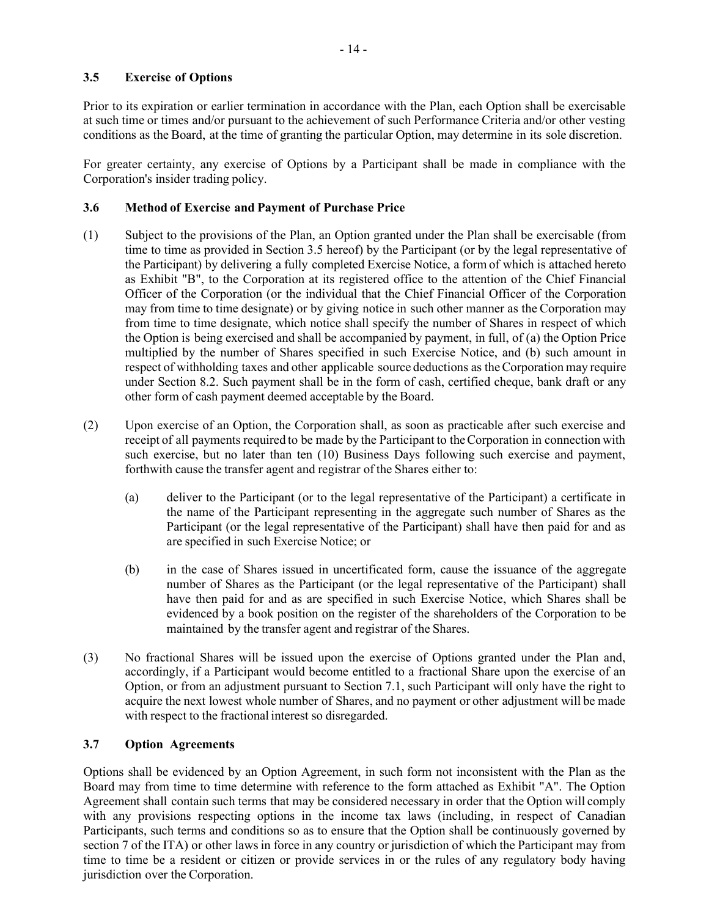# <span id="page-46-0"></span>**3.5 Exercise of Options**

Prior to its expiration or earlier termination in accordance with the Plan, each Option shall be exercisable at such time or times and/or pursuant to the achievement of such Performance Criteria and/or other vesting conditions as the Board, at the time of granting the particular Option, may determine in its sole discretion.

For greater certainty, any exercise of Options by a Participant shall be made in compliance with the Corporation's insider trading policy.

# **3.6 Method of Exercise and Payment of Purchase Price**

- (1) Subject to the provisions of the Plan, an Option granted under the Plan shall be exercisable (from time to time as provided in Section [3.5 h](#page-46-0)ereof) by the Participant (or by the legal representative of the Participant) by delivering a fully completed Exercise Notice, a form of which is attached hereto as [Exhibit "B",](#page-70-0) to the Corporation at its registered office to the attention of the Chief Financial Officer of the Corporation (or the individual that the Chief Financial Officer of the Corporation may from time to time designate) or by giving notice in such other manner as the Corporation may from time to time designate, which notice shall specify the number of Shares in respect of which the Option is being exercised and shall be accompanied by payment, in full, of (a) the Option Price multiplied by the number of Shares specified in such Exercise Notice, and (b) such amount in respect of withholding taxes and other applicable source deductions as the Corporation may require under Section [8.2.](#page-62-0) Such payment shall be in the form of cash, certified cheque, bank draft or any other form of cash payment deemed acceptable by the Board.
- (2) Upon exercise of an Option, the Corporation shall, as soon as practicable after such exercise and receipt of all payments required to be made by the Participant to the Corporation in connection with such exercise, but no later than ten (10) Business Days following such exercise and payment, forthwith cause the transfer agent and registrar of the Shares either to:
	- (a) deliver to the Participant (or to the legal representative of the Participant) a certificate in the name of the Participant representing in the aggregate such number of Shares as the Participant (or the legal representative of the Participant) shall have then paid for and as are specified in such Exercise Notice; or
	- (b) in the case of Shares issued in uncertificated form, cause the issuance of the aggregate number of Shares as the Participant (or the legal representative of the Participant) shall have then paid for and as are specified in such Exercise Notice, which Shares shall be evidenced by a book position on the register of the shareholders of the Corporation to be maintained by the transfer agent and registrar of the Shares.
- (3) No fractional Shares will be issued upon the exercise of Options granted under the Plan and, accordingly, if a Participant would become entitled to a fractional Share upon the exercise of an Option, or from an adjustment pursuant to Section 7.1, such Participant will only have the right to acquire the next lowest whole number of Shares, and no payment or other adjustment will be made with respect to the fractional interest so disregarded.

# **3.7 Option Agreements**

Options shall be evidenced by an Option Agreement, in such form not inconsistent with the Plan as the Board may from time to time determine with reference to the form attached as [Exhibit "A".](#page-66-0) The Option Agreement shall contain such terms that may be considered necessary in order that the Option will comply with any provisions respecting options in the income tax laws (including, in respect of Canadian Participants, such terms and conditions so as to ensure that the Option shall be continuously governed by section 7 of the ITA) or other laws in force in any country or jurisdiction of which the Participant may from time to time be a resident or citizen or provide services in or the rules of any regulatory body having jurisdiction over the Corporation.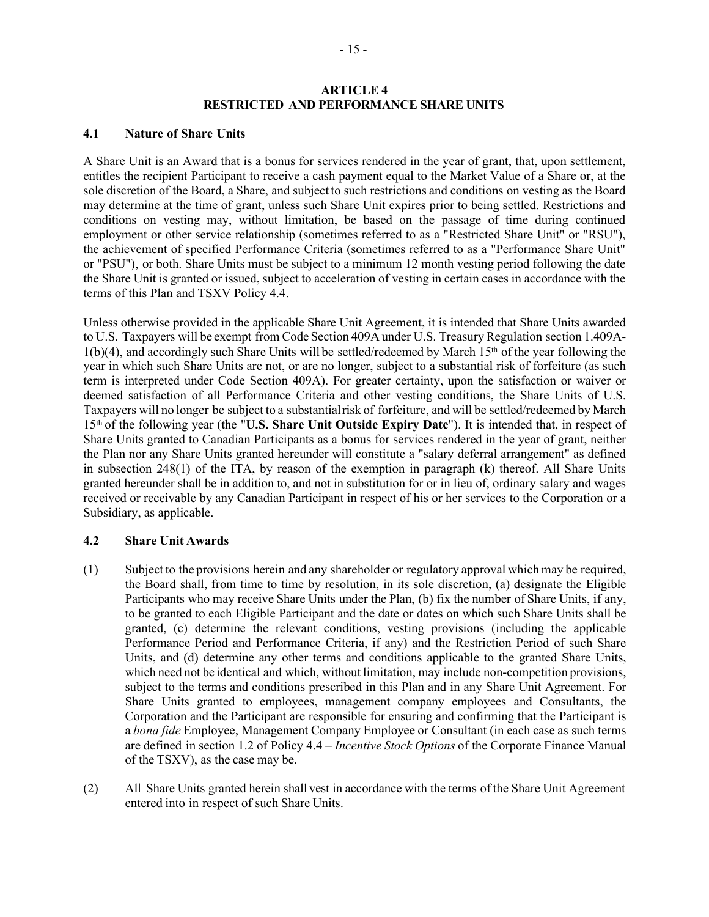### **ARTICLE 4 RESTRICTED AND PERFORMANCE SHARE UNITS**

# <span id="page-47-1"></span><span id="page-47-0"></span>**4.1 Nature of Share Units**

A Share Unit is an Award that is a bonus for services rendered in the year of grant, that, upon settlement, entitles the recipient Participant to receive a cash payment equal to the Market Value of a Share or, at the sole discretion of the Board, a Share, and subject to such restrictions and conditions on vesting as the Board may determine at the time of grant, unless such Share Unit expires prior to being settled. Restrictions and conditions on vesting may, without limitation, be based on the passage of time during continued employment or other service relationship (sometimes referred to as a "Restricted Share Unit" or "RSU"), the achievement of specified Performance Criteria (sometimes referred to as a "Performance Share Unit" or "PSU"), or both. Share Units must be subject to a minimum 12 month vesting period following the date the Share Unit is granted or issued, subject to acceleration of vesting in certain cases in accordance with the terms of this Plan and TSXV Policy 4.4.

Unless otherwise provided in the applicable Share Unit Agreement, it is intended that Share Units awarded to U.S. Taxpayers will be exempt from Code Section 409A under U.S. Treasury Regulation section 1.409A- $1(b)(4)$ , and accordingly such Share Units will be settled/redeemed by March  $15<sup>th</sup>$  of the year following the year in which such Share Units are not, or are no longer, subject to a substantial risk of forfeiture (as such term is interpreted under Code Section 409A). For greater certainty, upon the satisfaction or waiver or deemed satisfaction of all Performance Criteria and other vesting conditions, the Share Units of U.S. Taxpayers will no longer be subject to a substantialrisk of forfeiture, and will be settled/redeemed by March 15th of the following year (the "**U.S. Share Unit Outside Expiry Date**"). It is intended that, in respect of Share Units granted to Canadian Participants as a bonus for services rendered in the year of grant, neither the Plan nor any Share Units granted hereunder will constitute a "salary deferral arrangement" as defined in subsection 248(1) of the ITA, by reason of the exemption in paragraph (k) thereof. All Share Units granted hereunder shall be in addition to, and not in substitution for or in lieu of, ordinary salary and wages received or receivable by any Canadian Participant in respect of his or her services to the Corporation or a Subsidiary, as applicable.

# **4.2 Share Unit Awards**

- (1) Subject to the provisions herein and any shareholder or regulatory approval which may be required, the Board shall, from time to time by resolution, in its sole discretion, (a) designate the Eligible Participants who may receive Share Units under the Plan, (b) fix the number of Share Units, if any, to be granted to each Eligible Participant and the date or dates on which such Share Units shall be granted, (c) determine the relevant conditions, vesting provisions (including the applicable Performance Period and Performance Criteria, if any) and the Restriction Period of such Share Units, and (d) determine any other terms and conditions applicable to the granted Share Units, which need not be identical and which, without limitation, may include non-competition provisions, subject to the terms and conditions prescribed in this Plan and in any Share Unit Agreement. For Share Units granted to employees, management company employees and Consultants, the Corporation and the Participant are responsible for ensuring and confirming that the Participant is a *bona fide* Employee, Management Company Employee or Consultant (in each case as such terms are defined in section 1.2 of Policy 4.4 – *Incentive Stock Options* of the Corporate Finance Manual of the TSXV), as the case may be.
- (2) All Share Units granted herein shall vest in accordance with the terms of the Share Unit Agreement entered into in respect of such Share Units.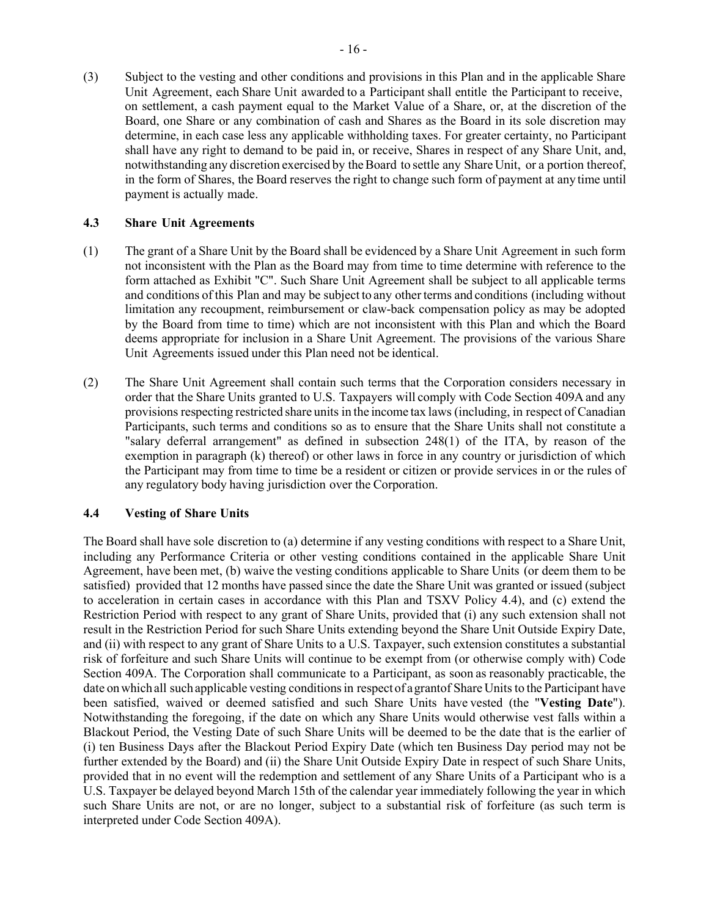(3) Subject to the vesting and other conditions and provisions in this Plan and in the applicable Share Unit Agreement, each Share Unit awarded to a Participant shall entitle the Participant to receive, on settlement, a cash payment equal to the Market Value of a Share, or, at the discretion of the Board, one Share or any combination of cash and Shares as the Board in its sole discretion may determine, in each case less any applicable withholding taxes. For greater certainty, no Participant shall have any right to demand to be paid in, or receive, Shares in respect of any Share Unit, and, notwithstanding any discretion exercised by the Board to settle any Share Unit, or a portion thereof, in the form of Shares, the Board reserves the right to change such form of payment at any time until payment is actually made.

### **4.3 Share Unit Agreements**

- (1) The grant of a Share Unit by the Board shall be evidenced by a Share Unit Agreement in such form not inconsistent with the Plan as the Board may from time to time determine with reference to the form attached as [Exhibit "C".](#page-71-0) Such Share Unit Agreement shall be subject to all applicable terms and conditions of this Plan and may be subject to any other terms and conditions (including without limitation any recoupment, reimbursement or claw-back compensation policy as may be adopted by the Board from time to time) which are not inconsistent with this Plan and which the Board deems appropriate for inclusion in a Share Unit Agreement. The provisions of the various Share Unit Agreements issued under this Plan need not be identical.
- (2) The Share Unit Agreement shall contain such terms that the Corporation considers necessary in order that the Share Units granted to U.S. Taxpayers will comply with Code Section 409A and any provisions respecting restricted share units in the income tax laws (including, in respect of Canadian Participants, such terms and conditions so as to ensure that the Share Units shall not constitute a "salary deferral arrangement" as defined in subsection 248(1) of the ITA, by reason of the exemption in paragraph (k) thereof) or other laws in force in any country or jurisdiction of which the Participant may from time to time be a resident or citizen or provide services in or the rules of any regulatory body having jurisdiction over the Corporation.

# <span id="page-48-0"></span>**4.4 Vesting of Share Units**

The Board shall have sole discretion to (a) determine if any vesting conditions with respect to a Share Unit, including any Performance Criteria or other vesting conditions contained in the applicable Share Unit Agreement, have been met, (b) waive the vesting conditions applicable to Share Units (or deem them to be satisfied) provided that 12 months have passed since the date the Share Unit was granted or issued (subject to acceleration in certain cases in accordance with this Plan and TSXV Policy 4.4), and (c) extend the Restriction Period with respect to any grant of Share Units, provided that (i) any such extension shall not result in the Restriction Period for such Share Units extending beyond the Share Unit Outside Expiry Date, and (ii) with respect to any grant of Share Units to a U.S. Taxpayer, such extension constitutes a substantial risk of forfeiture and such Share Units will continue to be exempt from (or otherwise comply with) Code Section 409A. The Corporation shall communicate to a Participant, as soon as reasonably practicable, the date on which all such applicable vesting conditions in respect of a grantof Share Units to the Participant have been satisfied, waived or deemed satisfied and such Share Units have vested (the "**Vesting Date**"). Notwithstanding the foregoing, if the date on which any Share Units would otherwise vest falls within a Blackout Period, the Vesting Date of such Share Units will be deemed to be the date that is the earlier of (i) ten Business Days after the Blackout Period Expiry Date (which ten Business Day period may not be further extended by the Board) and (ii) the Share Unit Outside Expiry Date in respect of such Share Units, provided that in no event will the redemption and settlement of any Share Units of a Participant who is a U.S. Taxpayer be delayed beyond March 15th of the calendar year immediately following the year in which such Share Units are not, or are no longer, subject to a substantial risk of forfeiture (as such term is interpreted under Code Section 409A).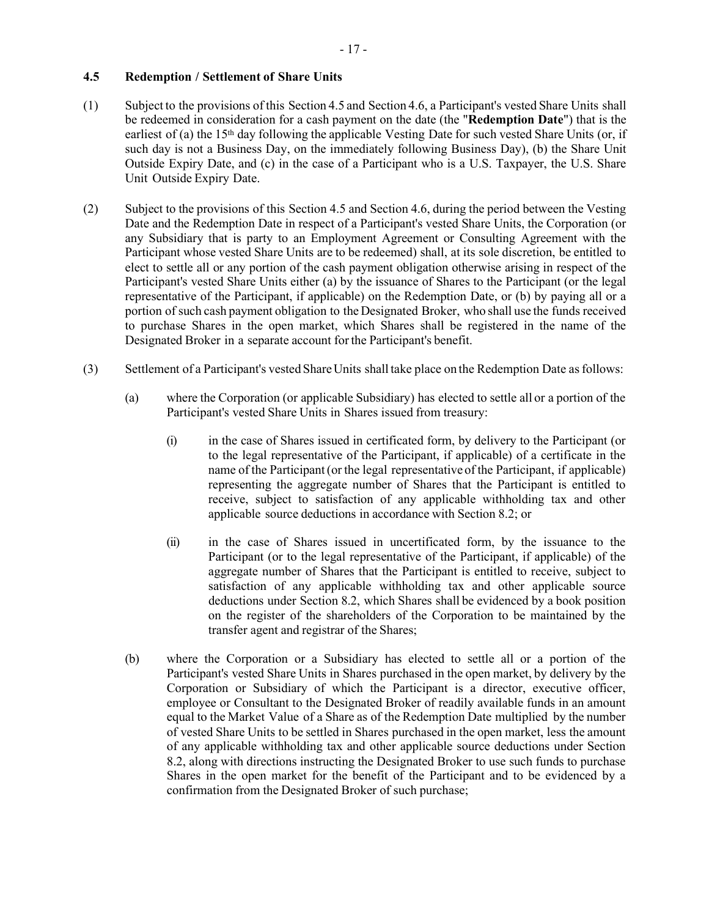# <span id="page-49-1"></span>**4.5 Redemption / Settlement of Share Units**

- <span id="page-49-0"></span>(1) Subject to the provisions of this Section [4.5](#page-49-1) and Section [4.6,](#page-50-1) a Participant's vested Share Units shall be redeemed in consideration for a cash payment on the date (the "**Redemption Date**") that is the earliest of (a) the 15<sup>th</sup> day following the applicable Vesting Date for such vested Share Units (or, if such day is not a Business Day, on the immediately following Business Day), (b) the Share Unit Outside Expiry Date, and (c) in the case of a Participant who is a U.S. Taxpayer, the U.S. Share Unit Outside Expiry Date.
- <span id="page-49-2"></span>(2) Subject to the provisions of this Section [4.5](#page-49-1) and Section [4.6,](#page-50-1) during the period between the Vesting Date and the Redemption Date in respect of a Participant's vested Share Units, the Corporation (or any Subsidiary that is party to an Employment Agreement or Consulting Agreement with the Participant whose vested Share Units are to be redeemed) shall, at its sole discretion, be entitled to elect to settle all or any portion of the cash payment obligation otherwise arising in respect of the Participant's vested Share Units either (a) by the issuance of Shares to the Participant (or the legal representative of the Participant, if applicable) on the Redemption Date, or (b) by paying all or a portion of such cash payment obligation to the Designated Broker, who shall use the funds received to purchase Shares in the open market, which Shares shall be registered in the name of the Designated Broker in a separate account forthe Participant's benefit.
- (3) Settlement of a Participant's vested ShareUnits shall take place on the Redemption Date asfollows:
	- (a) where the Corporation (or applicable Subsidiary) has elected to settle all or a portion of the Participant's vested Share Units in Shares issued from treasury:
		- (i) in the case of Shares issued in certificated form, by delivery to the Participant (or to the legal representative of the Participant, if applicable) of a certificate in the name of the Participant(or the legal representative of the Participant, if applicable) representing the aggregate number of Shares that the Participant is entitled to receive, subject to satisfaction of any applicable withholding tax and other applicable source deductions in accordance with Section [8.2;](#page-62-0) or
		- (ii) in the case of Shares issued in uncertificated form, by the issuance to the Participant (or to the legal representative of the Participant, if applicable) of the aggregate number of Shares that the Participant is entitled to receive, subject to satisfaction of any applicable withholding tax and other applicable source deductions under Section [8.2,](#page-62-0) which Shares shall be evidenced by a book position on the register of the shareholders of the Corporation to be maintained by the transfer agent and registrar of the Shares;
	- (b) where the Corporation or a Subsidiary has elected to settle all or a portion of the Participant's vested Share Units in Shares purchased in the open market, by delivery by the Corporation or Subsidiary of which the Participant is a director, executive officer, employee or Consultant to the Designated Broker of readily available funds in an amount equal to the Market Value of a Share as of the Redemption Date multiplied by the number of vested Share Units to be settled in Shares purchased in the open market, less the amount of any applicable withholding tax and other applicable source deductions under Section [8.2,](#page-62-0) along with directions instructing the Designated Broker to use such funds to purchase Shares in the open market for the benefit of the Participant and to be evidenced by a confirmation from the Designated Broker of such purchase;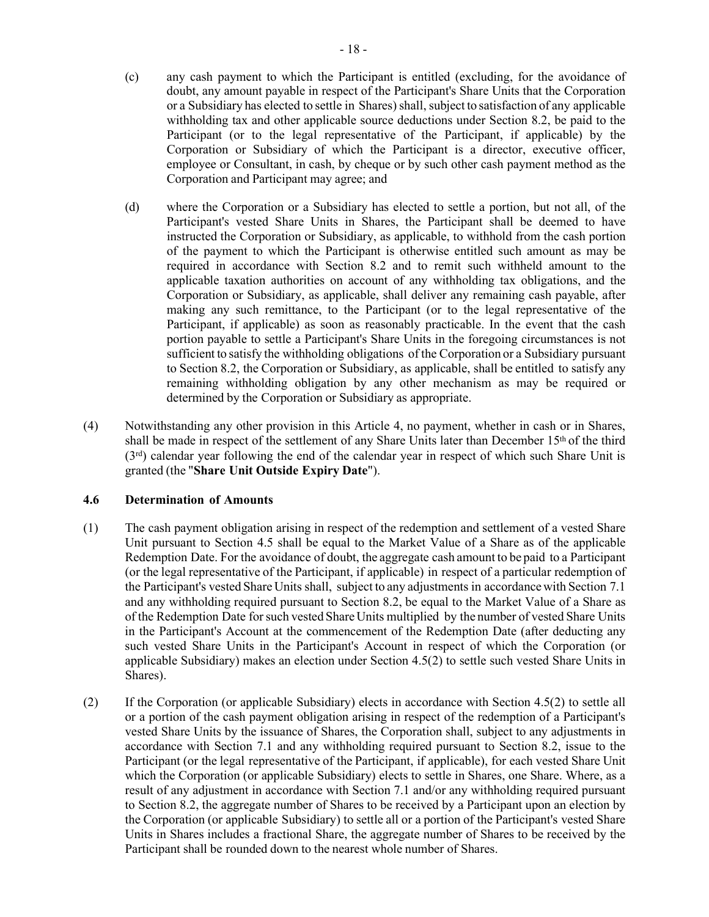- (c) any cash payment to which the Participant is entitled (excluding, for the avoidance of doubt, any amount payable in respect of the Participant's Share Units that the Corporation or a Subsidiary has elected to settle in Shares) shall, subject to satisfaction of any applicable withholding tax and other applicable source deductions under Section [8.2,](#page-62-0) be paid to the Participant (or to the legal representative of the Participant, if applicable) by the Corporation or Subsidiary of which the Participant is a director, executive officer, employee or Consultant, in cash, by cheque or by such other cash payment method as the Corporation and Participant may agree; and
- (d) where the Corporation or a Subsidiary has elected to settle a portion, but not all, of the Participant's vested Share Units in Shares, the Participant shall be deemed to have instructed the Corporation or Subsidiary, as applicable, to withhold from the cash portion of the payment to which the Participant is otherwise entitled such amount as may be required in accordance with Section [8.2](#page-62-0) and to remit such withheld amount to the applicable taxation authorities on account of any withholding tax obligations, and the Corporation or Subsidiary, as applicable, shall deliver any remaining cash payable, after making any such remittance, to the Participant (or to the legal representative of the Participant, if applicable) as soon as reasonably practicable. In the event that the cash portion payable to settle a Participant's Share Units in the foregoing circumstances is not sufficient to satisfy the withholding obligations of the Corporation or a Subsidiary pursuant to Section [8.2,](#page-62-0) the Corporation or Subsidiary, as applicable, shall be entitled to satisfy any remaining withholding obligation by any other mechanism as may be required or determined by the Corporation or Subsidiary as appropriate.
- <span id="page-50-0"></span>(4) Notwithstanding any other provision in this [Article 4,](#page-47-0) no payment, whether in cash or in Shares, shall be made in respect of the settlement of any Share Units later than December  $15<sup>th</sup>$  of the third (3rd) calendar year following the end of the calendar year in respect of which such Share Unit is granted (the "**Share Unit Outside Expiry Date**").

# <span id="page-50-1"></span>**4.6 Determination of Amounts**

- (1) The cash payment obligation arising in respect of the redemption and settlement of a vested Share Unit pursuant to Section [4.5 s](#page-49-1)hall be equal to the Market Value of a Share as of the applicable Redemption Date. For the avoidance of doubt, the aggregate cash amount to be paid to a Participant (or the legal representative of the Participant, if applicable) in respect of a particular redemption of the Participant's vested Share Units shall, subject to any adjustments in accordancewith Section [7.1](#page-59-1) and any withholding required pursuant to Section [8.2,](#page-62-0) be equal to the Market Value of a Share as of the Redemption Date forsuch vested ShareUnits multiplied by the number of vested Share Units in the Participant's Account at the commencement of the Redemption Date (after deducting any such vested Share Units in the Participant's Account in respect of which the Corporation (or applicable Subsidiary) makes an election under Section [4.5\(2\) t](#page-49-2)o settle such vested Share Units in Shares).
- (2) If the Corporation (or applicable Subsidiary) elects in accordance with Section [4.5\(2\) t](#page-49-2)o settle all or a portion of the cash payment obligation arising in respect of the redemption of a Participant's vested Share Units by the issuance of Shares, the Corporation shall, subject to any adjustments in accordance with Section [7.1 a](#page-59-1)nd any withholding required pursuant to Section [8.2,](#page-62-0) issue to the Participant (or the legal representative of the Participant, if applicable), for each vested Share Unit which the Corporation (or applicable Subsidiary) elects to settle in Shares, one Share. Where, as a result of any adjustment in accordance with Section [7.1 a](#page-59-1)nd/or any withholding required pursuant to Section [8.2,](#page-62-0) the aggregate number of Shares to be received by a Participant upon an election by the Corporation (or applicable Subsidiary) to settle all or a portion of the Participant's vested Share Units in Shares includes a fractional Share, the aggregate number of Shares to be received by the Participant shall be rounded down to the nearest whole number of Shares.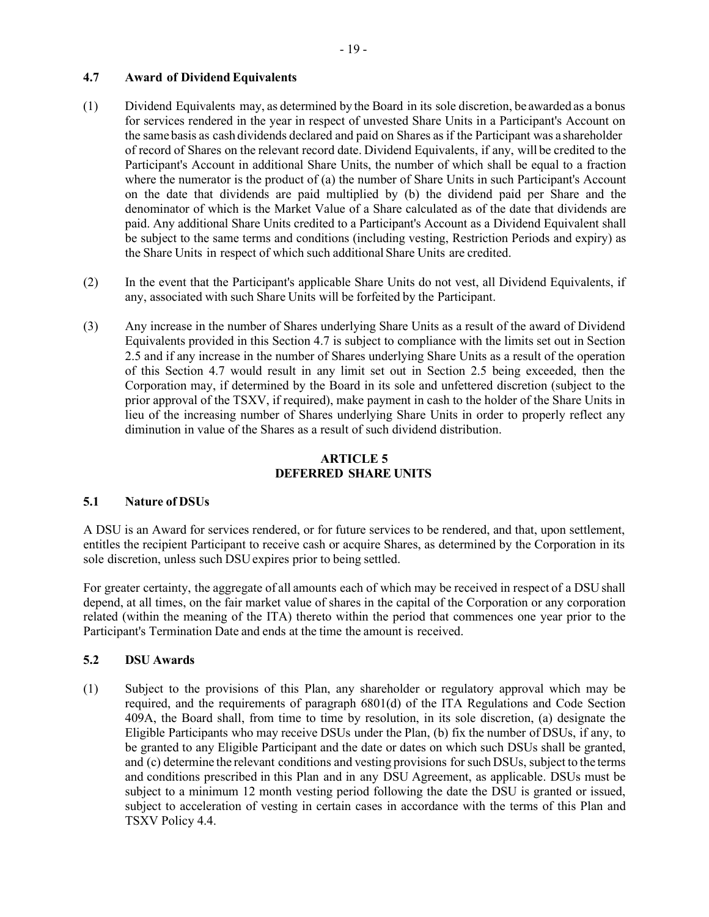# <span id="page-51-0"></span>**4.7 Award of Dividend Equivalents**

- (1) Dividend Equivalents may, as determined by the Board in its sole discretion, be awarded as a bonus for services rendered in the year in respect of unvested Share Units in a Participant's Account on the same basis as cash dividends declared and paid on Shares asif the Participant was a shareholder of record of Shares on the relevant record date. Dividend Equivalents, if any, will be credited to the Participant's Account in additional Share Units, the number of which shall be equal to a fraction where the numerator is the product of (a) the number of Share Units in such Participant's Account on the date that dividends are paid multiplied by (b) the dividend paid per Share and the denominator of which is the Market Value of a Share calculated as of the date that dividends are paid. Any additional Share Units credited to a Participant's Account as a Dividend Equivalent shall be subject to the same terms and conditions (including vesting, Restriction Periods and expiry) as the Share Units in respect of which such additional Share Units are credited.
- (2) In the event that the Participant's applicable Share Units do not vest, all Dividend Equivalents, if any, associated with such Share Units will be forfeited by the Participant.
- (3) Any increase in the number of Shares underlying Share Units as a result of the award of Dividend Equivalents provided in this Section 4.7 is subject to compliance with the limits set out in Section 2.5 and if any increase in the number of Shares underlying Share Units as a result of the operation of this Section 4.7 would result in any limit set out in Section 2.5 being exceeded, then the Corporation may, if determined by the Board in its sole and unfettered discretion (subject to the prior approval of the TSXV, if required), make payment in cash to the holder of the Share Units in lieu of the increasing number of Shares underlying Share Units in order to properly reflect any diminution in value of the Shares as a result of such dividend distribution.

# **ARTICLE 5 DEFERRED SHARE UNITS**

# <span id="page-51-1"></span>**5.1 Nature of DSUs**

A DSU is an Award for services rendered, or for future services to be rendered, and that, upon settlement, entitles the recipient Participant to receive cash or acquire Shares, as determined by the Corporation in its sole discretion, unless such DSU expires prior to being settled.

For greater certainty, the aggregate of all amounts each of which may be received in respect of a DSU shall depend, at all times, on the fair market value of shares in the capital of the Corporation or any corporation related (within the meaning of the ITA) thereto within the period that commences one year prior to the Participant's Termination Date and ends at the time the amount is received.

# **5.2 DSU Awards**

(1) Subject to the provisions of this Plan, any shareholder or regulatory approval which may be required, and the requirements of paragraph 6801(d) of the ITA Regulations and Code Section 409A, the Board shall, from time to time by resolution, in its sole discretion, (a) designate the Eligible Participants who may receive DSUs under the Plan, (b) fix the number of DSUs, if any, to be granted to any Eligible Participant and the date or dates on which such DSUs shall be granted, and (c) determine the relevant conditions and vesting provisions for such DSUs, subject to the terms and conditions prescribed in this Plan and in any DSU Agreement, as applicable. DSUs must be subject to a minimum 12 month vesting period following the date the DSU is granted or issued, subject to acceleration of vesting in certain cases in accordance with the terms of this Plan and TSXV Policy 4.4.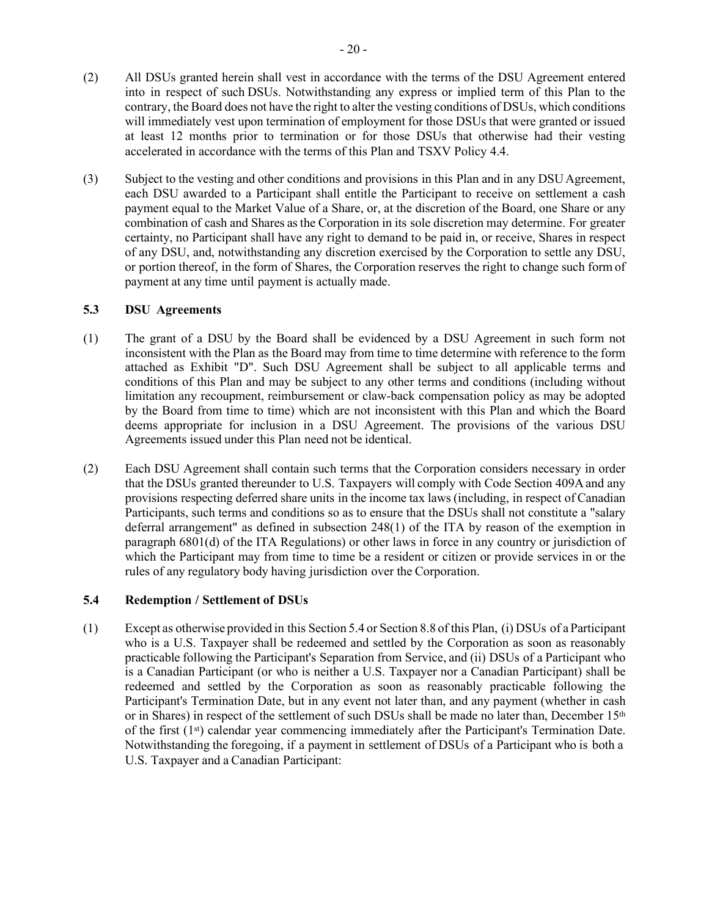accelerated in accordance with the terms of this Plan and TSXV Policy 4.4.

(3) Subject to the vesting and other conditions and provisions in this Plan and in any DSU Agreement, each DSU awarded to a Participant shall entitle the Participant to receive on settlement a cash payment equal to the Market Value of a Share, or, at the discretion of the Board, one Share or any combination of cash and Shares asthe Corporation in its sole discretion may determine. For greater certainty, no Participant shall have any right to demand to be paid in, or receive, Shares in respect of any DSU, and, notwithstanding any discretion exercised by the Corporation to settle any DSU, or portion thereof, in the form of Shares, the Corporation reserves the right to change such form of payment at any time until payment is actually made.

### **5.3 DSU Agreements**

- (1) The grant of a DSU by the Board shall be evidenced by a DSU Agreement in such form not inconsistent with the Plan as the Board may from time to time determine with reference to the form attached as [Exhibit](#page-74-0) "D". Such DSU Agreement shall be subject to all applicable terms and conditions of this Plan and may be subject to any other terms and conditions (including without limitation any recoupment, reimbursement or claw-back compensation policy as may be adopted by the Board from time to time) which are not inconsistent with this Plan and which the Board deems appropriate for inclusion in a DSU Agreement. The provisions of the various DSU Agreements issued under this Plan need not be identical.
- (2) Each DSU Agreement shall contain such terms that the Corporation considers necessary in order that the DSUs granted thereunder to U.S. Taxpayers will comply with Code Section 409A and any provisions respecting deferred share units in the income tax laws (including, in respect of Canadian Participants, such terms and conditions so as to ensure that the DSUs shall not constitute a "salary deferral arrangement" as defined in subsection 248(1) of the ITA by reason of the exemption in paragraph 6801(d) of the ITA Regulations) or other laws in force in any country or jurisdiction of which the Participant may from time to time be a resident or citizen or provide services in or the rules of any regulatory body having jurisdiction over the Corporation.

# <span id="page-52-0"></span>**5.4 Redemption / Settlement of DSUs**

(1) Except as otherwise provided in this Section [5.4](#page-52-0) or Section [8.8](#page-64-0) of this Plan, (i) DSUs of a Participant who is a U.S. Taxpayer shall be redeemed and settled by the Corporation as soon as reasonably practicable following the Participant's Separation from Service, and (ii) DSUs of a Participant who is a Canadian Participant (or who is neither a U.S. Taxpayer nor a Canadian Participant) shall be redeemed and settled by the Corporation as soon as reasonably practicable following the Participant's Termination Date, but in any event not later than, and any payment (whether in cash or in Shares) in respect of the settlement of such DSUs shall be made no later than, December 15th of the first  $(1<sup>st</sup>)$  calendar year commencing immediately after the Participant's Termination Date. Notwithstanding the foregoing, if a payment in settlement of DSUs of a Participant who is both a U.S. Taxpayer and a Canadian Participant: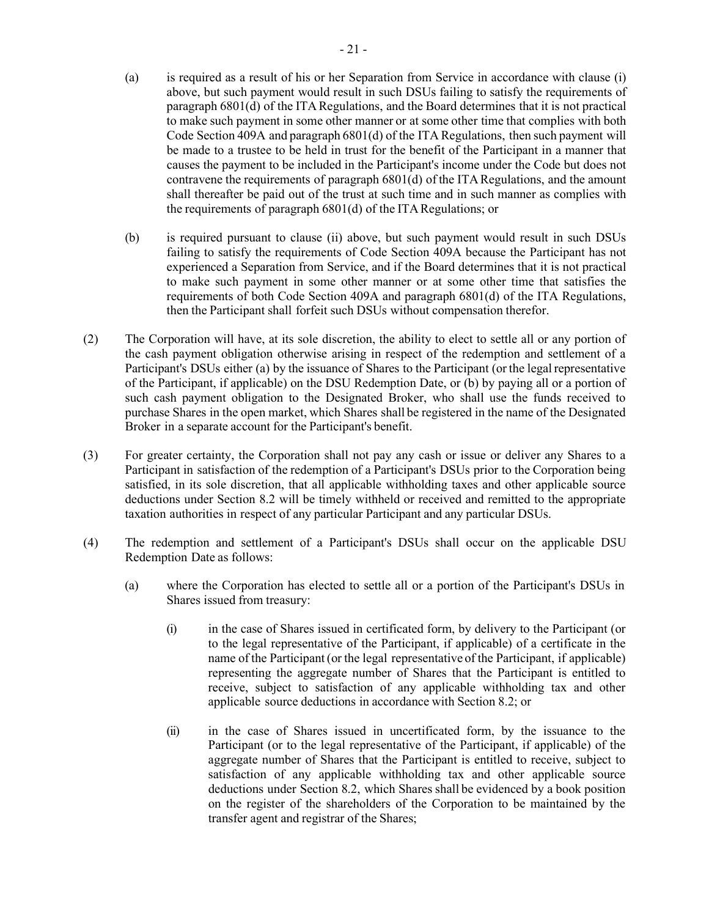- (a) is required as a result of his or her Separation from Service in accordance with clause (i) above, but such payment would result in such DSUs failing to satisfy the requirements of paragraph 6801(d) of the ITA Regulations, and the Board determines that it is not practical to make such payment in some other manner or at some other time that complies with both Code Section 409A and paragraph 6801(d) of the ITA Regulations, then such payment will be made to a trustee to be held in trust for the benefit of the Participant in a manner that causes the payment to be included in the Participant's income under the Code but does not contravene the requirements of paragraph 6801(d) of the ITA Regulations, and the amount shall thereafter be paid out of the trust at such time and in such manner as complies with the requirements of paragraph  $6801(d)$  of the ITA Regulations; or
- (b) is required pursuant to clause (ii) above, but such payment would result in such DSUs failing to satisfy the requirements of Code Section 409A because the Participant has not experienced a Separation from Service, and if the Board determines that it is not practical to make such payment in some other manner or at some other time that satisfies the requirements of both Code Section 409A and paragraph 6801(d) of the ITA Regulations, then the Participant shall forfeit such DSUs without compensation therefor.
- <span id="page-53-0"></span>(2) The Corporation will have, at its sole discretion, the ability to elect to settle all or any portion of the cash payment obligation otherwise arising in respect of the redemption and settlement of a Participant's DSUs either (a) by the issuance of Shares to the Participant (or the legal representative of the Participant, if applicable) on the DSU Redemption Date, or (b) by paying all or a portion of such cash payment obligation to the Designated Broker, who shall use the funds received to purchase Shares in the open market, which Shares shall be registered in the name of the Designated Broker in a separate account for the Participant's benefit.
- (3) For greater certainty, the Corporation shall not pay any cash or issue or deliver any Shares to a Participant in satisfaction of the redemption of a Participant's DSUs prior to the Corporation being satisfied, in its sole discretion, that all applicable withholding taxes and other applicable source deductions under Section [8.2 w](#page-62-0)ill be timely withheld or received and remitted to the appropriate taxation authorities in respect of any particular Participant and any particular DSUs.
- (4) The redemption and settlement of a Participant's DSUs shall occur on the applicable DSU Redemption Date as follows:
	- (a) where the Corporation has elected to settle all or a portion of the Participant's DSUs in Shares issued from treasury:
		- (i) in the case of Shares issued in certificated form, by delivery to the Participant (or to the legal representative of the Participant, if applicable) of a certificate in the name of the Participant(or the legal representative of the Participant, if applicable) representing the aggregate number of Shares that the Participant is entitled to receive, subject to satisfaction of any applicable withholding tax and other applicable source deductions in accordance with Section [8.2;](#page-62-0) or
		- (ii) in the case of Shares issued in uncertificated form, by the issuance to the Participant (or to the legal representative of the Participant, if applicable) of the aggregate number of Shares that the Participant is entitled to receive, subject to satisfaction of any applicable withholding tax and other applicable source deductions under Section [8.2,](#page-62-0) which Shares shall be evidenced by a book position on the register of the shareholders of the Corporation to be maintained by the transfer agent and registrar of the Shares;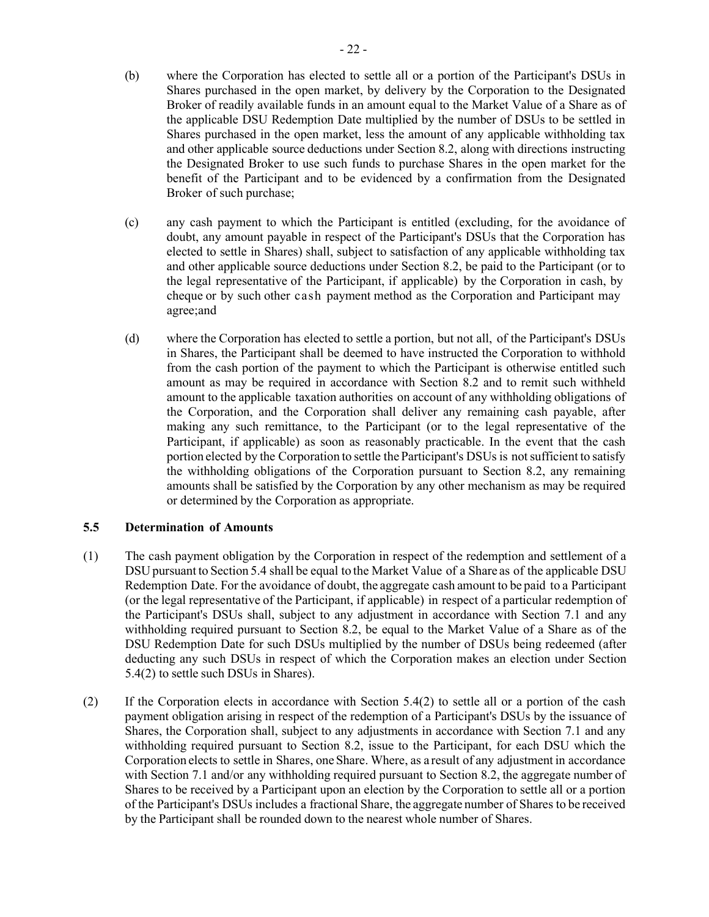- (b) where the Corporation has elected to settle all or a portion of the Participant's DSUs in Shares purchased in the open market, by delivery by the Corporation to the Designated Broker of readily available funds in an amount equal to the Market Value of a Share as of the applicable DSU Redemption Date multiplied by the number of DSUs to be settled in Shares purchased in the open market, less the amount of any applicable withholding tax and other applicable source deductions under Section [8.2,](#page-62-0) along with directions instructing the Designated Broker to use such funds to purchase Shares in the open market for the benefit of the Participant and to be evidenced by a confirmation from the Designated Broker of such purchase;
- (c) any cash payment to which the Participant is entitled (excluding, for the avoidance of doubt, any amount payable in respect of the Participant's DSUs that the Corporation has elected to settle in Shares) shall, subject to satisfaction of any applicable withholding tax and other applicable source deductions under Section [8.2,](#page-62-0) be paid to the Participant (or to the legal representative of the Participant, if applicable) by the Corporation in cash, by cheque or by such other cash payment method as the Corporation and Participant may agree;and
- (d) where the Corporation has elected to settle a portion, but not all, of the Participant's DSUs in Shares, the Participant shall be deemed to have instructed the Corporation to withhold from the cash portion of the payment to which the Participant is otherwise entitled such amount as may be required in accordance with Section [8.2 a](#page-62-0)nd to remit such withheld amount to the applicable taxation authorities on account of any withholding obligations of the Corporation, and the Corporation shall deliver any remaining cash payable, after making any such remittance, to the Participant (or to the legal representative of the Participant, if applicable) as soon as reasonably practicable. In the event that the cash portion elected by the Corporation to settle the Participant's DSUs is notsufficient to satisfy the withholding obligations of the Corporation pursuant to Section [8.2,](#page-62-0) any remaining amounts shall be satisfied by the Corporation by any other mechanism as may be required or determined by the Corporation as appropriate.

#### **5.5 Determination of Amounts**

- (1) The cash payment obligation by the Corporation in respect of the redemption and settlement of a DSU pursuant to Section [5.4](#page-52-0) shall be equal to the Market Value of a Share as of the applicable DSU Redemption Date. For the avoidance of doubt, the aggregate cash amount to be paid to a Participant (or the legal representative of the Participant, if applicable) in respect of a particular redemption of the Participant's DSUs shall, subject to any adjustment in accordance with Section [7.1 a](#page-59-1)nd any withholding required pursuant to Section [8.2,](#page-62-0) be equal to the Market Value of a Share as of the DSU Redemption Date for such DSUs multiplied by the number of DSUs being redeemed (after deducting any such DSUs in respect of which the Corporation makes an election under Section [5.4\(2\)](#page-53-0) to settle such DSUs in Shares).
- (2) If the Corporation elects in accordance with Section [5.4\(2\) t](#page-53-0)o settle all or a portion of the cash payment obligation arising in respect of the redemption of a Participant's DSUs by the issuance of Shares, the Corporation shall, subject to any adjustments in accordance with Section [7.1 a](#page-59-1)nd any withholding required pursuant to Section [8.2,](#page-62-0) issue to the Participant, for each DSU which the Corporation elects to settle in Shares, one Share. Where, as a result of any adjustment in accordance with Section [7.1](#page-59-1) and/or any withholding required pursuant to Section [8.2,](#page-62-0) the aggregate number of Shares to be received by a Participant upon an election by the Corporation to settle all or a portion of the Participant's DSUs includes a fractional Share, the aggregate number of Shares to be received by the Participant shall be rounded down to the nearest whole number of Shares.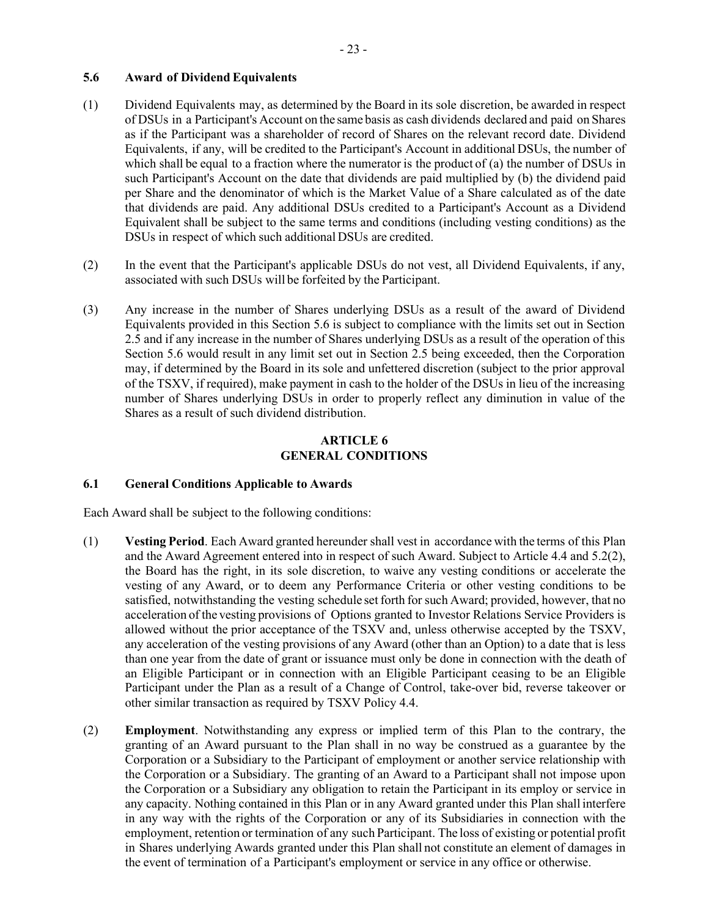# <span id="page-55-0"></span>**5.6 Award of Dividend Equivalents**

- (1) Dividend Equivalents may, as determined by the Board in its sole discretion, be awarded in respect of DSUs in a Participant's Account on the same basis as cash dividends declared and paid on Shares as if the Participant was a shareholder of record of Shares on the relevant record date. Dividend Equivalents, if any, will be credited to the Participant's Account in additional DSUs, the number of which shall be equal to a fraction where the numerator is the product of (a) the number of DSUs in such Participant's Account on the date that dividends are paid multiplied by (b) the dividend paid per Share and the denominator of which is the Market Value of a Share calculated as of the date that dividends are paid. Any additional DSUs credited to a Participant's Account as a Dividend Equivalent shall be subject to the same terms and conditions (including vesting conditions) as the DSUs in respect of which such additional DSUs are credited.
- (2) In the event that the Participant's applicable DSUs do not vest, all Dividend Equivalents, if any, associated with such DSUs will be forfeited by the Participant.
- (3) Any increase in the number of Shares underlying DSUs as a result of the award of Dividend Equivalents provided in this Section 5.6 is subject to compliance with the limits set out in Section 2.5 and if any increase in the number of Shares underlying DSUs as a result of the operation of this Section 5.6 would result in any limit set out in Section 2.5 being exceeded, then the Corporation may, if determined by the Board in its sole and unfettered discretion (subject to the prior approval of the TSXV, if required), make payment in cash to the holder of the DSUs in lieu of the increasing number of Shares underlying DSUs in order to properly reflect any diminution in value of the Shares as a result of such dividend distribution.

### **ARTICLE 6 GENERAL CONDITIONS**

# **6.1 General Conditions Applicable to Awards**

Each Award shall be subject to the following conditions:

- (1) **Vesting Period**. Each Award granted hereunder shall vest in accordance with the terms of this Plan and the Award Agreement entered into in respect of such Award. Subject to Article 4.4 and 5.2(2), the Board has the right, in its sole discretion, to waive any vesting conditions or accelerate the vesting of any Award, or to deem any Performance Criteria or other vesting conditions to be satisfied, notwithstanding the vesting schedule set forth for such Award; provided, however, that no acceleration of the vesting provisions of Options granted to Investor Relations Service Providers is allowed without the prior acceptance of the TSXV and, unless otherwise accepted by the TSXV, any acceleration of the vesting provisions of any Award (other than an Option) to a date that is less than one year from the date of grant or issuance must only be done in connection with the death of an Eligible Participant or in connection with an Eligible Participant ceasing to be an Eligible Participant under the Plan as a result of a Change of Control, take-over bid, reverse takeover or other similar transaction as required by TSXV Policy 4.4.
- (2) **Employment**. Notwithstanding any express or implied term of this Plan to the contrary, the granting of an Award pursuant to the Plan shall in no way be construed as a guarantee by the Corporation or a Subsidiary to the Participant of employment or another service relationship with the Corporation or a Subsidiary. The granting of an Award to a Participant shall not impose upon the Corporation or a Subsidiary any obligation to retain the Participant in its employ or service in any capacity. Nothing contained in this Plan or in any Award granted under this Plan shall interfere in any way with the rights of the Corporation or any of its Subsidiaries in connection with the employment, retention or termination of any such Participant. The loss of existing or potential profit in Shares underlying Awards granted under this Plan shall not constitute an element of damages in the event of termination of a Participant's employment or service in any office or otherwise.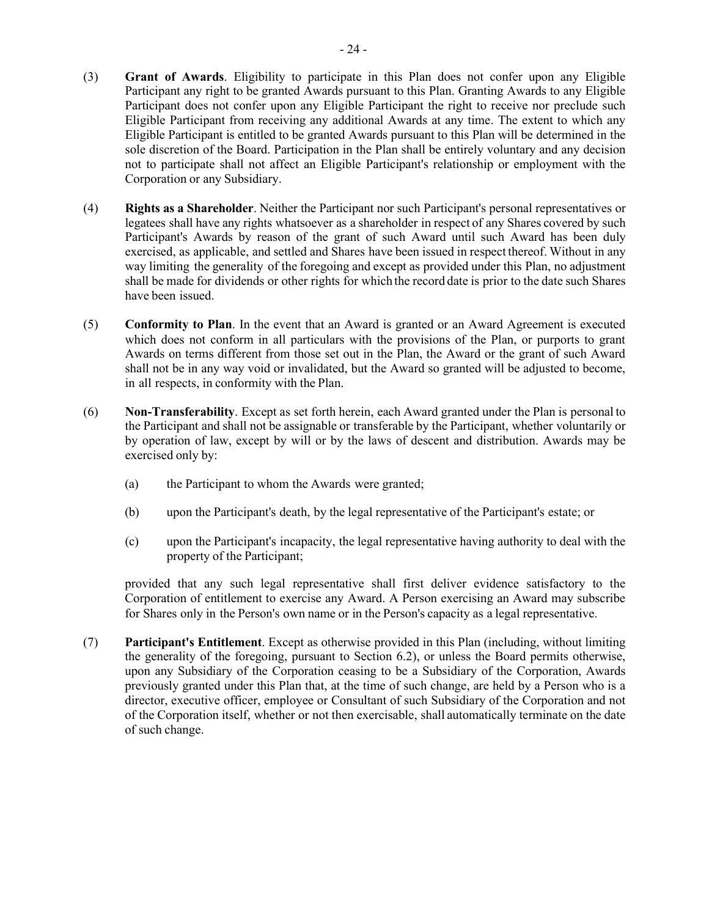- (3) **Grant of Awards**. Eligibility to participate in this Plan does not confer upon any Eligible Participant any right to be granted Awards pursuant to this Plan. Granting Awards to any Eligible Participant does not confer upon any Eligible Participant the right to receive nor preclude such Eligible Participant from receiving any additional Awards at any time. The extent to which any Eligible Participant is entitled to be granted Awards pursuant to this Plan will be determined in the sole discretion of the Board. Participation in the Plan shall be entirely voluntary and any decision not to participate shall not affect an Eligible Participant's relationship or employment with the Corporation or any Subsidiary.
- (4) **Rights as a Shareholder**. Neither the Participant nor such Participant's personal representatives or legatees shall have any rights whatsoever as a shareholder in respect of any Shares covered by such Participant's Awards by reason of the grant of such Award until such Award has been duly exercised, as applicable, and settled and Shares have been issued in respect thereof. Without in any way limiting the generality of the foregoing and except as provided under this Plan, no adjustment shall be made for dividends or other rights for which the record date is prior to the date such Shares have been issued.
- (5) **Conformity to Plan**. In the event that an Award is granted or an Award Agreement is executed which does not conform in all particulars with the provisions of the Plan, or purports to grant Awards on terms different from those set out in the Plan, the Award or the grant of such Award shall not be in any way void or invalidated, but the Award so granted will be adjusted to become, in all respects, in conformity with the Plan.
- <span id="page-56-1"></span>(6) **Non-Transferability**. Except as set forth herein, each Award granted under the Plan is personal to the Participant and shall not be assignable or transferable by the Participant, whether voluntarily or by operation of law, except by will or by the laws of descent and distribution. Awards may be exercised only by:
	- (a) the Participant to whom the Awards were granted;
	- (b) upon the Participant's death, by the legal representative of the Participant's estate; or
	- (c) upon the Participant's incapacity, the legal representative having authority to deal with the property of the Participant;

provided that any such legal representative shall first deliver evidence satisfactory to the Corporation of entitlement to exercise any Award. A Person exercising an Award may subscribe for Shares only in the Person's own name or in the Person's capacity as a legal representative.

<span id="page-56-0"></span>(7) **Participant's Entitlement**. Except as otherwise provided in this Plan (including, without limiting the generality of the foregoing, pursuant to Section [6.2\)](#page-57-1), or unless the Board permits otherwise, upon any Subsidiary of the Corporation ceasing to be a Subsidiary of the Corporation, Awards previously granted under this Plan that, at the time of such change, are held by a Person who is a director, executive officer, employee or Consultant of such Subsidiary of the Corporation and not of the Corporation itself, whether or not then exercisable, shall automatically terminate on the date of such change.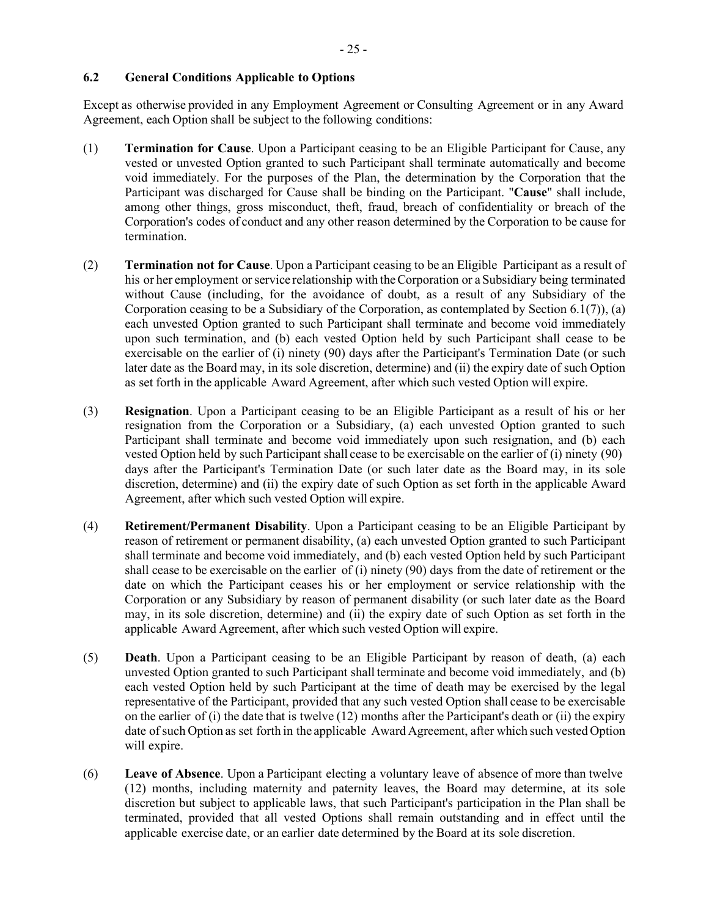# <span id="page-57-1"></span>**6.2 General Conditions Applicable to Options**

Except as otherwise provided in any Employment Agreement or Consulting Agreement or in any Award Agreement, each Option shall be subject to the following conditions:

- <span id="page-57-0"></span>(1) **Termination for Cause**. Upon a Participant ceasing to be an Eligible Participant for Cause, any vested or unvested Option granted to such Participant shall terminate automatically and become void immediately. For the purposes of the Plan, the determination by the Corporation that the Participant was discharged for Cause shall be binding on the Participant. "**Cause**" shall include, among other things, gross misconduct, theft, fraud, breach of confidentiality or breach of the Corporation's codes of conduct and any other reason determined by the Corporation to be cause for termination.
- (2) **Termination not for Cause**. Upon a Participant ceasing to be an Eligible Participant as a result of his or her employment or service relationship with the Corporation or a Subsidiary being terminated without Cause (including, for the avoidance of doubt, as a result of any Subsidiary of the Corporation ceasing to be a Subsidiary of the Corporation, as contemplated by Section [6.1\(7\)\)](#page-56-0), (a) each unvested Option granted to such Participant shall terminate and become void immediately upon such termination, and (b) each vested Option held by such Participant shall cease to be exercisable on the earlier of (i) ninety (90) days after the Participant's Termination Date (or such later date as the Board may, in its sole discretion, determine) and (ii) the expiry date of such Option as set forth in the applicable Award Agreement, after which such vested Option will expire.
- (3) **Resignation**. Upon a Participant ceasing to be an Eligible Participant as a result of his or her resignation from the Corporation or a Subsidiary, (a) each unvested Option granted to such Participant shall terminate and become void immediately upon such resignation, and (b) each vested Option held by such Participant shall cease to be exercisable on the earlier of (i) ninety (90) days after the Participant's Termination Date (or such later date as the Board may, in its sole discretion, determine) and (ii) the expiry date of such Option as set forth in the applicable Award Agreement, after which such vested Option will expire.
- (4) **Retirement/Permanent Disability**. Upon a Participant ceasing to be an Eligible Participant by reason of retirement or permanent disability, (a) each unvested Option granted to such Participant shall terminate and become void immediately, and (b) each vested Option held by such Participant shall cease to be exercisable on the earlier of (i) ninety (90) days from the date of retirement or the date on which the Participant ceases his or her employment or service relationship with the Corporation or any Subsidiary by reason of permanent disability (or such later date as the Board may, in its sole discretion, determine) and (ii) the expiry date of such Option as set forth in the applicable Award Agreement, after which such vested Option will expire.
- (5) **Death**. Upon a Participant ceasing to be an Eligible Participant by reason of death, (a) each unvested Option granted to such Participant shall terminate and become void immediately, and (b) each vested Option held by such Participant at the time of death may be exercised by the legal representative of the Participant, provided that any such vested Option shall cease to be exercisable on the earlier of (i) the date that is twelve (12) months after the Participant's death or (ii) the expiry date of such Option as set forth in the applicable Award Agreement, after which such vested Option will expire.
- (6) **Leave of Absence**. Upon a Participant electing a voluntary leave of absence of more than twelve (12) months, including maternity and paternity leaves, the Board may determine, at its sole discretion but subject to applicable laws, that such Participant's participation in the Plan shall be terminated, provided that all vested Options shall remain outstanding and in effect until the applicable exercise date, or an earlier date determined by the Board at its sole discretion.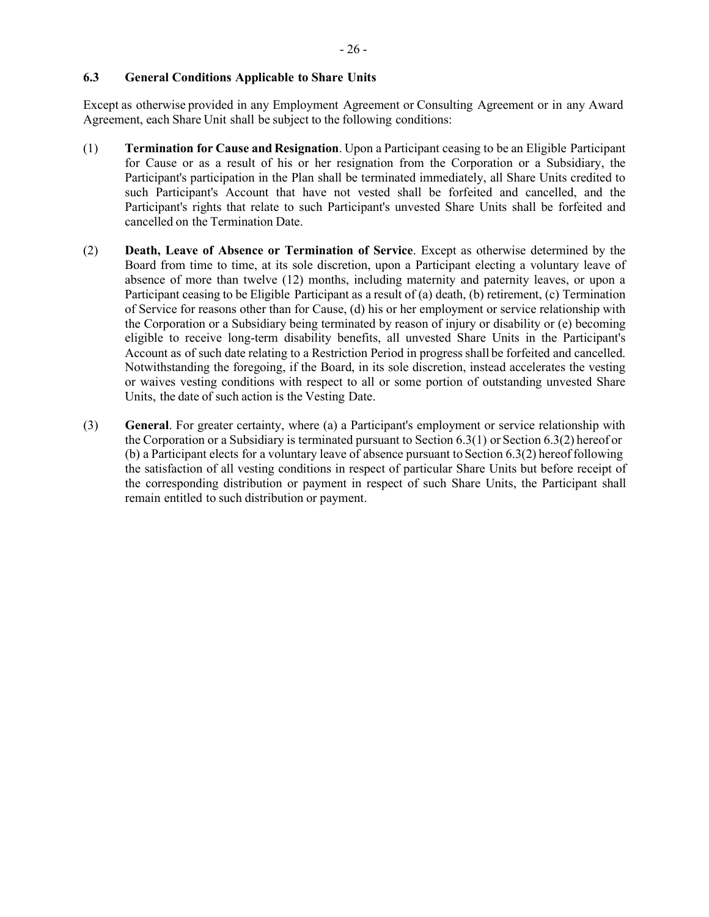# **6.3 General Conditions Applicable to Share Units**

Except as otherwise provided in any Employment Agreement or Consulting Agreement or in any Award Agreement, each Share Unit shall be subject to the following conditions:

- <span id="page-58-0"></span>(1) **Termination for Cause and Resignation**. Upon a Participant ceasing to be an Eligible Participant for Cause or as a result of his or her resignation from the Corporation or a Subsidiary, the Participant's participation in the Plan shall be terminated immediately, all Share Units credited to such Participant's Account that have not vested shall be forfeited and cancelled, and the Participant's rights that relate to such Participant's unvested Share Units shall be forfeited and cancelled on the Termination Date.
- <span id="page-58-1"></span>(2) **Death, Leave of Absence or Termination of Service**. Except as otherwise determined by the Board from time to time, at its sole discretion, upon a Participant electing a voluntary leave of absence of more than twelve (12) months, including maternity and paternity leaves, or upon a Participant ceasing to be Eligible Participant as a result of (a) death, (b) retirement, (c) Termination of Service for reasons other than for Cause, (d) his or her employment or service relationship with the Corporation or a Subsidiary being terminated by reason of injury or disability or (e) becoming eligible to receive long-term disability benefits, all unvested Share Units in the Participant's Account as of such date relating to a Restriction Period in progress shall be forfeited and cancelled. Notwithstanding the foregoing, if the Board, in its sole discretion, instead accelerates the vesting or waives vesting conditions with respect to all or some portion of outstanding unvested Share Units, the date of such action is the Vesting Date.
- (3) **General**. For greater certainty, where (a) a Participant's employment or service relationship with the Corporation or a Subsidiary is terminated pursuant to Section [6.3\(1\)](#page-58-0) or Section [6.3\(2\)](#page-58-1) hereof or (b) a Participant elects for a voluntary leave of absence pursuant to Section [6.3\(2\)](#page-58-1) hereof following the satisfaction of all vesting conditions in respect of particular Share Units but before receipt of the corresponding distribution or payment in respect of such Share Units, the Participant shall remain entitled to such distribution or payment.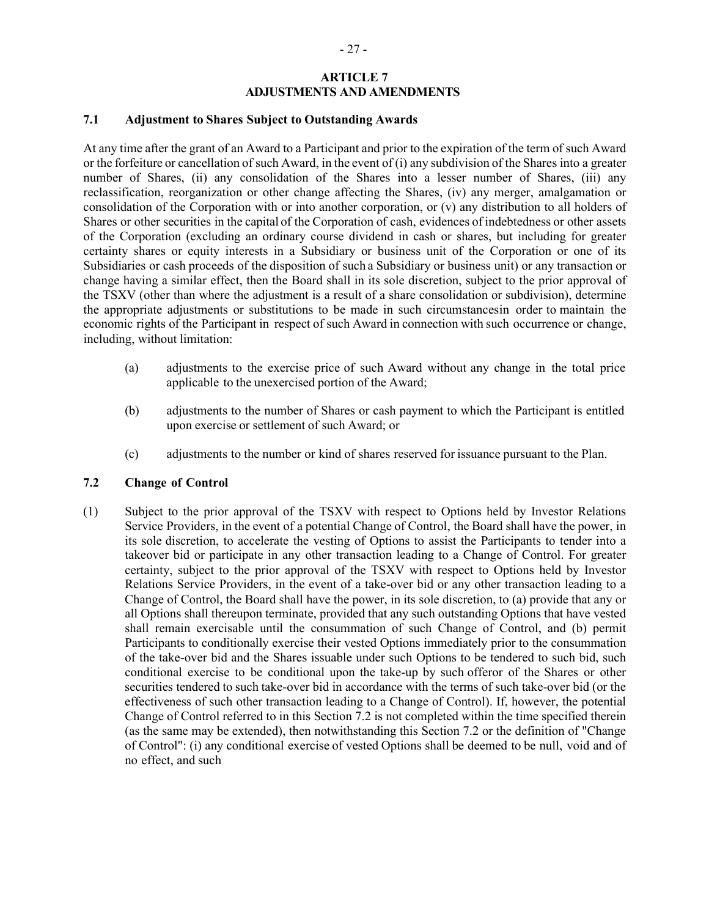# **ARTICLE 7 ADJUSTMENTS AND AMENDMENTS**

#### <span id="page-59-1"></span><span id="page-59-0"></span>**7.1 Adjustment to Shares Subject to Outstanding Awards**

At any time after the grant of an Award to a Participant and prior to the expiration of the term of such Award or the forfeiture or cancellation of such Award, in the event of (i) any subdivision of the Shares into a greater number of Shares, (ii) any consolidation of the Shares into a lesser number of Shares, (iii) any reclassification, reorganization or other change affecting the Shares, (iv) any merger, amalgamation or consolidation of the Corporation with or into another corporation, or (v) any distribution to all holders of Shares or other securities in the capital of the Corporation of cash, evidences of indebtedness or other assets of the Corporation (excluding an ordinary course dividend in cash or shares, but including for greater certainty shares or equity interests in a Subsidiary or business unit of the Corporation or one of its Subsidiaries or cash proceeds of the disposition of such a Subsidiary or business unit) or any transaction or change having a similar effect, then the Board shall in its sole discretion, subject to the prior approval of the TSXV (other than where the adjustment is a result of a share consolidation or subdivision), determine the appropriate adjustments or substitutions to be made in such circumstancesin order to maintain the economic rights of the Participant in respect of such Award in connection with such occurrence or change, including, without limitation:

- (a) adjustments to the exercise price of such Award without any change in the total price applicable to the unexercised portion of the Award;
- (b) adjustments to the number of Shares or cash payment to which the Participant is entitled upon exercise or settlement of such Award; or
- (c) adjustments to the number or kind of shares reserved for issuance pursuant to the Plan.

#### <span id="page-59-2"></span>**7.2 Change of Control**

(1) Subject to the prior approval of the TSXV with respect to Options held by Investor Relations Service Providers, in the event of a potential Change of Control, the Board shall have the power, in its sole discretion, to accelerate the vesting of Options to assist the Participants to tender into a takeover bid or participate in any other transaction leading to a Change of Control. For greater certainty, subject to the prior approval of the TSXV with respect to Options held by Investor Relations Service Providers, in the event of a take-over bid or any other transaction leading to a Change of Control, the Board shall have the power, in its sole discretion, to (a) provide that any or all Options shall thereupon terminate, provided that any such outstanding Options that have vested shall remain exercisable until the consummation of such Change of Control, and (b) permit Participants to conditionally exercise their vested Options immediately prior to the consummation of the take-over bid and the Shares issuable under such Options to be tendered to such bid, such conditional exercise to be conditional upon the take-up by such offeror of the Shares or other securities tendered to such take-over bid in accordance with the terms of such take-over bid (or the effectiveness of such other transaction leading to a Change of Control). If, however, the potential Change of Control referred to in this Section [7.2 i](#page-59-2)s not completed within the time specified therein (as the same may be extended), then notwithstanding this Section [7.2 o](#page-59-2)r the definition of "Change of Control": (i) any conditional exercise of vested Options shall be deemed to be null, void and of no effect, and such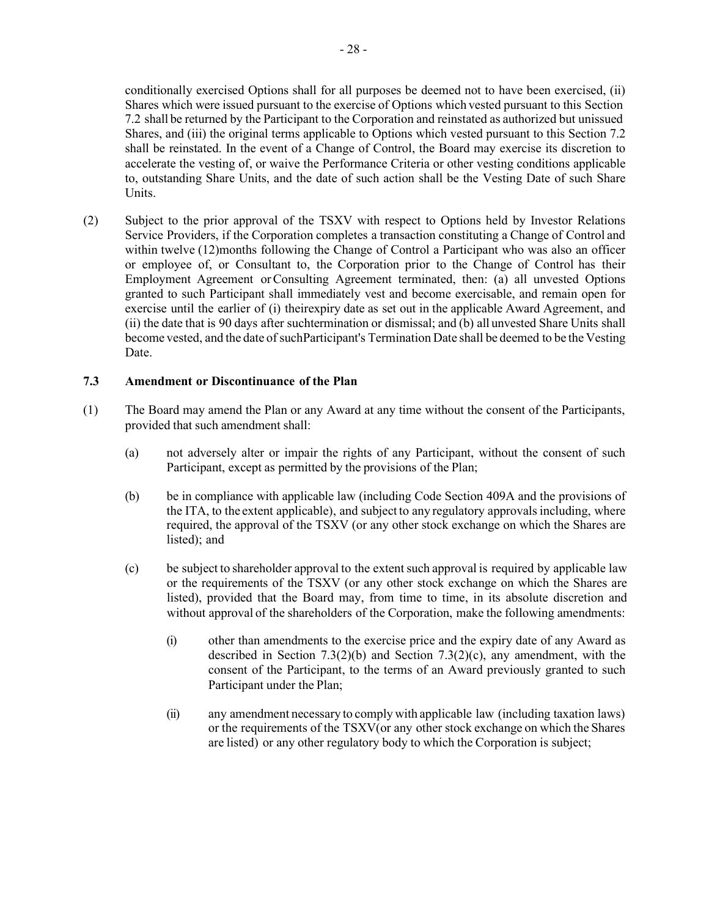conditionally exercised Options shall for all purposes be deemed not to have been exercised, (ii) Shares which were issued pursuant to the exercise of Options which vested pursuant to this Section 7.2 shall be returned by the Participant to the Corporation and reinstated as authorized but unissued Shares, and (iii) the original terms applicable to Options which vested pursuant to this Section [7.2](#page-59-2) shall be reinstated. In the event of a Change of Control, the Board may exercise its discretion to accelerate the vesting of, or waive the Performance Criteria or other vesting conditions applicable to, outstanding Share Units, and the date of such action shall be the Vesting Date of such Share Units.

(2) Subject to the prior approval of the TSXV with respect to Options held by Investor Relations Service Providers, if the Corporation completes a transaction constituting a Change of Control and within twelve (12)months following the Change of Control a Participant who was also an officer or employee of, or Consultant to, the Corporation prior to the Change of Control has their Employment Agreement orConsulting Agreement terminated, then: (a) all unvested Options granted to such Participant shall immediately vest and become exercisable, and remain open for exercise until the earlier of (i) theirexpiry date as set out in the applicable Award Agreement, and (ii) the date that is 90 days after suchtermination or dismissal; and (b) all unvested Share Units shall become vested, and the date of suchParticipant's Termination Date shall be deemed to be the Vesting Date.

# <span id="page-60-1"></span>**7.3 Amendment or Discontinuance of the Plan**

- <span id="page-60-0"></span>(1) The Board may amend the Plan or any Award at any time without the consent of the Participants, provided that such amendment shall:
	- (a) not adversely alter or impair the rights of any Participant, without the consent of such Participant, except as permitted by the provisions of the Plan;
	- (b) be in compliance with applicable law (including Code Section 409A and the provisions of the ITA, to the extent applicable), and subject to any regulatory approvalsincluding, where required, the approval of the TSXV (or any other stock exchange on which the Shares are listed); and
	- (c) be subject to shareholder approval to the extentsuch approval is required by applicable law or the requirements of the TSXV (or any other stock exchange on which the Shares are listed), provided that the Board may, from time to time, in its absolute discretion and without approval of the shareholders of the Corporation, make the following amendments:
		- (i) other than amendments to the exercise price and the expiry date of any Award as described in Section [7.3\(2\)\(b\) a](#page-61-0)nd Section [7.3\(2\)\(c\),](#page-61-1) any amendment, with the consent of the Participant, to the terms of an Award previously granted to such Participant under the Plan;
		- (ii) any amendment necessary to comply with applicable law (including taxation laws) or the requirements of the TSXV(or any other stock exchange on which the Shares are listed) or any other regulatory body to which the Corporation is subject;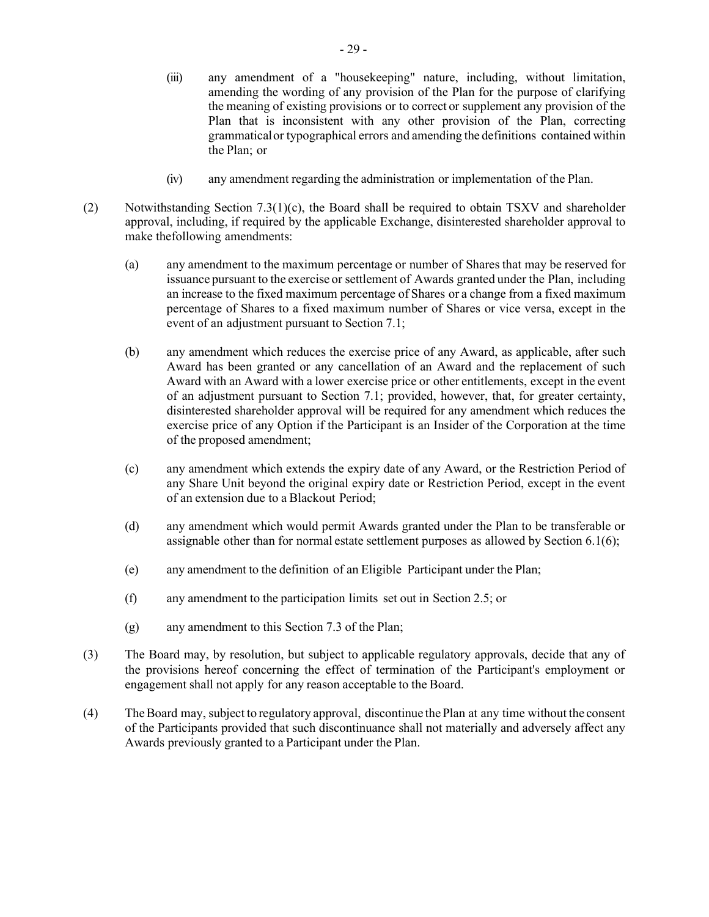- (iii) any amendment of a "housekeeping" nature, including, without limitation, amending the wording of any provision of the Plan for the purpose of clarifying the meaning of existing provisions or to correct or supplement any provision of the Plan that is inconsistent with any other provision of the Plan, correcting grammaticalor typographical errors and amending the definitions contained within the Plan; or
- (iv) any amendment regarding the administration or implementation of the Plan.
- <span id="page-61-0"></span>(2) Notwithstanding Section [7.3\(1\)\(c\),](#page-60-0) the Board shall be required to obtain TSXV and shareholder approval, including, if required by the applicable Exchange, disinterested shareholder approval to make thefollowing amendments:
	- (a) any amendment to the maximum percentage or number of Shares that may be reserved for issuance pursuant to the exercise or settlement of Awards granted under the Plan, including an increase to the fixed maximum percentage of Shares or a change from a fixed maximum percentage of Shares to a fixed maximum number of Shares or vice versa, except in the event of an adjustment pursuant to Section [7.1;](#page-59-1)
	- (b) any amendment which reduces the exercise price of any Award, as applicable, after such Award has been granted or any cancellation of an Award and the replacement of such Award with an Award with a lower exercise price or other entitlements, except in the event of an adjustment pursuant to Section [7.1;](#page-59-1) provided, however, that, for greater certainty, disinterested shareholder approval will be required for any amendment which reduces the exercise price of any Option if the Participant is an Insider of the Corporation at the time of the proposed amendment;
	- (c) any amendment which extends the expiry date of any Award, or the Restriction Period of any Share Unit beyond the original expiry date or Restriction Period, except in the event of an extension due to a Blackout Period;
	- (d) any amendment which would permit Awards granted under the Plan to be transferable or assignable other than for normal estate settlement purposes as allowed by Section [6.1\(6\);](#page-56-1)
	- (e) any amendment to the definition of an Eligible Participant under the Plan;
	- (f) any amendment to the participation limits set out in Section [2.5;](#page-44-0) or
	- (g) any amendment to this Section [7.3](#page-60-1) of the Plan;
- <span id="page-61-1"></span>(3) The Board may, by resolution, but subject to applicable regulatory approvals, decide that any of the provisions hereof concerning the effect of termination of the Participant's employment or engagement shall not apply for any reason acceptable to the Board.
- (4) TheBoard may, subject to regulatory approval, discontinue the Plan at any time without the consent of the Participants provided that such discontinuance shall not materially and adversely affect any Awards previously granted to a Participant under the Plan.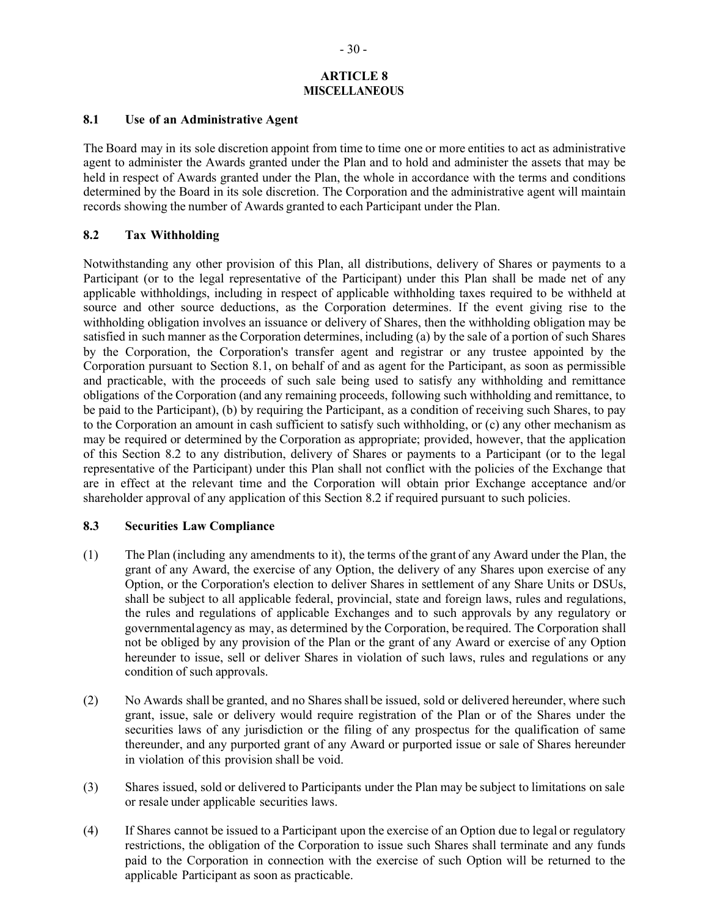# **ARTICLE 8 MISCELLANEOUS**

### <span id="page-62-1"></span>**8.1 Use of an Administrative Agent**

The Board may in its sole discretion appoint from time to time one or more entities to act as administrative agent to administer the Awards granted under the Plan and to hold and administer the assets that may be held in respect of Awards granted under the Plan, the whole in accordance with the terms and conditions determined by the Board in its sole discretion. The Corporation and the administrative agent will maintain records showing the number of Awards granted to each Participant under the Plan.

# <span id="page-62-0"></span>**8.2 Tax Withholding**

Notwithstanding any other provision of this Plan, all distributions, delivery of Shares or payments to a Participant (or to the legal representative of the Participant) under this Plan shall be made net of any applicable withholdings, including in respect of applicable withholding taxes required to be withheld at source and other source deductions, as the Corporation determines. If the event giving rise to the withholding obligation involves an issuance or delivery of Shares, then the withholding obligation may be satisfied in such manner asthe Corporation determines, including (a) by the sale of a portion of such Shares by the Corporation, the Corporation's transfer agent and registrar or any trustee appointed by the Corporation pursuant to Section [8.1,](#page-62-1) on behalf of and as agent for the Participant, as soon as permissible and practicable, with the proceeds of such sale being used to satisfy any withholding and remittance obligations of the Corporation (and any remaining proceeds, following such withholding and remittance, to be paid to the Participant), (b) by requiring the Participant, as a condition of receiving such Shares, to pay to the Corporation an amount in cash sufficient to satisfy such withholding, or (c) any other mechanism as may be required or determined by the Corporation as appropriate; provided, however, that the application of this Section 8.2 to any distribution, delivery of Shares or payments to a Participant (or to the legal representative of the Participant) under this Plan shall not conflict with the policies of the Exchange that are in effect at the relevant time and the Corporation will obtain prior Exchange acceptance and/or shareholder approval of any application of this Section 8.2 if required pursuant to such policies.

# **8.3 Securities Law Compliance**

- (1) The Plan (including any amendments to it), the terms of the grant of any Award under the Plan, the grant of any Award, the exercise of any Option, the delivery of any Shares upon exercise of any Option, or the Corporation's election to deliver Shares in settlement of any Share Units or DSUs, shall be subject to all applicable federal, provincial, state and foreign laws, rules and regulations, the rules and regulations of applicable Exchanges and to such approvals by any regulatory or governmentalagency as may, as determined by the Corporation, be required. The Corporation shall not be obliged by any provision of the Plan or the grant of any Award or exercise of any Option hereunder to issue, sell or deliver Shares in violation of such laws, rules and regulations or any condition of such approvals.
- (2) No Awards shall be granted, and no Shares shall be issued, sold or delivered hereunder, where such grant, issue, sale or delivery would require registration of the Plan or of the Shares under the securities laws of any jurisdiction or the filing of any prospectus for the qualification of same thereunder, and any purported grant of any Award or purported issue or sale of Shares hereunder in violation of this provision shall be void.
- (3) Shares issued, sold or delivered to Participants under the Plan may be subject to limitations on sale or resale under applicable securities laws.
- (4) If Shares cannot be issued to a Participant upon the exercise of an Option due to legal or regulatory restrictions, the obligation of the Corporation to issue such Shares shall terminate and any funds paid to the Corporation in connection with the exercise of such Option will be returned to the applicable Participant as soon as practicable.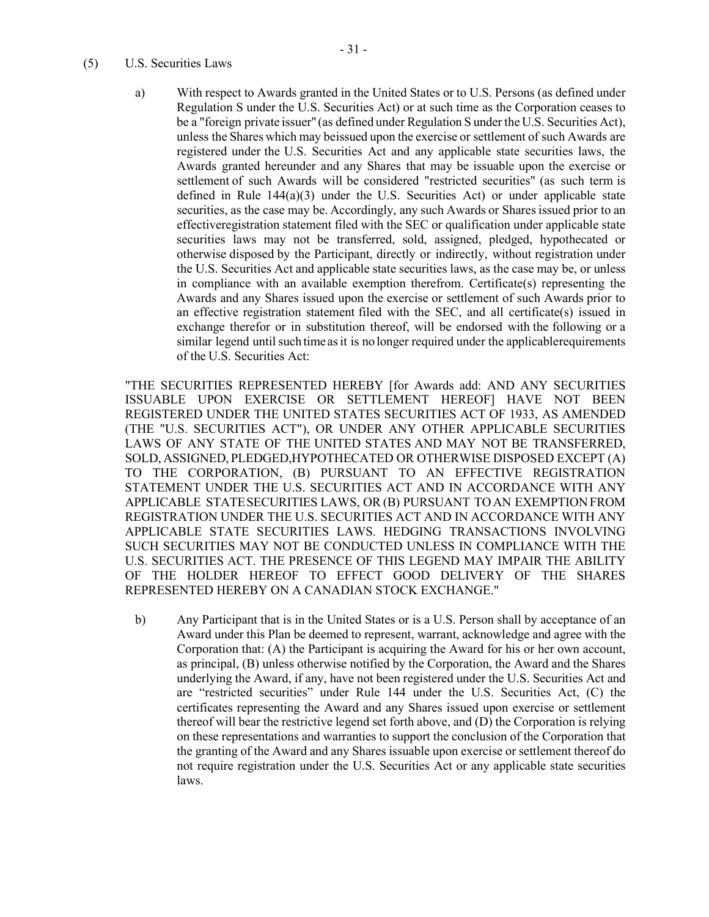#### <span id="page-63-0"></span>(5) U.S. Securities Laws

a) With respect to Awards granted in the United States or to U.S. Persons (as defined under Regulation S under the U.S. Securities Act) or at such time as the Corporation ceases to be a "foreign private issuer" (as defined under Regulation S under the U.S. Securities Act), unless the Shares which may beissued upon the exercise or settlement of such Awards are registered under the U.S. Securities Act and any applicable state securities laws, the Awards granted hereunder and any Shares that may be issuable upon the exercise or settlement of such Awards will be considered "restricted securities" (as such term is defined in Rule  $144(a)(3)$  under the U.S. Securities Act) or under applicable state securities, as the case may be. Accordingly, any such Awards or Shares issued prior to an effectiveregistration statement filed with the SEC or qualification under applicable state securities laws may not be transferred, sold, assigned, pledged, hypothecated or otherwise disposed by the Participant, directly or indirectly, without registration under the U.S. Securities Act and applicable state securities laws, as the case may be, or unless in compliance with an available exemption therefrom. Certificate(s) representing the Awards and any Shares issued upon the exercise or settlement of such Awards prior to an effective registration statement filed with the SEC, and all certificate(s) issued in exchange therefor or in substitution thereof, will be endorsed with the following or a similar legend until such time as it is no longer required under the applicable requirements of the U.S. Securities Act:

"THE SECURITIES REPRESENTED HEREBY [for Awards add: AND ANY SECURITIES ISSUABLE UPON EXERCISE OR SETTLEMENT HEREOF] HAVE NOT BEEN REGISTERED UNDER THE UNITED STATES SECURITIES ACT OF 1933, AS AMENDED (THE "U.S. SECURITIES ACT"), OR UNDER ANY OTHER APPLICABLE SECURITIES LAWS OF ANY STATE OF THE UNITED STATES AND MAY NOT BE TRANSFERRED, SOLD, ASSIGNED, PLEDGED,HYPOTHECATED OR OTHERWISE DISPOSED EXCEPT (A) TO THE CORPORATION, (B) PURSUANT TO AN EFFECTIVE REGISTRATION STATEMENT UNDER THE U.S. SECURITIES ACT AND IN ACCORDANCE WITH ANY APPLICABLE STATESECURITIES LAWS, OR (B) PURSUANT TOAN EXEMPTIONFROM REGISTRATION UNDER THE U.S. SECURITIES ACT AND IN ACCORDANCE WITH ANY APPLICABLE STATE SECURITIES LAWS. HEDGING TRANSACTIONS INVOLVING SUCH SECURITIES MAY NOT BE CONDUCTED UNLESS IN COMPLIANCE WITH THE U.S. SECURITIES ACT. THE PRESENCE OF THIS LEGEND MAY IMPAIR THE ABILITY OF THE HOLDER HEREOF TO EFFECT GOOD DELIVERY OF THE SHARES REPRESENTED HEREBY ON A CANADIAN STOCK EXCHANGE."

b) Any Participant that is in the United States or is a U.S. Person shall by acceptance of an Award under this Plan be deemed to represent, warrant, acknowledge and agree with the Corporation that: (A) the Participant is acquiring the Award for his or her own account, as principal, (B) unless otherwise notified by the Corporation, the Award and the Shares underlying the Award, if any, have not been registered under the U.S. Securities Act and are "restricted securities" under Rule 144 under the U.S. Securities Act, (C) the certificates representing the Award and any Shares issued upon exercise or settlement thereof will bear the restrictive legend set forth above, and (D) the Corporation is relying on these representations and warranties to support the conclusion of the Corporation that the granting of the Award and any Shares issuable upon exercise or settlement thereof do not require registration under the U.S. Securities Act or any applicable state securities laws.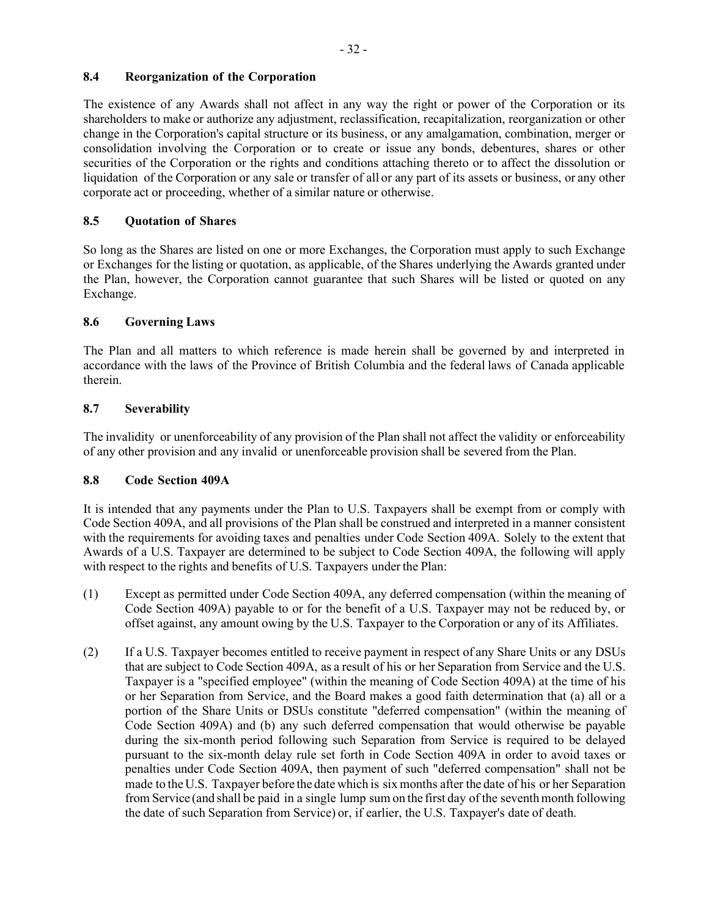# **8.4 Reorganization of the Corporation**

The existence of any Awards shall not affect in any way the right or power of the Corporation or its shareholders to make or authorize any adjustment, reclassification, recapitalization, reorganization or other change in the Corporation's capital structure or its business, or any amalgamation, combination, merger or consolidation involving the Corporation or to create or issue any bonds, debentures, shares or other securities of the Corporation or the rights and conditions attaching thereto or to affect the dissolution or liquidation of the Corporation or any sale or transfer of all or any part of its assets or business, or any other corporate act or proceeding, whether of a similar nature or otherwise.

# **8.5 Quotation of Shares**

So long as the Shares are listed on one or more Exchanges, the Corporation must apply to such Exchange or Exchanges for the listing or quotation, as applicable, of the Shares underlying the Awards granted under the Plan, however, the Corporation cannot guarantee that such Shares will be listed or quoted on any Exchange.

# **8.6 Governing Laws**

The Plan and all matters to which reference is made herein shall be governed by and interpreted in accordance with the laws of the Province of British Columbia and the federal laws of Canada applicable therein.

# **8.7 Severability**

The invalidity or unenforceability of any provision of the Plan shall not affect the validity or enforceability of any other provision and any invalid or unenforceable provision shall be severed from the Plan.

# <span id="page-64-0"></span>**8.8 Code Section 409A**

It is intended that any payments under the Plan to U.S. Taxpayers shall be exempt from or comply with Code Section 409A, and all provisions of the Plan shall be construed and interpreted in a manner consistent with the requirements for avoiding taxes and penalties under Code Section 409A. Solely to the extent that Awards of a U.S. Taxpayer are determined to be subject to Code Section 409A, the following will apply with respect to the rights and benefits of U.S. Taxpayers under the Plan:

- (1) Except as permitted under Code Section 409A, any deferred compensation (within the meaning of Code Section 409A) payable to or for the benefit of a U.S. Taxpayer may not be reduced by, or offset against, any amount owing by the U.S. Taxpayer to the Corporation or any of its Affiliates.
- (2) If a U.S. Taxpayer becomes entitled to receive payment in respect of any Share Units or any DSUs that are subject to Code Section 409A, as a result of his or her Separation from Service and the U.S. Taxpayer is a "specified employee" (within the meaning of Code Section 409A) at the time of his or her Separation from Service, and the Board makes a good faith determination that (a) all or a portion of the Share Units or DSUs constitute "deferred compensation" (within the meaning of Code Section 409A) and (b) any such deferred compensation that would otherwise be payable during the six-month period following such Separation from Service is required to be delayed pursuant to the six-month delay rule set forth in Code Section 409A in order to avoid taxes or penalties under Code Section 409A, then payment of such "deferred compensation" shall not be made to the U.S. Taxpayer before the date which is six months after the date of his or her Separation from Service (and shall be paid in a single lump sum on the first day of the seventh month following the date of such Separation from Service) or, if earlier, the U.S. Taxpayer's date of death.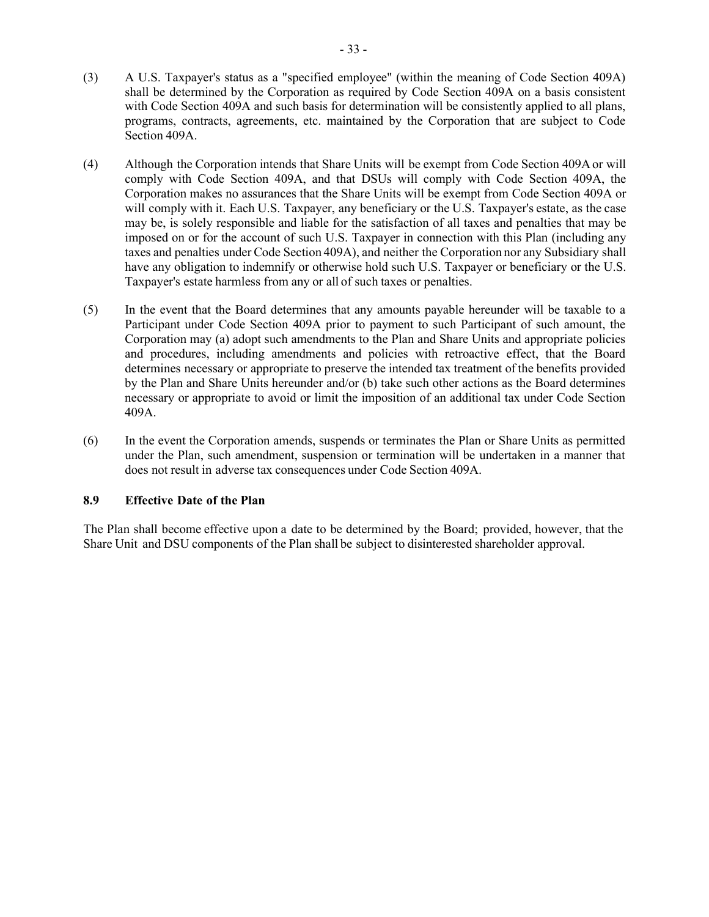- (3) A U.S. Taxpayer's status as a "specified employee" (within the meaning of Code Section 409A) shall be determined by the Corporation as required by Code Section 409A on a basis consistent with Code Section 409A and such basis for determination will be consistently applied to all plans, programs, contracts, agreements, etc. maintained by the Corporation that are subject to Code Section 409A.
- (4) Although the Corporation intends that Share Units will be exempt from Code Section 409Aor will comply with Code Section 409A, and that DSUs will comply with Code Section 409A, the Corporation makes no assurances that the Share Units will be exempt from Code Section 409A or will comply with it. Each U.S. Taxpayer, any beneficiary or the U.S. Taxpayer's estate, as the case may be, is solely responsible and liable for the satisfaction of all taxes and penalties that may be imposed on or for the account of such U.S. Taxpayer in connection with this Plan (including any taxes and penalties under Code Section 409A), and neither the Corporation nor any Subsidiary shall have any obligation to indemnify or otherwise hold such U.S. Taxpayer or beneficiary or the U.S. Taxpayer's estate harmless from any or all of such taxes or penalties.
- (5) In the event that the Board determines that any amounts payable hereunder will be taxable to a Participant under Code Section 409A prior to payment to such Participant of such amount, the Corporation may (a) adopt such amendments to the Plan and Share Units and appropriate policies and procedures, including amendments and policies with retroactive effect, that the Board determines necessary or appropriate to preserve the intended tax treatment of the benefits provided by the Plan and Share Units hereunder and/or (b) take such other actions as the Board determines necessary or appropriate to avoid or limit the imposition of an additional tax under Code Section 409A.
- (6) In the event the Corporation amends, suspends or terminates the Plan or Share Units as permitted under the Plan, such amendment, suspension or termination will be undertaken in a manner that does not result in adverse tax consequences under Code Section 409A.

# **8.9 Effective Date of the Plan**

The Plan shall become effective upon a date to be determined by the Board; provided, however, that the Share Unit and DSU components of the Plan shall be subject to disinterested shareholder approval.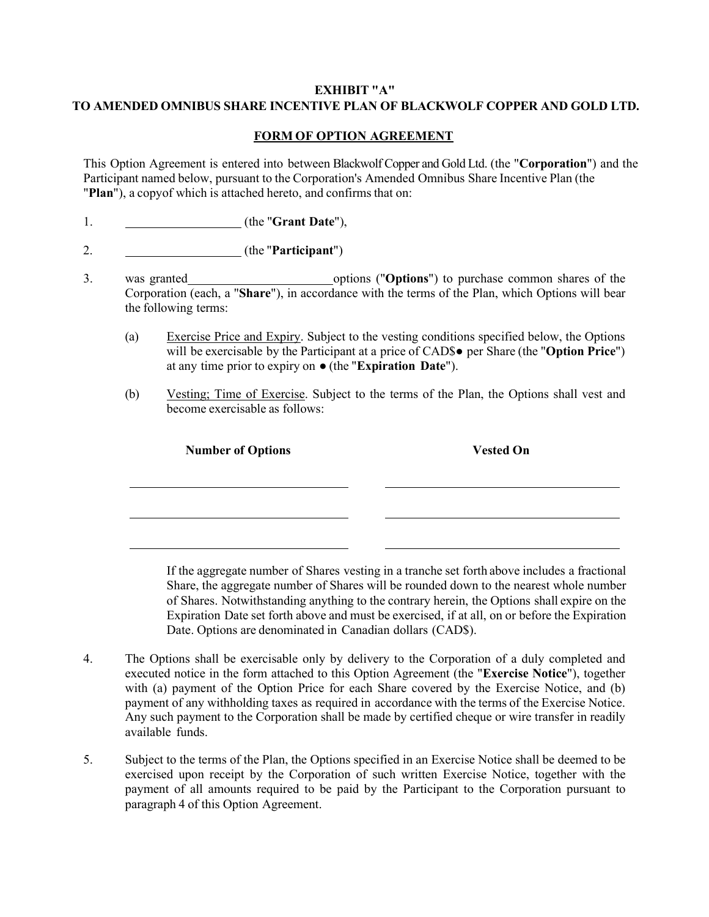# <span id="page-66-0"></span>**EXHIBIT "A" TO AMENDED OMNIBUS SHARE INCENTIVE PLAN OF BLACKWOLF COPPER AND GOLD LTD.**

# **FORM OF OPTION AGREEMENT**

This Option Agreement is entered into between Blackwolf Copper and Gold Ltd. (the "**Corporation**") and the Participant named below, pursuant to the Corporation's Amended Omnibus Share Incentive Plan (the "**Plan**"), a copy of which is attached hereto, and confirms that on:

- 1. (the "**Grant Date**"),
- 2. (the "**Participant**")
- 3. was granted options ("Options") to purchase common shares of the Corporation (each, a "**Share**"), in accordance with the terms of the Plan, which Options will bear the following terms:
	- (a) Exercise Price and Expiry. Subject to the vesting conditions specified below, the Options will be exercisable by the Participant at a price of CAD\$● per Share (the "**Option Price**") at any time prior to expiry on ● (the "**Expiration Date**").
	- (b) Vesting; Time of Exercise. Subject to the terms of the Plan, the Options shall vest and become exercisable as follows:

**Number of Options Vested On**

If the aggregate number of Shares vesting in a tranche set forth above includes a fractional Share, the aggregate number of Shares will be rounded down to the nearest whole number of Shares. Notwithstanding anything to the contrary herein, the Options shall expire on the Expiration Date set forth above and must be exercised, if at all, on or before the Expiration Date. Options are denominated in Canadian dollars (CAD\$).

- 4. The Options shall be exercisable only by delivery to the Corporation of a duly completed and executed notice in the form attached to this Option Agreement (the "**Exercise Notice**"), together with (a) payment of the Option Price for each Share covered by the Exercise Notice, and (b) payment of any withholding taxes as required in accordance with the terms of the Exercise Notice. Any such payment to the Corporation shall be made by certified cheque or wire transfer in readily available funds.
- 5. Subject to the terms of the Plan, the Options specified in an Exercise Notice shall be deemed to be exercised upon receipt by the Corporation of such written Exercise Notice, together with the payment of all amounts required to be paid by the Participant to the Corporation pursuant to paragraph 4 of this Option Agreement.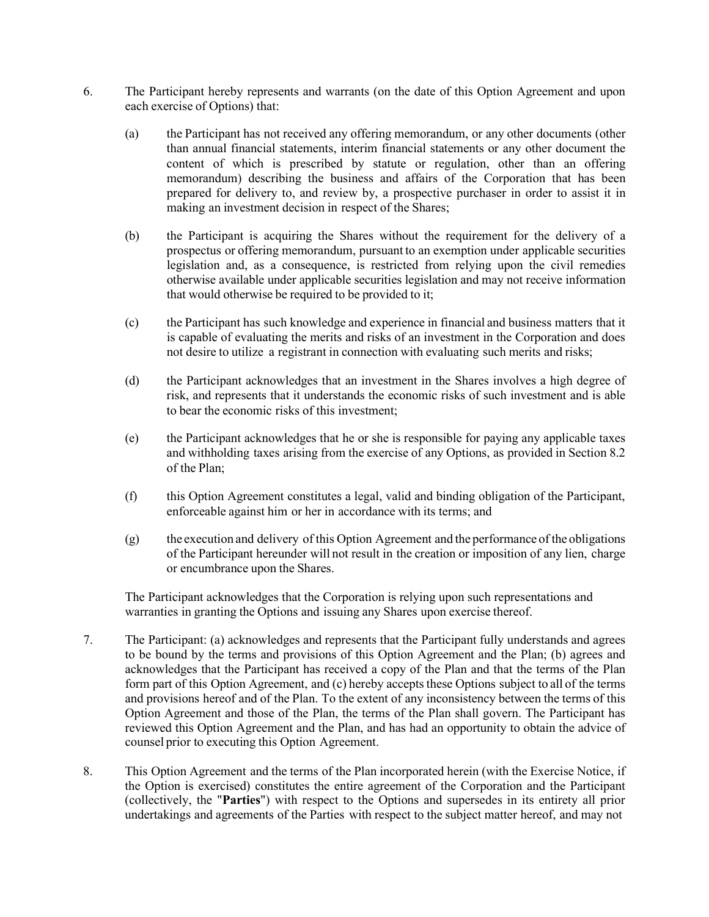- 6. The Participant hereby represents and warrants (on the date of this Option Agreement and upon each exercise of Options) that:
	- (a) the Participant has not received any offering memorandum, or any other documents (other than annual financial statements, interim financial statements or any other document the content of which is prescribed by statute or regulation, other than an offering memorandum) describing the business and affairs of the Corporation that has been prepared for delivery to, and review by, a prospective purchaser in order to assist it in making an investment decision in respect of the Shares;
	- (b) the Participant is acquiring the Shares without the requirement for the delivery of a prospectus or offering memorandum, pursuant to an exemption under applicable securities legislation and, as a consequence, is restricted from relying upon the civil remedies otherwise available under applicable securities legislation and may not receive information that would otherwise be required to be provided to it;
	- (c) the Participant has such knowledge and experience in financial and business matters that it is capable of evaluating the merits and risks of an investment in the Corporation and does not desire to utilize a registrant in connection with evaluating such merits and risks;
	- (d) the Participant acknowledges that an investment in the Shares involves a high degree of risk, and represents that it understands the economic risks of such investment and is able to bear the economic risks of this investment;
	- (e) the Participant acknowledges that he or she is responsible for paying any applicable taxes and withholding taxes arising from the exercise of any Options, as provided in Section [8.2](#page-62-0) of the Plan;
	- (f) this Option Agreement constitutes a legal, valid and binding obligation of the Participant, enforceable against him or her in accordance with its terms; and
	- (g) the execution and delivery of this Option Agreement and the performance of the obligations of the Participant hereunder will not result in the creation or imposition of any lien, charge or encumbrance upon the Shares.

The Participant acknowledges that the Corporation is relying upon such representations and warranties in granting the Options and issuing any Shares upon exercise thereof.

- 7. The Participant: (a) acknowledges and represents that the Participant fully understands and agrees to be bound by the terms and provisions of this Option Agreement and the Plan; (b) agrees and acknowledges that the Participant has received a copy of the Plan and that the terms of the Plan form part of this Option Agreement, and (c) hereby accepts these Options subject to all of the terms and provisions hereof and of the Plan. To the extent of any inconsistency between the terms of this Option Agreement and those of the Plan, the terms of the Plan shall govern. The Participant has reviewed this Option Agreement and the Plan, and has had an opportunity to obtain the advice of counsel prior to executing this Option Agreement.
- 8. This Option Agreement and the terms of the Plan incorporated herein (with the Exercise Notice, if the Option is exercised) constitutes the entire agreement of the Corporation and the Participant (collectively, the "**Parties**") with respect to the Options and supersedes in its entirety all prior undertakings and agreements of the Parties with respect to the subject matter hereof, and may not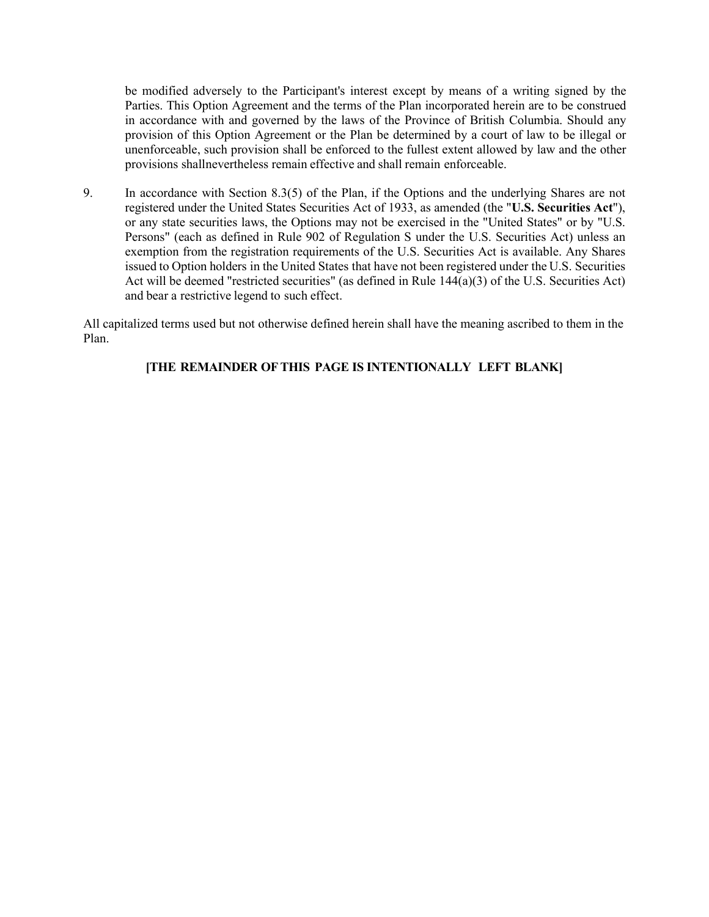be modified adversely to the Participant's interest except by means of a writing signed by the Parties. This Option Agreement and the terms of the Plan incorporated herein are to be construed in accordance with and governed by the laws of the Province of British Columbia. Should any provision of this Option Agreement or the Plan be determined by a court of law to be illegal or unenforceable, such provision shall be enforced to the fullest extent allowed by law and the other provisions shallnevertheless remain effective and shall remain enforceable.

9. In accordance with Section [8.3\(5\) o](#page-63-0)f the Plan, if the Options and the underlying Shares are not registered under the United States Securities Act of 1933, as amended (the "**U.S. Securities Act**"), or any state securities laws, the Options may not be exercised in the "United States" or by "U.S. Persons" (each as defined in Rule 902 of Regulation S under the U.S. Securities Act) unless an exemption from the registration requirements of the U.S. Securities Act is available. Any Shares issued to Option holders in the United States that have not been registered under the U.S. Securities Act will be deemed "restricted securities" (as defined in Rule  $144(a)(3)$  of the U.S. Securities Act) and bear a restrictive legend to such effect.

All capitalized terms used but not otherwise defined herein shall have the meaning ascribed to them in the Plan.

# **[THE REMAINDER OFTHIS PAGE IS INTENTIONALLY LEFT BLANK]**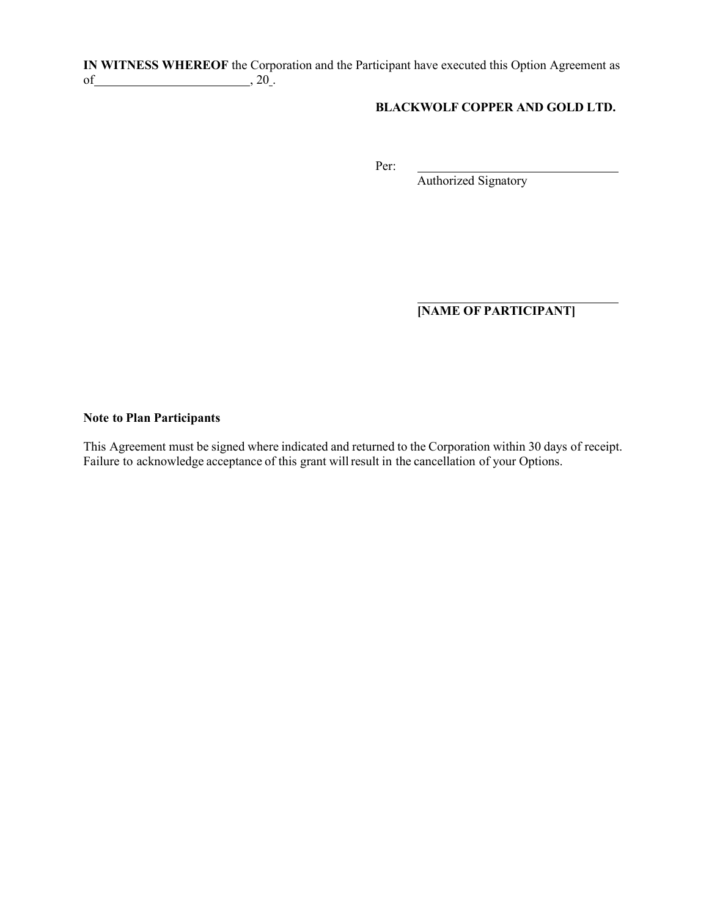**IN WITNESS WHEREOF** the Corporation and the Participant have executed this Option Agreement as of  $\frac{1}{20}$ , 20 .

# **BLACKWOLF COPPER AND GOLD LTD.**

Per:

Authorized Signatory

**[NAME OF PARTICIPANT]**

# **Note to Plan Participants**

This Agreement must be signed where indicated and returned to the Corporation within 30 days of receipt. Failure to acknowledge acceptance of this grant will result in the cancellation of your Options.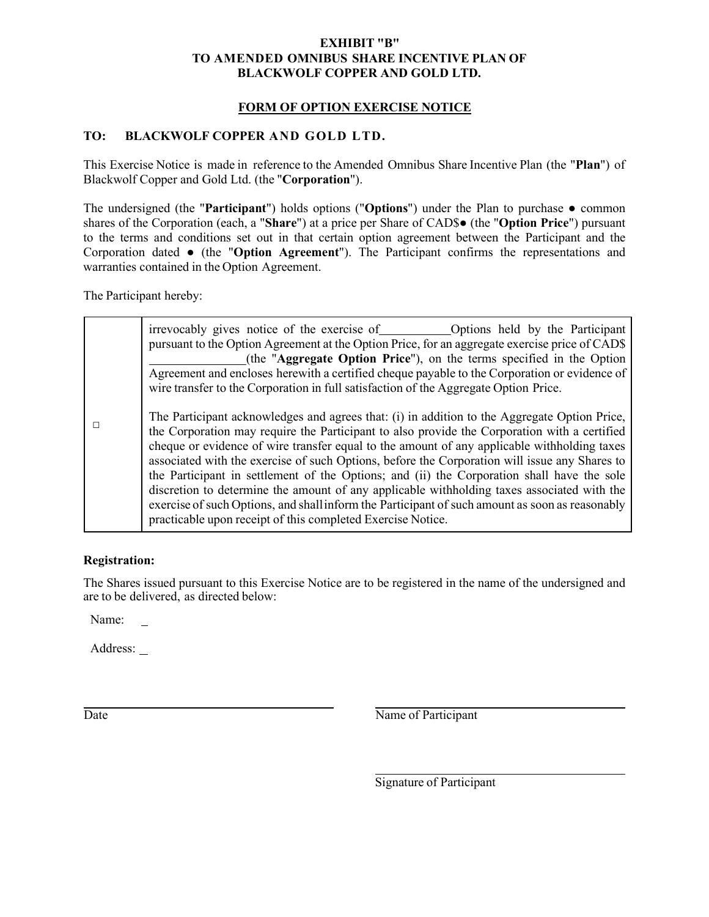# **EXHIBIT "B" TO AMENDED OMNIBUS SHARE INCENTIVE PLAN OF BLACKWOLF COPPER AND GOLD LTD.**

# **FORM OF OPTION EXERCISE NOTICE**

# <span id="page-70-0"></span>**TO: BLACKWOLF COPPER AND GOLD LTD.**

This Exercise Notice is made in reference to the Amended Omnibus Share Incentive Plan (the "**Plan**") of Blackwolf Copper and Gold Ltd. (the "**Corporation**").

The undersigned (the "**Participant**") holds options ("**Options**") under the Plan to purchase **●** common shares of the Corporation (each, a "**Share**") at a price per Share of CAD\$**●** (the "**Option Price**") pursuant to the terms and conditions set out in that certain option agreement between the Participant and the Corporation dated **●** (the "**Option Agreement**"). The Participant confirms the representations and warranties contained in the Option Agreement.

The Participant hereby:

| irrevocably gives notice of the exercise of Coptions held by the Participant<br>pursuant to the Option Agreement at the Option Price, for an aggregate exercise price of CAD\$<br>(the "Aggregate Option Price"), on the terms specified in the Option<br>Agreement and encloses herewith a certified cheque payable to the Corporation or evidence of<br>wire transfer to the Corporation in full satisfaction of the Aggregate Option Price.                                                                                                                                                                                                                                                                                                             |
|------------------------------------------------------------------------------------------------------------------------------------------------------------------------------------------------------------------------------------------------------------------------------------------------------------------------------------------------------------------------------------------------------------------------------------------------------------------------------------------------------------------------------------------------------------------------------------------------------------------------------------------------------------------------------------------------------------------------------------------------------------|
| The Participant acknowledges and agrees that: (i) in addition to the Aggregate Option Price,<br>the Corporation may require the Participant to also provide the Corporation with a certified<br>cheque or evidence of wire transfer equal to the amount of any applicable withholding taxes<br>associated with the exercise of such Options, before the Corporation will issue any Shares to<br>the Participant in settlement of the Options; and (ii) the Corporation shall have the sole<br>discretion to determine the amount of any applicable withholding taxes associated with the<br>exercise of such Options, and shall inform the Participant of such amount as soon as reasonably<br>practicable upon receipt of this completed Exercise Notice. |

# **Registration:**

The Shares issued pursuant to this Exercise Notice are to be registered in the name of the undersigned and are to be delivered, as directed below:

Name:

Address:

Date Name of Participant

Signature of Participant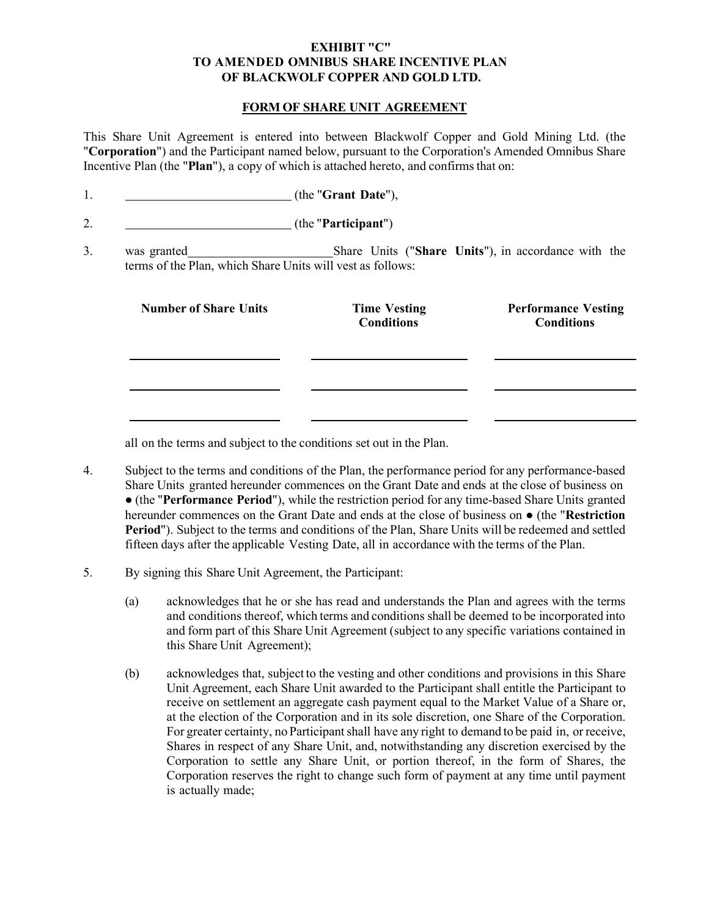# **EXHIBIT "C" TO AMENDED OMNIBUS SHARE INCENTIVE PLAN OF BLACKWOLF COPPER AND GOLD LTD.**

# **FORM OF SHARE UNIT AGREEMENT**

<span id="page-71-0"></span>This Share Unit Agreement is entered into between Blackwolf Copper and Gold Mining Ltd. (the "**Corporation**") and the Participant named below, pursuant to the Corporation's Amended Omnibus Share Incentive Plan (the "Plan"), a copy of which is attached hereto, and confirms that on:

|                                                                           | (the "Participant")                                 |                                                 |
|---------------------------------------------------------------------------|-----------------------------------------------------|-------------------------------------------------|
| was granted<br>terms of the Plan, which Share Units will vest as follows: | Share Units ("Share Units"), in accordance with the |                                                 |
| <b>Number of Share Units</b>                                              | <b>Time Vesting</b><br><b>Conditions</b>            | <b>Performance Vesting</b><br><b>Conditions</b> |
|                                                                           |                                                     |                                                 |
|                                                                           |                                                     |                                                 |

all on the terms and subject to the conditions set out in the Plan.

4. Subject to the terms and conditions of the Plan, the performance period for any performance-based Share Units granted hereunder commences on the Grant Date and ends at the close of business on ● (the "**Performance Period**"), while the restriction period for any time-based Share Units granted hereunder commences on the Grant Date and ends at the close of business on ● (the "**Restriction Period**"). Subject to the terms and conditions of the Plan, Share Units will be redeemed and settled fifteen days after the applicable Vesting Date, all in accordance with the terms of the Plan.

# 5. By signing this Share Unit Agreement, the Participant:

- (a) acknowledges that he or she has read and understands the Plan and agrees with the terms and conditions thereof, which terms and conditions shall be deemed to be incorporated into and form part of this Share Unit Agreement (subject to any specific variations contained in this Share Unit Agreement);
- (b) acknowledges that, subject to the vesting and other conditions and provisions in this Share Unit Agreement, each Share Unit awarded to the Participant shall entitle the Participant to receive on settlement an aggregate cash payment equal to the Market Value of a Share or, at the election of the Corporation and in its sole discretion, one Share of the Corporation. For greater certainty, no Participant shall have any right to demand to be paid in, or receive, Shares in respect of any Share Unit, and, notwithstanding any discretion exercised by the Corporation to settle any Share Unit, or portion thereof, in the form of Shares, the Corporation reserves the right to change such form of payment at any time until payment is actually made;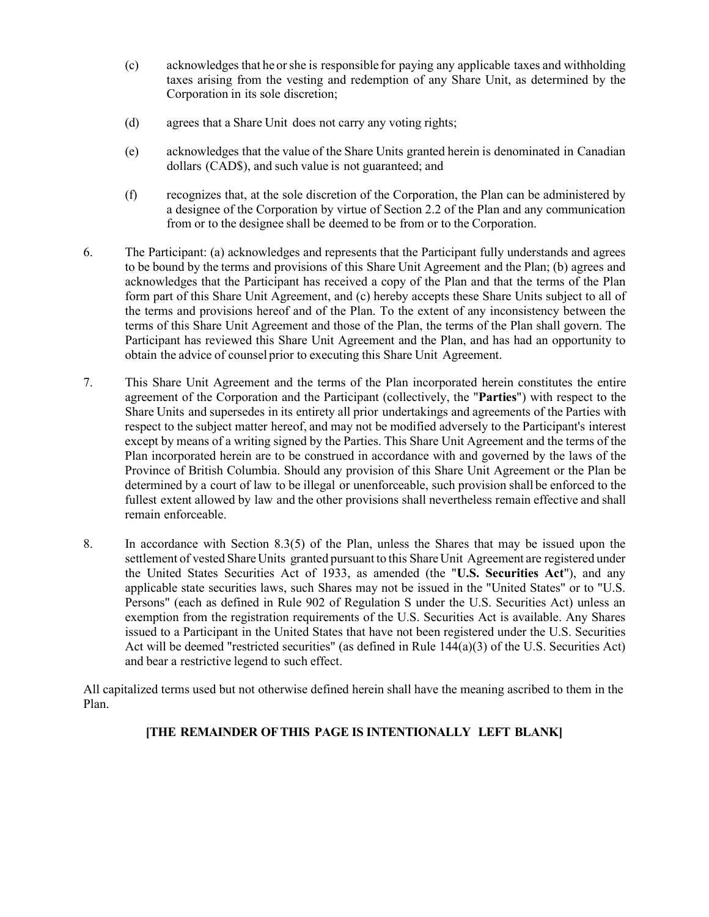- (c) acknowledges that he orshe is responsible for paying any applicable taxes and withholding taxes arising from the vesting and redemption of any Share Unit, as determined by the Corporation in its sole discretion;
- (d) agrees that a Share Unit does not carry any voting rights;
- (e) acknowledges that the value of the Share Units granted herein is denominated in Canadian dollars (CAD\$), and such value is not guaranteed; and
- (f) recognizes that, at the sole discretion of the Corporation, the Plan can be administered by a designee of the Corporation by virtue of Section [2.2 o](#page-42-0)f the Plan and any communication from or to the designee shall be deemed to be from or to the Corporation.
- 6. The Participant: (a) acknowledges and represents that the Participant fully understands and agrees to be bound by the terms and provisions of this Share Unit Agreement and the Plan; (b) agrees and acknowledges that the Participant has received a copy of the Plan and that the terms of the Plan form part of this Share Unit Agreement, and (c) hereby accepts these Share Units subject to all of the terms and provisions hereof and of the Plan. To the extent of any inconsistency between the terms of this Share Unit Agreement and those of the Plan, the terms of the Plan shall govern. The Participant has reviewed this Share Unit Agreement and the Plan, and has had an opportunity to obtain the advice of counsel prior to executing this Share Unit Agreement.
- 7. This Share Unit Agreement and the terms of the Plan incorporated herein constitutes the entire agreement of the Corporation and the Participant (collectively, the "**Parties**") with respect to the Share Units and supersedes in its entirety all prior undertakings and agreements of the Parties with respect to the subject matter hereof, and may not be modified adversely to the Participant's interest except by means of a writing signed by the Parties. This Share Unit Agreement and the terms of the Plan incorporated herein are to be construed in accordance with and governed by the laws of the Province of British Columbia. Should any provision of this Share Unit Agreement or the Plan be determined by a court of law to be illegal or unenforceable, such provision shall be enforced to the fullest extent allowed by law and the other provisions shall nevertheless remain effective and shall remain enforceable.
- 8. In accordance with Section [8.3\(5\) o](#page-63-0)f the Plan, unless the Shares that may be issued upon the settlement of vested Share Units granted pursuant to this Share Unit Agreement are registered under the United States Securities Act of 1933, as amended (the "**U.S. Securities Act**"), and any applicable state securities laws, such Shares may not be issued in the "United States" or to "U.S. Persons" (each as defined in Rule 902 of Regulation S under the U.S. Securities Act) unless an exemption from the registration requirements of the U.S. Securities Act is available. Any Shares issued to a Participant in the United States that have not been registered under the U.S. Securities Act will be deemed "restricted securities" (as defined in Rule  $144(a)(3)$  of the U.S. Securities Act) and bear a restrictive legend to such effect.

All capitalized terms used but not otherwise defined herein shall have the meaning ascribed to them in the Plan.

# **[THE REMAINDER OFTHIS PAGE IS INTENTIONALLY LEFT BLANK]**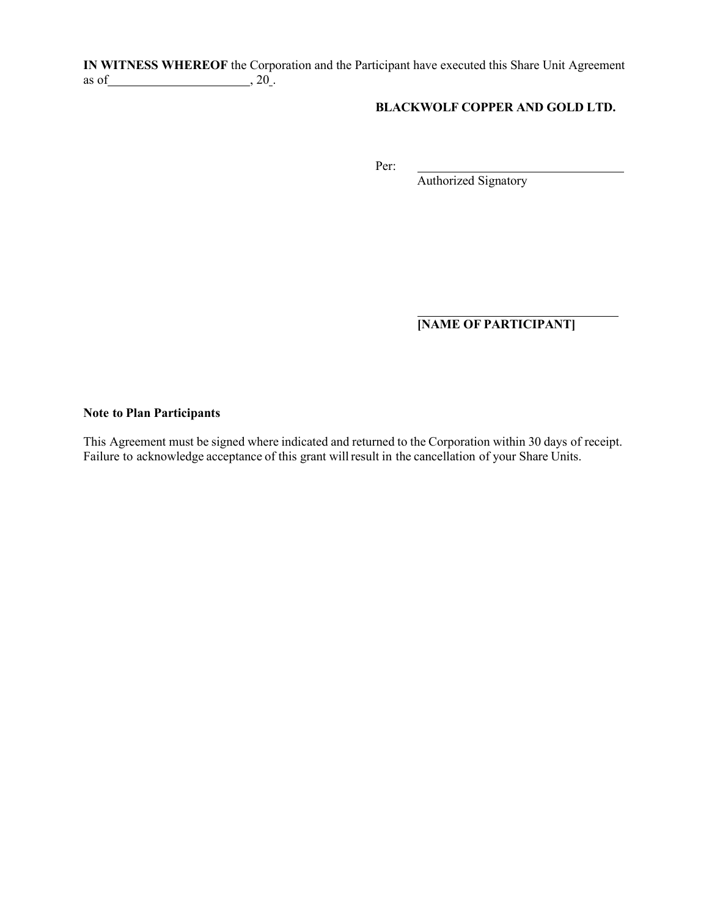**IN WITNESS WHEREOF** the Corporation and the Participant have executed this Share Unit Agreement as of  $\_\_\_\_$ , 20.

### **BLACKWOLF COPPER AND GOLD LTD.**

Per:

Authorized Signatory

**[NAME OF PARTICIPANT]**

#### **Note to Plan Participants**

This Agreement must be signed where indicated and returned to the Corporation within 30 days of receipt. Failure to acknowledge acceptance of this grant willresult in the cancellation of your Share Units.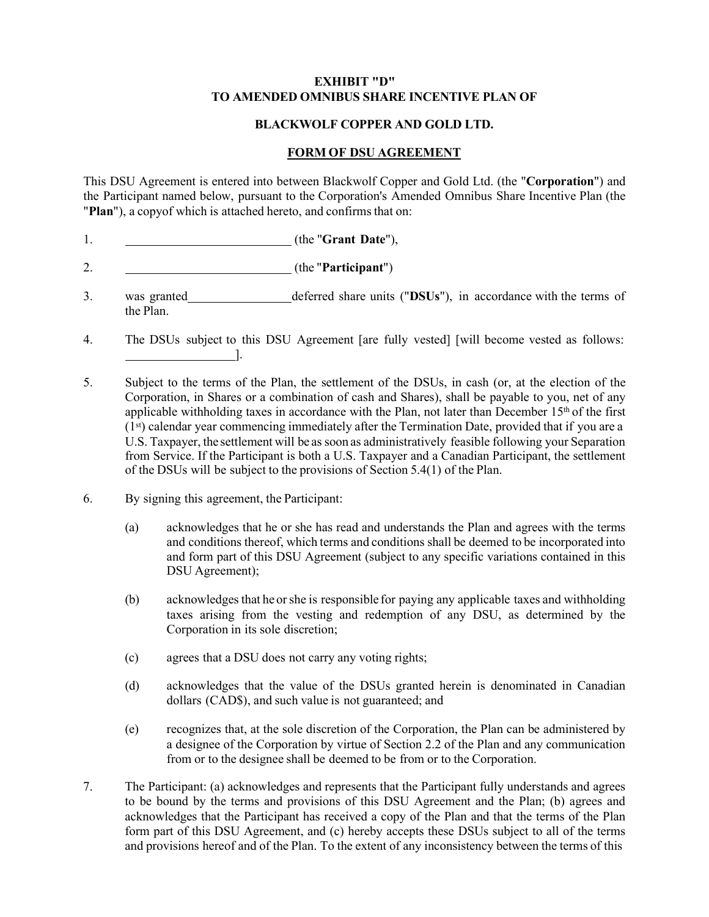#### **EXHIBIT "D" TO AMENDED OMNIBUS SHARE INCENTIVE PLAN OF**

#### **BLACKWOLF COPPER AND GOLD LTD.**

#### **FORM OF DSU AGREEMENT**

This DSU Agreement is entered into between Blackwolf Copper and Gold Ltd. (the "**Corporation**") and the Participant named below, pursuant to the Corporation's Amended Omnibus Share Incentive Plan (the "Plan"), a copy of which is attached hereto, and confirms that on:

- 1. (the "**Grant Date**"),
- 2. (the "**Participant**")
- 3. was granted deferred share units ("DSUs"), in accordance with the terms of the Plan.
- 4. The DSUs subject to this DSU Agreement [are fully vested] [will become vested as follows: ].
- 5. Subject to the terms of the Plan, the settlement of the DSUs, in cash (or, at the election of the Corporation, in Shares or a combination of cash and Shares), shall be payable to you, net of any applicable withholding taxes in accordance with the Plan, not later than December  $15<sup>th</sup>$  of the first (1st) calendar year commencing immediately after the Termination Date, provided that if you are a U.S. Taxpayer, the settlement will be as soon as administratively feasible following your Separation from Service. If the Participant is both a U.S. Taxpayer and a Canadian Participant, the settlement of the DSUs will be subject to the provisions of Section 5.4(1) of the Plan.
- 6. By signing this agreement, the Participant:
	- (a) acknowledges that he or she has read and understands the Plan and agrees with the terms and conditions thereof, which terms and conditions shall be deemed to be incorporated into and form part of this DSU Agreement (subject to any specific variations contained in this DSU Agreement);
	- (b) acknowledges that he or she is responsible for paying any applicable taxes and withholding taxes arising from the vesting and redemption of any DSU, as determined by the Corporation in its sole discretion;
	- (c) agrees that a DSU does not carry any voting rights;
	- (d) acknowledges that the value of the DSUs granted herein is denominated in Canadian dollars (CAD\$), and such value is not guaranteed; and
	- (e) recognizes that, at the sole discretion of the Corporation, the Plan can be administered by a designee of the Corporation by virtue of Section 2.2 of the Plan and any communication from or to the designee shall be deemed to be from or to the Corporation.
- 7. The Participant: (a) acknowledges and represents that the Participant fully understands and agrees to be bound by the terms and provisions of this DSU Agreement and the Plan; (b) agrees and acknowledges that the Participant has received a copy of the Plan and that the terms of the Plan form part of this DSU Agreement, and (c) hereby accepts these DSUs subject to all of the terms and provisions hereof and of the Plan. To the extent of any inconsistency between the terms of this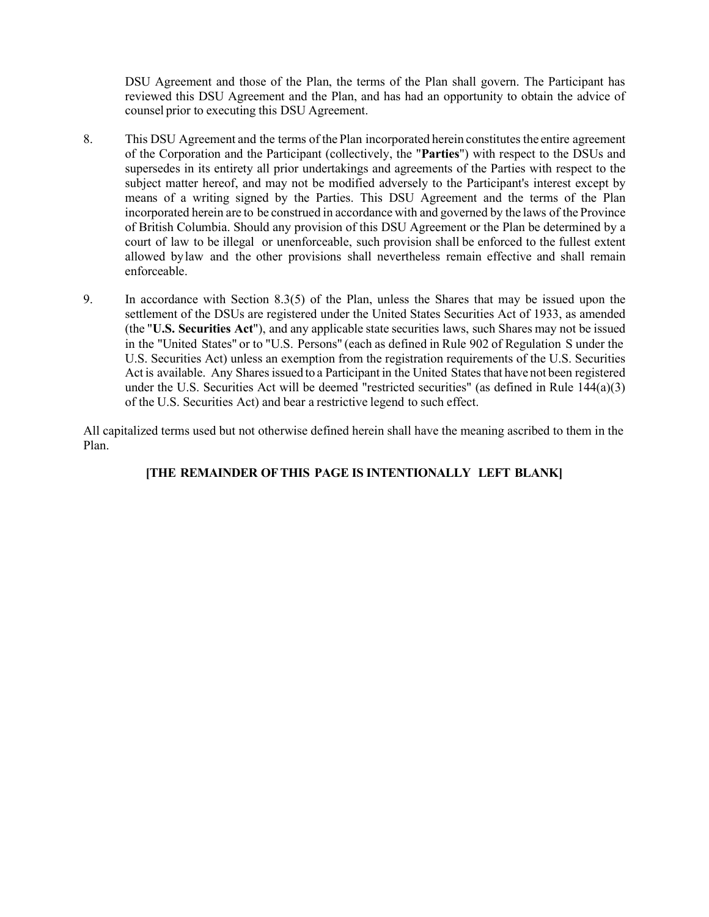DSU Agreement and those of the Plan, the terms of the Plan shall govern. The Participant has reviewed this DSU Agreement and the Plan, and has had an opportunity to obtain the advice of counsel prior to executing this DSU Agreement.

- 8. This DSU Agreement and the terms of the Plan incorporated herein constitutes the entire agreement of the Corporation and the Participant (collectively, the "**Parties**") with respect to the DSUs and supersedes in its entirety all prior undertakings and agreements of the Parties with respect to the subject matter hereof, and may not be modified adversely to the Participant's interest except by means of a writing signed by the Parties. This DSU Agreement and the terms of the Plan incorporated herein are to be construed in accordance with and governed by the laws of the Province of British Columbia. Should any provision of this DSU Agreement or the Plan be determined by a court of law to be illegal or unenforceable, such provision shall be enforced to the fullest extent allowed bylaw and the other provisions shall nevertheless remain effective and shall remain enforceable.
- 9. In accordance with Section 8.3(5) of the Plan, unless the Shares that may be issued upon the settlement of the DSUs are registered under the United States Securities Act of 1933, as amended (the "**U.S. Securities Act**"), and any applicable state securities laws, such Shares may not be issued in the "United States" or to "U.S. Persons" (each as defined in Rule 902 of Regulation S under the U.S. Securities Act) unless an exemption from the registration requirements of the U.S. Securities Act is available. Any Shares issued to a Participant in the United States that have not been registered under the U.S. Securities Act will be deemed "restricted securities" (as defined in Rule  $144(a)(3)$ ) of the U.S. Securities Act) and bear a restrictive legend to such effect.

All capitalized terms used but not otherwise defined herein shall have the meaning ascribed to them in the Plan.

# **[THE REMAINDER OFTHIS PAGE IS INTENTIONALLY LEFT BLANK]**